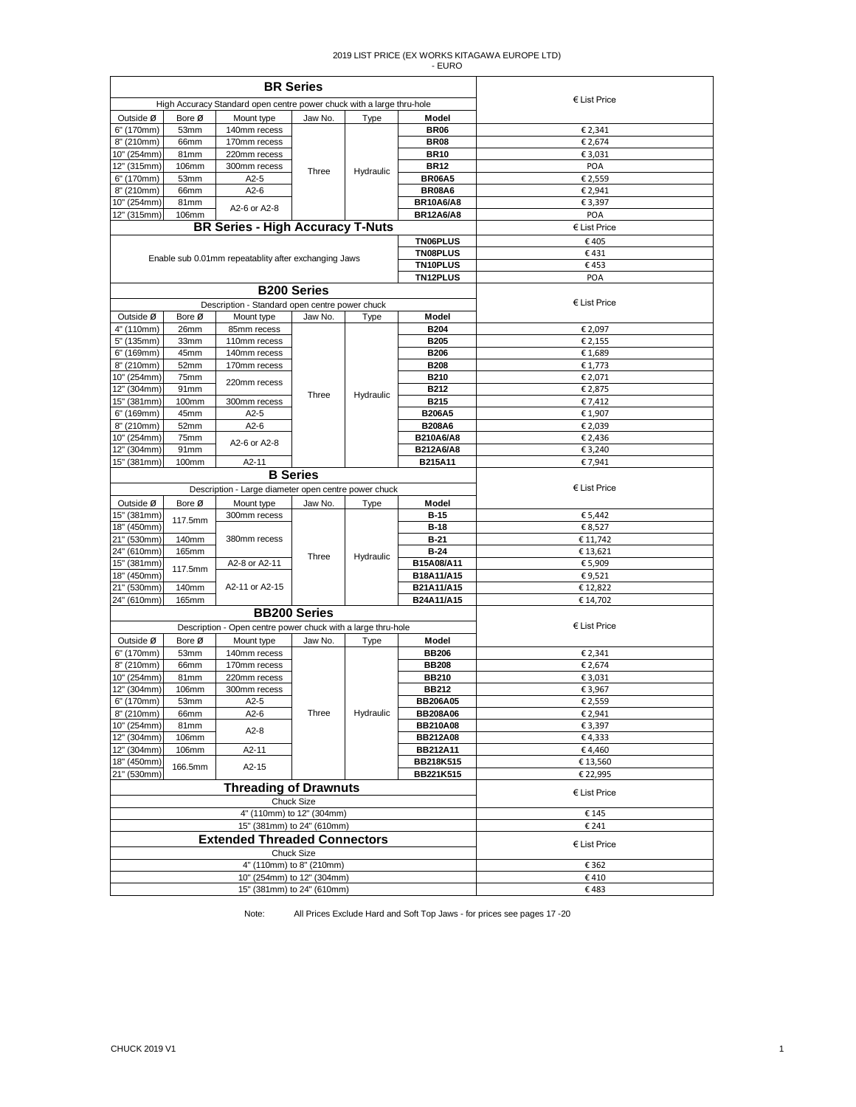|                                                      |                | <b>BR</b> Series                                                      |                          |           |                                   |                       |
|------------------------------------------------------|----------------|-----------------------------------------------------------------------|--------------------------|-----------|-----------------------------------|-----------------------|
|                                                      |                | High Accuracy Standard open centre power chuck with a large thru-hole |                          |           |                                   | $\epsilon$ List Price |
| Outside Ø                                            | Bore Ø         | Mount type                                                            | Jaw No.                  | Type      | Model                             |                       |
| 6" (170mm)                                           | 53mm           | 140mm recess                                                          |                          |           | <b>BR06</b>                       | € 2,341               |
| 8" (210mm)                                           | 66mm           | 170mm recess                                                          |                          |           | <b>BR08</b>                       | € 2,674               |
| 10" (254mm)                                          | 81mm           | 220mm recess                                                          |                          |           | <b>BR10</b>                       | € 3,031               |
| 12" (315mm)                                          | 106mm          | 300mm recess                                                          | Three                    | Hydraulic | <b>BR12</b>                       | POA                   |
| 6" (170mm)                                           | 53mm           | $A2-5$                                                                |                          |           | <b>BR06A5</b>                     | € 2,559               |
| 8" (210mm)<br>10" (254mm)                            | 66mm<br>81mm   | $A2-6$                                                                |                          |           | <b>BR08A6</b><br><b>BR10A6/A8</b> | € 2,941<br>€ 3,397    |
| 12" (315mm)                                          | <b>106mm</b>   | A2-6 or A2-8                                                          |                          |           | <b>BR12A6/A8</b>                  | POA                   |
|                                                      |                | <b>BR Series - High Accuracy T-Nuts</b>                               |                          |           |                                   | $\epsilon$ List Price |
|                                                      |                |                                                                       |                          |           | TN06PLUS                          | €405                  |
|                                                      |                |                                                                       |                          |           | TN08PLUS                          | €431                  |
| Enable sub 0.01mm repeatablity after exchanging Jaws |                |                                                                       |                          |           | <b>TN10PLUS</b>                   | €453                  |
|                                                      |                |                                                                       |                          |           | <b>TN12PLUS</b>                   | POA                   |
|                                                      |                |                                                                       | <b>B200 Series</b>       |           |                                   |                       |
|                                                      |                | Description - Standard open centre power chuck                        |                          |           |                                   | € List Price          |
| Outside Ø<br>4" (110mm)                              | Bore Ø<br>26mm | Mount type<br>85mm recess                                             | Jaw No.                  | Type      | Model<br><b>B204</b>              | € 2,097               |
| 5" (135mm)                                           | 33mm           | 110mm recess                                                          |                          |           | <b>B205</b>                       | € 2,155               |
| 6" (169mm)                                           | 45mm           | 140mm recess                                                          |                          |           | <b>B206</b>                       | €1,689                |
| 8" (210mm)                                           | 52mm           | 170mm recess                                                          |                          |           | <b>B208</b>                       | € 1,773               |
| 10" (254mm)                                          | 75mm           |                                                                       |                          |           | <b>B210</b>                       | € 2,071               |
| 12" (304mm)                                          | 91mm           | 220mm recess                                                          | Three                    | Hydraulic | B212                              | € 2,875               |
| 15" (381mm)                                          | 100mm          | 300mm recess                                                          |                          |           | B215                              | €7,412                |
| 6" (169mm)                                           | 45mm           | $A2-5$                                                                |                          |           | <b>B206A5</b>                     | € 1,907               |
| 8" (210mm)                                           | 52mm           | $A2-6$                                                                |                          |           | <b>B208A6</b>                     | € 2,039               |
| 10" (254mm)                                          | 75mm           | A2-6 or A2-8                                                          |                          |           | B210A6/A8                         | € 2,436               |
| 12" (304mm)                                          | 91mm           |                                                                       |                          |           | B212A6/A8                         | € 3,240               |
| 15" (381mm)                                          | 100mm          | A2-11                                                                 | <b>B</b> Series          |           | B215A11                           | € 7,941               |
|                                                      |                |                                                                       | € List Price             |           |                                   |                       |
|                                                      |                | Description - Large diameter open centre power chuck                  |                          |           |                                   |                       |
| Outside Ø<br>15" (381mm)                             | Bore Ø         | Mount type<br>300mm recess                                            | Jaw No.                  | Type      | Model<br><b>B-15</b>              | € 5,442               |
| 18" (450mm)                                          | 117.5mm        |                                                                       |                          |           | <b>B-18</b>                       | € 8,527               |
| 21" (530mm)                                          | 140mm          | 380mm recess                                                          |                          |           | $B-21$                            | € 11,742              |
| 24" (610mm)                                          | 165mm          |                                                                       |                          |           | $B-24$                            | € 13,621              |
| 15" (381mm)                                          | 117.5mm        | A2-8 or A2-11                                                         | Three                    | Hydraulic | B15A08/A11                        | € 5,909               |
| 18" (450mm)                                          |                |                                                                       |                          |           | B18A11/A15                        | €9,521                |
| 21" (530mm)                                          | 140mm          | A2-11 or A2-15                                                        |                          |           | B21A11/A15                        | €12,822               |
| 24" (610mm)                                          | 165mm          |                                                                       |                          |           | B24A11/A15                        | € 14,702              |
|                                                      |                |                                                                       | <b>BB200 Series</b>      |           |                                   |                       |
|                                                      |                | Description - Open centre power chuck with a large thru-hole          |                          |           |                                   | € List Price          |
| Outside Ø                                            | Bore Ø         | Mount type                                                            | Jaw No.                  | Type      | Model                             |                       |
| 6" (170mm)                                           | 53mm           | 140mm recess                                                          |                          |           | <b>BB206</b>                      | € 2,341               |
| 8" (210mm)<br>10" (254mm)                            | 66mm<br>81mm   | 170mm recess<br>220mm recess                                          |                          |           | <b>BB208</b><br><b>BB210</b>      | € 2,674<br>€ 3,031    |
| 12" (304mm)                                          | 106mm          | 300mm recess                                                          |                          |           | <b>BB212</b>                      | € 3,967               |
| 6" (170mm)                                           | 53mm           | $A2-5$                                                                |                          |           | <b>BB206A05</b>                   | € 2,559               |
| 8" (210mm)                                           | 66mm           | A2-6                                                                  | Three                    | Hydraulic | <b>BB208A06</b>                   | € 2,941               |
| 10" (254mm)                                          | 81mm           |                                                                       |                          |           | <b>BB210A08</b>                   | € 3,397               |
| 12" (304mm)                                          | 106mm          | $A2-8$                                                                |                          |           | <b>BB212A08</b>                   | €4,333                |
| 12" (304mm)                                          | 106mm          | A2-11                                                                 |                          |           | <b>BB212A11</b>                   | €4,460                |
| 18" (450mm)                                          | 166.5mm        | $A2-15$                                                               |                          |           | <b>BB218K515</b>                  | € 13,560              |
| 21" (530mm)                                          |                | <b>Threading of Drawnuts</b>                                          |                          |           | BB221K515                         | € 22,995              |
|                                                      |                |                                                                       | Chuck Size               |           |                                   | € List Price          |
|                                                      |                | 4" (110mm) to 12" (304mm)                                             |                          |           |                                   | € 145                 |
|                                                      |                | 15" (381mm) to 24" (610mm)                                            |                          |           |                                   | € 241                 |
|                                                      |                | <b>Extended Threaded Connectors</b>                                   |                          |           |                                   | $E$ List Price        |
|                                                      |                |                                                                       | Chuck Size               |           |                                   |                       |
|                                                      |                |                                                                       | 4" (110mm) to 8" (210mm) |           |                                   | € 362                 |
|                                                      |                | 10" (254mm) to 12" (304mm)                                            |                          |           |                                   | €410                  |
|                                                      |                | 15" (381mm) to 24" (610mm)                                            |                          |           |                                   | €483                  |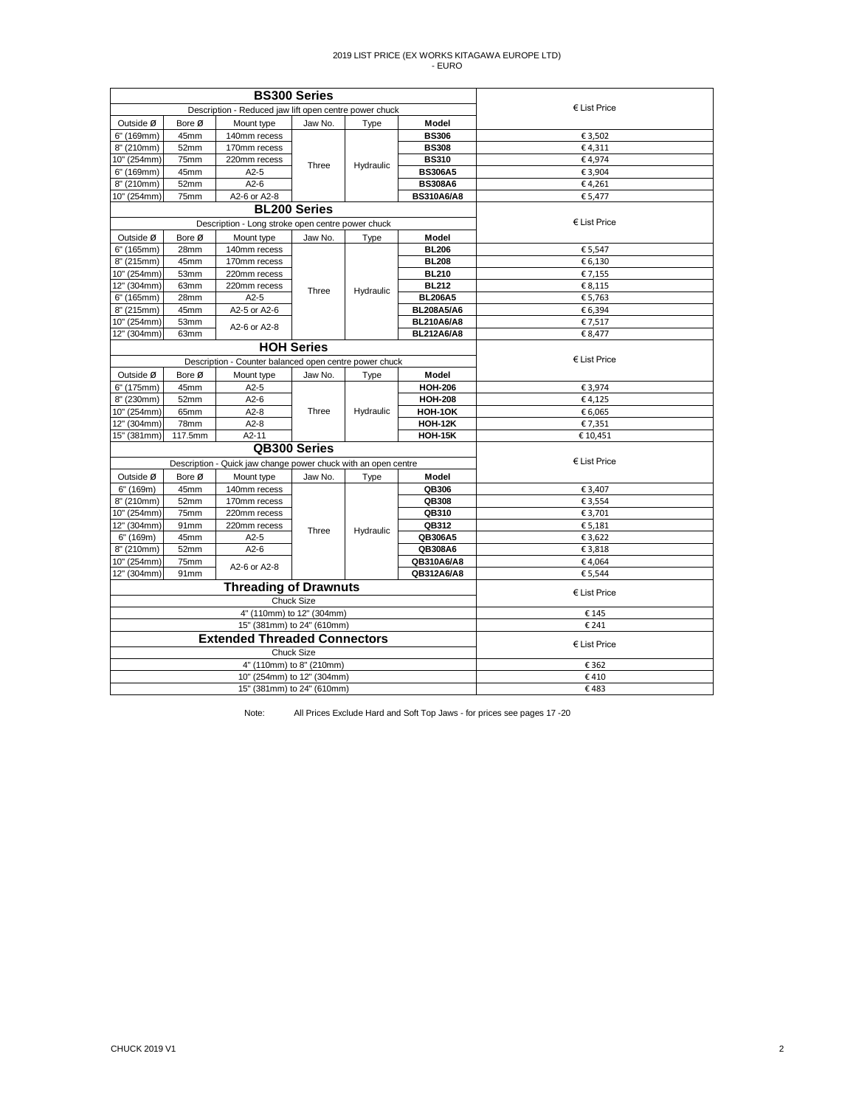|             |         |                                                                | <b>BS300 Series</b>      |           |                   |                       |
|-------------|---------|----------------------------------------------------------------|--------------------------|-----------|-------------------|-----------------------|
|             |         | Description - Reduced jaw lift open centre power chuck         |                          |           |                   | € List Price          |
| Outside Ø   | Bore Ø  | Mount type                                                     | Jaw No.                  | Type      | Model             |                       |
| 6" (169mm)  | 45mm    | 140mm recess                                                   |                          |           | <b>BS306</b>      | € 3,502               |
| 8" (210mm)  | 52mm    | 170mm recess                                                   |                          |           | <b>BS308</b>      | €4,311                |
| 10" (254mm) | 75mm    | 220mm recess                                                   | Three                    | Hydraulic | <b>BS310</b>      | €4,974                |
| 6" (169mm)  | 45mm    | $A2-5$                                                         |                          |           | <b>BS306A5</b>    | € 3,904               |
| 8" (210mm)  | 52mm    | $A2-6$                                                         |                          |           | <b>BS308A6</b>    | €4,261                |
| 10" (254mm) | 75mm    | A2-6 or A2-8                                                   |                          |           | <b>BS310A6/A8</b> | € 5,477               |
|             |         |                                                                | <b>BL200 Series</b>      |           |                   |                       |
|             |         | Description - Long stroke open centre power chuck              |                          |           |                   | € List Price          |
| Outside Ø   | Bore Ø  | Mount type                                                     | Jaw No.                  | Type      | Model             |                       |
| 6" (165mm)  | 28mm    | 140mm recess                                                   | Three                    |           | <b>BL206</b>      | € 5,547               |
| 8" (215mm)  | 45mm    | 170mm recess                                                   |                          |           | <b>BL208</b>      | € 6,130               |
| 10" (254mm) | 53mm    | 220mm recess                                                   |                          |           | <b>BL210</b>      | € 7,155               |
| 12" (304mm) | 63mm    | 220mm recess                                                   |                          | Hydraulic | <b>BL212</b>      | € 8,115               |
| 6" (165mm)  | 28mm    | $A2-5$                                                         |                          |           | <b>BL206A5</b>    | € 5,763               |
| 8" (215mm)  | 45mm    | A2-5 or A2-6                                                   |                          |           | <b>BL208A5/A6</b> | € 6,394               |
| 10" (254mm) | 53mm    | A2-6 or A2-8                                                   |                          |           | <b>BL210A6/A8</b> | € 7,517               |
| 12" (304mm) | 63mm    |                                                                |                          |           | <b>BL212A6/A8</b> | € 8,477               |
|             |         | <b>HOH Series</b>                                              |                          |           |                   |                       |
|             |         | Description - Counter balanced open centre power chuck         | € List Price             |           |                   |                       |
| Outside Ø   | Bore Ø  | Mount type                                                     | Jaw No.                  | Type      | Model             |                       |
| 6" (175mm)  | 45mm    | $A2-5$                                                         |                          | Hydraulic | <b>HOH-206</b>    | € 3,974               |
| 8" (230mm)  | 52mm    | $A2-6$                                                         |                          |           | <b>HOH-208</b>    | €4,125                |
| 10" (254mm) | 65mm    | $A2-8$                                                         | Three                    |           | HOH-1OK           | € 6,065               |
| 12" (304mm) | 78mm    | $A2-8$                                                         |                          |           | <b>HOH-12K</b>    | € 7,351               |
| 15" (381mm) | 117.5mm | $A2-11$                                                        |                          |           | <b>HOH-15K</b>    | €10,451               |
|             |         |                                                                | QB300 Series             |           |                   |                       |
|             |         | Description - Quick jaw change power chuck with an open centre |                          |           |                   | € List Price          |
| Outside Ø   | Bore Ø  | Mount type                                                     | Jaw No.                  | Type      | Model             |                       |
| 6" (169m)   | 45mm    | 140mm recess                                                   |                          |           | QB306             | € 3,407               |
| 8" (210mm)  | 52mm    | 170mm recess                                                   |                          |           | QB308             | € 3,554               |
| 10" (254mm) | 75mm    | 220mm recess                                                   |                          |           | QB310             | € 3,701               |
| 12" (304mm) | 91mm    | 220mm recess                                                   | Three                    | Hydraulic | QB312             | € 5,181               |
| 6" (169m)   | 45mm    | $A2-5$                                                         |                          |           | QB306A5           | € 3,622               |
| 8" (210mm)  | 52mm    | $A2-6$                                                         |                          |           | QB308A6           | € 3,818               |
| 10" (254mm) | 75mm    | A2-6 or A2-8                                                   |                          |           | QB310A6/A8        | €4,064                |
| 12" (304mm) | 91mm    |                                                                |                          |           | QB312A6/A8        | € 5,544               |
|             |         | <b>Threading of Drawnuts</b>                                   |                          |           |                   | $\epsilon$ List Price |
|             |         |                                                                | Chuck Size               |           |                   |                       |
|             |         | 4" (110mm) to 12" (304mm)                                      |                          |           |                   | € 145                 |
|             |         | 15" (381mm) to 24" (610mm)                                     |                          |           |                   | € 241                 |
|             |         | <b>Extended Threaded Connectors</b>                            | Chuck Size               |           |                   | € List Price          |
|             |         |                                                                | 4" (110mm) to 8" (210mm) |           |                   | € 362                 |
|             |         | 10" (254mm) to 12" (304mm)                                     |                          |           |                   | €410                  |
|             |         | 15" (381mm) to 24" (610mm)                                     |                          |           |                   | €483                  |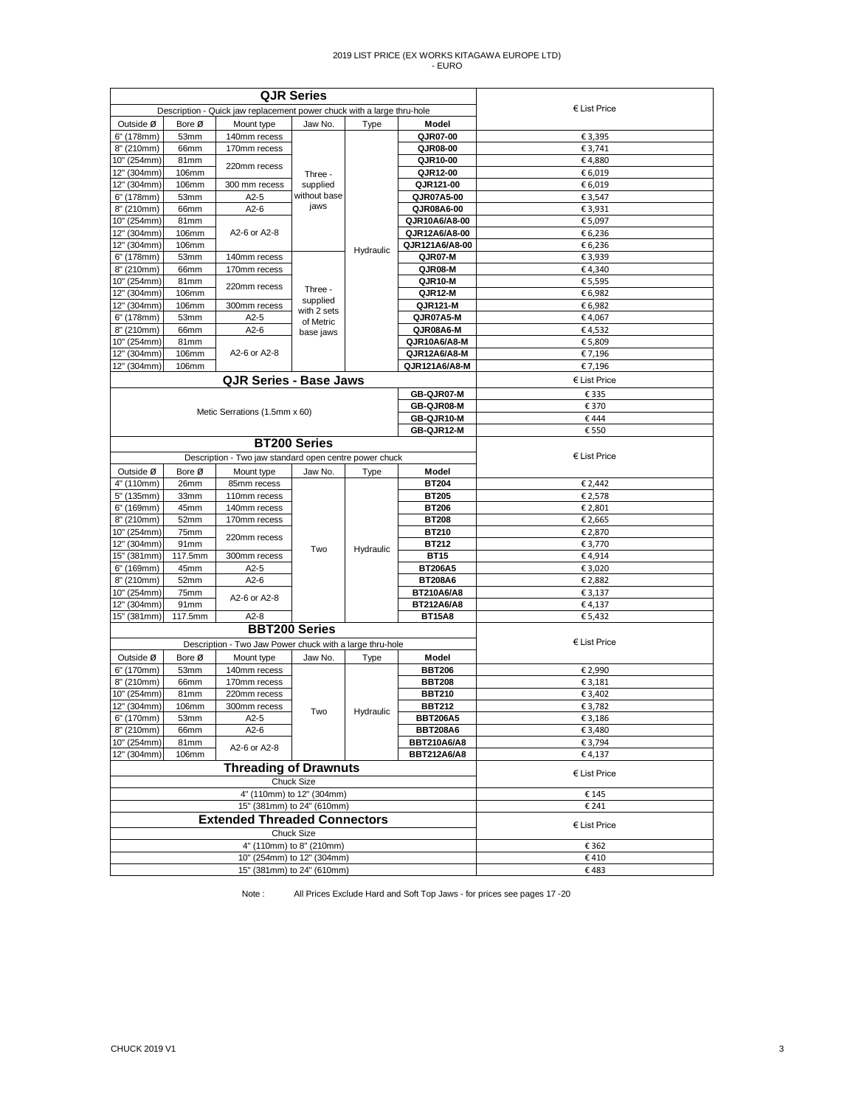|                            |               | <b>QJR Series</b>                                                      |                           |                   |                                          |                       |
|----------------------------|---------------|------------------------------------------------------------------------|---------------------------|-------------------|------------------------------------------|-----------------------|
|                            |               | Description - Quick jaw replacement power chuck with a large thru-hole |                           |                   |                                          | $\epsilon$ List Price |
| Outside Ø                  | Bore Ø        | Mount type                                                             | Jaw No.                   | Type              | Model                                    |                       |
| 6" (178mm)                 | 53mm          | 140mm recess                                                           |                           |                   | QJR07-00                                 | € 3,395               |
| 8" (210mm)                 | 66mm          | 170mm recess                                                           |                           |                   | QJR08-00                                 | € 3,741               |
| 10" (254mm)                | 81mm          | 220mm recess                                                           |                           |                   | QJR10-00                                 | €4,880                |
| 12" (304mm)                | 106mm         |                                                                        | Three -                   |                   | QJR12-00                                 | € 6,019               |
| 12" (304mm)                | 106mm         | 300 mm recess                                                          | supplied<br>without base  |                   | QJR121-00                                | € 6,019               |
| 6" (178mm)<br>8" (210mm)   | 53mm<br>66mm  | $A2-5$<br>$A2-6$                                                       | jaws                      |                   | QJR07A5-00<br>QJR08A6-00                 | € 3,547<br>€ 3,931    |
| 10" (254mm)                | 81mm          |                                                                        |                           |                   | QJR10A6/A8-00                            | € 5,097               |
| 12" (304mm)                | 106mm         | A2-6 or A2-8                                                           |                           |                   | QJR12A6/A8-00                            | € 6,236               |
| 12" (304mm)                | 106mm         |                                                                        |                           |                   | QJR121A6/A8-00                           | € 6,236               |
| 6" (178mm)                 | 53mm          | 140mm recess                                                           |                           | Hydraulic         | QJR07-M                                  | € 3,939               |
| 8" (210mm)                 | 66mm          | 170mm recess                                                           |                           |                   | QJR08-M                                  | €4,340                |
| 10" (254mm)                | 81mm          |                                                                        |                           |                   | QJR10-M                                  | € 5,595               |
| 12" (304mm)                | 106mm         | 220mm recess                                                           | Three -                   |                   | QJR12-M                                  | € 6,982               |
| 12" (304mm)                | 106mm         | 300mm recess                                                           | supplied<br>with 2 sets   |                   | QJR121-M                                 | € 6,982               |
| 6" (178mm)                 | 53mm          | $A2-5$                                                                 | of Metric                 |                   | QJR07A5-M                                | €4,067                |
| 8" (210mm)                 | 66mm          | $A2-6$                                                                 | base jaws                 |                   | QJR08A6-M                                | €4,532                |
| 10" (254mm)                | 81mm          |                                                                        |                           |                   | QJR10A6/A8-M                             | €5,809                |
| 12" (304mm)                | 106mm         | A2-6 or A2-8                                                           |                           |                   | QJR12A6/A8-M                             | € 7,196               |
| 12" (304mm)                | 106mm         |                                                                        |                           |                   | QJR121A6/A8-M                            | € 7,196               |
|                            |               | <b>QJR Series - Base Jaws</b>                                          |                           |                   |                                          | € List Price          |
|                            |               |                                                                        |                           |                   | <b>GB-QJR07-M</b>                        | € 335                 |
|                            |               | Metic Serrations (1.5mm x 60)                                          |                           |                   | GB-QJR08-M                               | € 370                 |
|                            |               |                                                                        |                           |                   | GB-QJR10-M                               | €444                  |
|                            |               |                                                                        |                           | <b>GB-QJR12-M</b> | € 550                                    |                       |
|                            |               | <b>BT200 Series</b>                                                    |                           |                   |                                          |                       |
|                            |               | Description - Two jaw standard open centre power chuck                 |                           |                   |                                          | € List Price          |
| Outside Ø                  | Bore Ø        | Mount type                                                             | Jaw No.                   | Type              | Model                                    |                       |
| 4" (110mm)                 | 26mm          | 85mm recess                                                            |                           |                   | <b>BT204</b>                             | € 2,442               |
| 5" (135mm)                 | 33mm          | 110mm recess                                                           |                           |                   | <b>BT205</b>                             | € 2,578               |
| 6" (169mm)                 | 45mm          | 140mm recess                                                           |                           |                   | <b>BT206</b>                             | € 2,801               |
| 8" (210mm)<br>10" (254mm)  | 52mm<br>75mm  | 170mm recess                                                           |                           |                   | <b>BT208</b><br>BT210                    | € 2,665<br>€ 2,870    |
| 12" (304mm)                | 91mm          | 220mm recess                                                           |                           |                   | BT212                                    | € 3,770               |
| 15" (381mm)                | 117.5mm       | 300mm recess                                                           | Two                       | Hydraulic         | <b>BT15</b>                              | €4,914                |
| 6" (169mm)                 | 45mm          | $A2-5$                                                                 |                           |                   | <b>BT206A5</b>                           | € 3,020               |
| 8" (210mm)                 | 52mm          | $A2-6$                                                                 |                           |                   | <b>BT208A6</b>                           | € 2,882               |
| 10" (254mm)                | 75mm          |                                                                        |                           |                   | BT210A6/A8                               | € 3,137               |
| 12" (304mm)                | 91mm          | A2-6 or A2-8                                                           |                           |                   | BT212A6/A8                               | €4,137                |
| 15" (381mm)                | 117.5mm       | $A2-8$                                                                 |                           |                   | <b>BT15A8</b>                            | € 5,432               |
|                            |               | <b>BBT200 Series</b>                                                   |                           |                   |                                          |                       |
|                            |               | Description - Two Jaw Power chuck with a large thru-hole               |                           |                   |                                          | $E$ List Price        |
| Outside Ø                  | Bore Ø        | Mount type                                                             | Jaw No.                   | Type              | Model                                    |                       |
| 6" (170mm)                 | 53mm          | 140mm recess                                                           |                           |                   | <b>BBT206</b>                            | € 2,990               |
| 8" (210mm)                 | 66mm          | 170mm recess                                                           |                           |                   | <b>BBT208</b>                            | € 3,181               |
| 10" (254mm)                | 81mm          | 220mm recess                                                           |                           |                   | <b>BBT210</b>                            | € 3,402               |
| 12" (304mm)                | 106mm         | 300mm recess                                                           | Two                       | Hydraulic         | <b>BBT212</b>                            | € 3,782               |
| 6" (170mm)                 | 53mm          | $A2-5$                                                                 |                           |                   | <b>BBT206A5</b>                          | € 3,186               |
| 8" (210mm)                 | 66mm          | $A2-6$                                                                 |                           |                   | <b>BBT208A6</b>                          | € 3,480               |
| 10" (254mm)<br>12" (304mm) | 81mm<br>106mm | A2-6 or A2-8                                                           |                           |                   | <b>BBT210A6/A8</b><br><b>BBT212A6/A8</b> | € 3,794<br>€4,137     |
|                            |               | <b>Threading of Drawnuts</b>                                           |                           |                   |                                          |                       |
|                            |               |                                                                        | Chuck Size                |                   |                                          | $E$ List Price        |
|                            |               |                                                                        | 4" (110mm) to 12" (304mm) |                   |                                          | € 145                 |
|                            |               | 15" (381mm) to 24" (610mm)                                             |                           |                   |                                          | € 241                 |
|                            |               | <b>Extended Threaded Connectors</b>                                    |                           |                   |                                          | $E$ List Price        |
|                            |               |                                                                        | Chuck Size                |                   |                                          |                       |
|                            |               |                                                                        | 4" (110mm) to 8" (210mm)  |                   |                                          | € 362                 |
|                            |               | 10" (254mm) to 12" (304mm)                                             |                           |                   |                                          | €410                  |
|                            |               | 15" (381mm) to 24" (610mm)                                             |                           |                   |                                          | €483                  |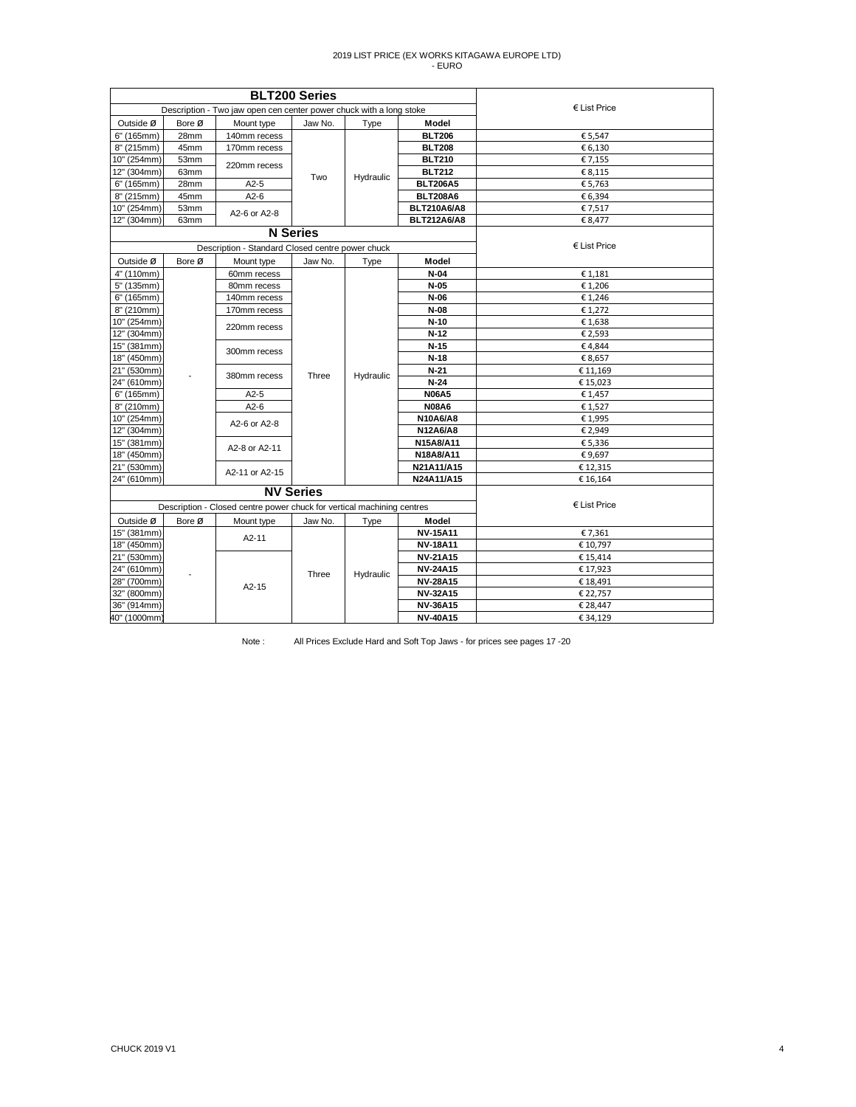|             |        |                                                                        | <b>BLT200 Series</b> |           |                    |                |
|-------------|--------|------------------------------------------------------------------------|----------------------|-----------|--------------------|----------------|
|             |        | Description - Two jaw open cen center power chuck with a long stoke    |                      |           |                    | $E$ List Price |
| Outside Ø   | Bore Ø | Mount type                                                             | Jaw No.              | Type      | Model              |                |
| 6" (165mm)  | 28mm   | 140mm recess                                                           |                      |           | <b>BLT206</b>      | € 5,547        |
| 8" (215mm)  | 45mm   | 170mm recess                                                           |                      |           | <b>BLT208</b>      | € 6,130        |
| 10" (254mm) | 53mm   | 220mm recess                                                           |                      | Hydraulic | <b>BLT210</b>      | € 7,155        |
| 12" (304mm) | 63mm   |                                                                        | Two                  |           | <b>BLT212</b>      | € 8,115        |
| 6" (165mm)  | 28mm   | $A2-5$                                                                 |                      |           | <b>BLT206A5</b>    | € 5,763        |
| 8" (215mm)  | 45mm   | $A2-6$                                                                 |                      |           | <b>BLT208A6</b>    | € 6,394        |
| 10" (254mm) | 53mm   | A2-6 or A2-8                                                           |                      |           | <b>BLT210A6/A8</b> | € 7,517        |
| 12" (304mm) | 63mm   |                                                                        |                      |           | <b>BLT212A6/A8</b> | € 8,477        |
|             |        |                                                                        | <b>N</b> Series      |           |                    |                |
|             |        | Description - Standard Closed centre power chuck                       |                      |           |                    | $E$ List Price |
| Outside Ø   | Bore Ø | Mount type                                                             | Jaw No.              | Type      | Model              |                |
| 4" (110mm)  |        | 60mm recess                                                            |                      |           | N-04               | € 1,181        |
| 5" (135mm)  |        | 80mm recess                                                            |                      |           | $N-05$             | € 1,206        |
| 6" (165mm)  |        | 140mm recess                                                           |                      | Hydraulic | N-06               | €1,246         |
| 8" (210mm)  |        | 170mm recess                                                           |                      |           | $N-08$             | € 1,272        |
| 10" (254mm) |        | 220mm recess                                                           |                      |           | $N-10$             | €1,638         |
| 12" (304mm) |        |                                                                        |                      |           | $N-12$             | € 2,593        |
| 15" (381mm) |        | 300mm recess                                                           |                      |           | $N-15$             | €4,844         |
| 18" (450mm) |        |                                                                        |                      |           | $N-18$             | € 8,657        |
| 21" (530mm) |        | 380mm recess                                                           | Three                |           | $N-21$             | € 11,169       |
| 24" (610mm) |        |                                                                        |                      |           | $N-24$             | €15,023        |
| 6" (165mm)  |        | $A2-5$                                                                 |                      |           | <b>N06A5</b>       | € 1,457        |
| 8" (210mm)  |        | $A2-6$                                                                 |                      |           | <b>N08A6</b>       | €1,527         |
| 10" (254mm) |        | A2-6 or A2-8                                                           |                      |           | N10A6/A8           | €1,995         |
| 12" (304mm) |        |                                                                        |                      |           | N12A6/A8           | € 2,949        |
| 15" (381mm) |        | A2-8 or A2-11                                                          |                      |           | N15A8/A11          | € 5,336        |
| 18" (450mm) |        |                                                                        |                      |           | N18A8/A11          | €9,697         |
| 21" (530mm) |        | A2-11 or A2-15                                                         |                      |           | N21A11/A15         | €12,315        |
| 24" (610mm) |        |                                                                        |                      |           | N24A11/A15         | € 16,164       |
|             |        |                                                                        | <b>NV Series</b>     |           |                    |                |
|             |        | Description - Closed centre power chuck for vertical machining centres |                      |           |                    | $E$ List Price |
| Outside Ø   | Bore Ø | Mount type                                                             | Jaw No.              | Type      | Model              |                |
| 15" (381mm) |        | $A2-11$                                                                |                      |           | <b>NV-15A11</b>    | € 7,361        |
| 18" (450mm) |        |                                                                        |                      |           | <b>NV-18A11</b>    | € 10,797       |
| 21" (530mm) |        |                                                                        |                      |           | <b>NV-21A15</b>    | € 15,414       |
| 24" (610mm) |        |                                                                        | Three                | Hydraulic | <b>NV-24A15</b>    | €17,923        |
| 28" (700mm) |        | $A2-15$                                                                |                      |           | <b>NV-28A15</b>    | € 18,491       |
| 32" (800mm) |        |                                                                        |                      |           | <b>NV-32A15</b>    | € 22,757       |
| 36" (914mm) |        |                                                                        |                      |           | <b>NV-36A15</b>    | € 28,447       |
| 40" (1000mm |        |                                                                        |                      |           | <b>NV-40A15</b>    | €34,129        |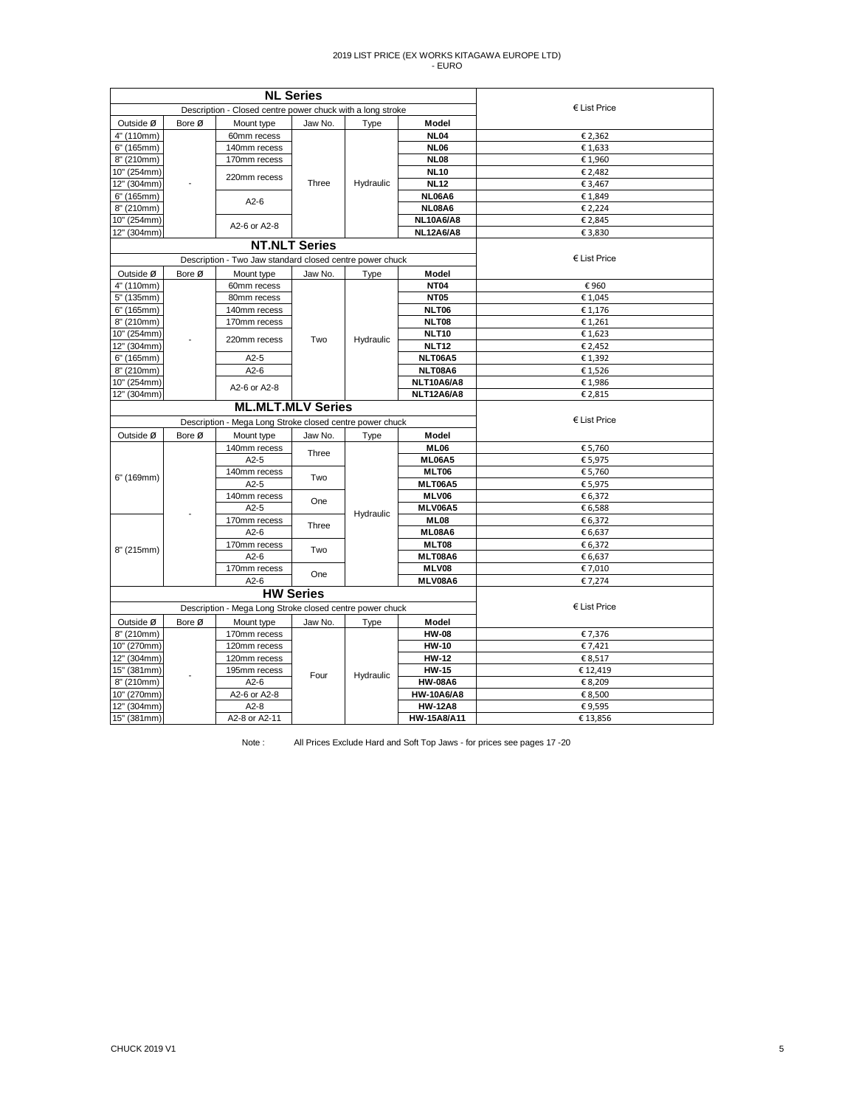|             |        | <b>NL Series</b>                                           |                  |           |                      |                    |
|-------------|--------|------------------------------------------------------------|------------------|-----------|----------------------|--------------------|
|             |        | Description - Closed centre power chuck with a long stroke |                  |           |                      | € List Price       |
| Outside Ø   | Bore Ø | Mount type                                                 | Jaw No.          | Type      | Model                |                    |
| 4" (110mm)  |        | 60mm recess                                                |                  |           | <b>NL04</b>          | € 2,362            |
| 6" (165mm)  |        | 140mm recess                                               |                  |           | <b>NL06</b>          | €1,633             |
| 8" (210mm)  |        | 170mm recess                                               |                  |           | <b>NL08</b>          | € 1,960            |
| 10" (254mm) |        | 220mm recess                                               |                  |           | <b>NL10</b>          | € 2,482            |
| 12" (304mm) |        |                                                            | Three            | Hydraulic | <b>NL12</b>          | € 3,467            |
| 6" (165mm)  |        | $A2-6$                                                     |                  |           | <b>NL06A6</b>        | €1,849             |
| 8" (210mm)  |        |                                                            |                  |           | <b>NL08A6</b>        | € 2,224            |
| 10" (254mm) |        | A2-6 or A2-8                                               |                  |           | <b>NL10A6/A8</b>     | € 2,845            |
| 12" (304mm) |        |                                                            |                  |           | <b>NL12A6/A8</b>     | € 3,830            |
|             |        | <b>NT.NLT Series</b>                                       |                  |           |                      |                    |
|             |        | Description - Two Jaw standard closed centre power chuck   |                  |           |                      | € List Price       |
| Outside Ø   | Bore Ø | Mount type                                                 | Jaw No.          | Type      | Model                |                    |
| 4" (110mm)  |        | 60mm recess                                                |                  |           | <b>NT04</b>          | €960               |
| 5" (135mm)  |        | 80mm recess                                                |                  |           | <b>NT05</b>          | €1,045             |
| 6" (165mm)  |        | 140mm recess                                               |                  |           | <b>NLT06</b>         | € 1,176            |
| 8" (210mm)  |        | 170mm recess                                               |                  |           | <b>NLT08</b>         | € 1,261            |
| 10" (254mm) |        | 220mm recess                                               | Two              | Hydraulic | <b>NLT10</b>         | €1,623             |
| 12" (304mm) |        |                                                            |                  |           | <b>NLT12</b>         | € 2,452            |
| 6" (165mm)  |        | $A2-5$                                                     |                  |           | NLT06A5              | € 1,392            |
| 8" (210mm)  |        | $A2-6$                                                     |                  |           | NLT08A6              | €1,526             |
| 10" (254mm) |        | A2-6 or A2-8                                               |                  |           | NLT10A6/A8           | € 1,986            |
| 12" (304mm) |        | <b>ML.MLT.MLV Series</b>                                   |                  |           | <b>NLT12A6/A8</b>    | € 2,815            |
|             |        |                                                            | € List Price     |           |                      |                    |
|             |        | Description - Mega Long Stroke closed centre power chuck   |                  |           |                      |                    |
| Outside Ø   | Bore Ø | Mount type<br>140mm recess                                 | Jaw No.          | Type      | Model<br><b>ML06</b> |                    |
|             |        | $A2-5$                                                     | Three            |           | <b>ML06A5</b>        | € 5,760<br>€ 5,975 |
|             |        | 140mm recess                                               |                  |           | MLT06                | € 5,760            |
| 6" (169mm)  |        | $A2-5$                                                     | Two              |           | MLT06A5              | € 5,975            |
|             |        | 140mm recess                                               |                  |           | MLV06                | € 6,372            |
|             |        | $A2-5$                                                     | One              |           | MLV06A5              | € 6,588            |
|             |        | 170mm recess                                               |                  | Hydraulic | <b>ML08</b>          | € 6,372            |
|             |        | $A2-6$                                                     | Three            |           | ML08A6               | € 6,637            |
|             |        | 170mm recess                                               | Two              |           | MLT08                | € 6,372            |
| 8" (215mm)  |        | $A2-6$                                                     |                  |           | MLT08A6              | € 6,637            |
|             |        | 170mm recess                                               | One              |           | MLV08                | € 7,010            |
|             |        | $A2-6$                                                     |                  |           | MLV08A6              | € 7,274            |
|             |        |                                                            | <b>HW Series</b> |           |                      |                    |
|             |        | Description - Mega Long Stroke closed centre power chuck   |                  |           |                      | € List Price       |
| Outside Ø   | Bore Ø | Mount type                                                 | Jaw No.          | Type      | Model                |                    |
| 8" (210mm)  |        | 170mm recess                                               |                  |           | <b>HW-08</b>         | € 7,376            |
| 10" (270mm) |        | 120mm recess                                               |                  |           | <b>HW-10</b>         | € 7,421            |
| 12" (304mm) |        | 120mm recess                                               |                  |           | <b>HW-12</b>         | € 8,517            |
| 15" (381mm) |        | 195mm recess                                               | Four             | Hydraulic | <b>HW-15</b>         | €12,419            |
| 8" (210mm)  |        | $A2-6$                                                     |                  |           | <b>HW-08A6</b>       | € 8,209            |
| 10" (270mm) |        | A2-6 or A2-8                                               |                  |           | <b>HW-10A6/A8</b>    | € 8,500            |
| 12" (304mm) |        | $A2-8$                                                     |                  |           | <b>HW-12A8</b>       | €9,595             |
| 15" (381mm) |        | A2-8 or A2-11                                              |                  |           | HW-15A8/A11          | € 13,856           |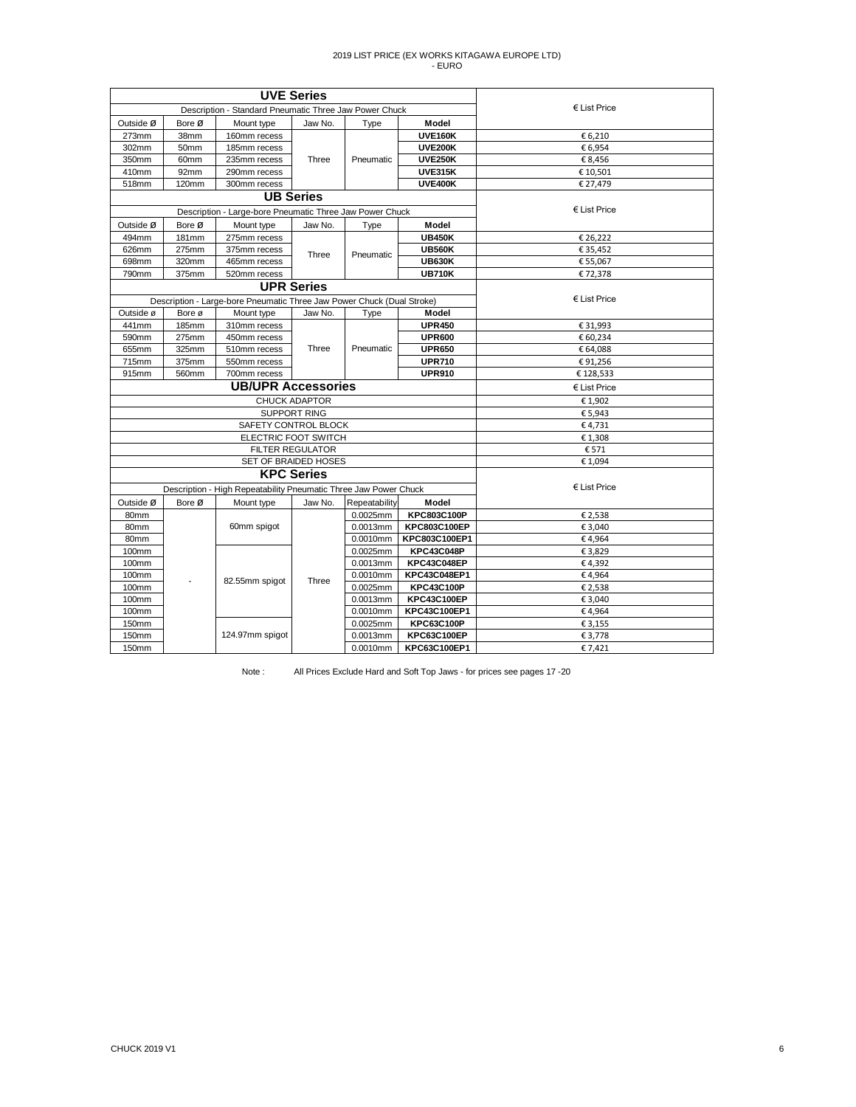|           |                  | <b>UVE Series</b>                                                      |                         |               |                    |                       |
|-----------|------------------|------------------------------------------------------------------------|-------------------------|---------------|--------------------|-----------------------|
|           |                  | Description - Standard Pneumatic Three Jaw Power Chuck                 |                         |               |                    | $\epsilon$ List Price |
| Outside Ø | Bore Ø           | Mount type                                                             | Jaw No.                 | Type          | Model              |                       |
| 273mm     | 38mm             | 160mm recess                                                           |                         |               | <b>UVE160K</b>     | € 6,210               |
| 302mm     | 50mm             | 185mm recess                                                           |                         |               | <b>UVE200K</b>     | € 6,954               |
| 350mm     | 60 <sub>mm</sub> | 235mm recess                                                           | Three                   | Pneumatic     | <b>UVE250K</b>     | € 8,456               |
| 410mm     | 92mm             | 290mm recess                                                           |                         |               | <b>UVE315K</b>     | € 10,501              |
| 518mm     | 120mm            | 300mm recess                                                           |                         |               | <b>UVE400K</b>     | € 27,479              |
|           |                  | <b>UB Series</b>                                                       |                         |               |                    |                       |
|           |                  | Description - Large-bore Pneumatic Three Jaw Power Chuck               |                         |               |                    | € List Price          |
| Outside Ø | Bore Ø           | Mount type                                                             | Jaw No.                 | Type          | Model              |                       |
| 494mm     | <b>181mm</b>     | 275mm recess                                                           |                         |               | <b>UB450K</b>      | € 26,222              |
| 626mm     | 275mm            | 375mm recess                                                           | Three                   | Pneumatic     | <b>UB560K</b>      | € 35,452              |
| 698mm     | 320mm            | 465mm recess                                                           |                         |               | <b>UB630K</b>      | € 55,067              |
| 790mm     | 375mm            | 520mm recess                                                           |                         |               | <b>UB710K</b>      | €72,378               |
|           |                  |                                                                        | <b>UPR Series</b>       |               |                    |                       |
|           |                  | Description - Large-bore Pneumatic Three Jaw Power Chuck (Dual Stroke) |                         |               |                    | € List Price          |
| Outside ø | Bore ø           | Mount type                                                             | Jaw No.                 | Type          | Model              |                       |
| 441mm     | 185mm            | 310mm recess                                                           |                         |               | <b>UPR450</b>      | € 31,993              |
| 590mm     | 275mm            | 450mm recess                                                           |                         |               | <b>UPR600</b>      | € 60,234              |
| 655mm     | 325mm            | 510mm recess                                                           | Three                   | Pneumatic     | <b>UPR650</b>      | € 64,088              |
| 715mm     | 375mm            | 550mm recess                                                           |                         |               | <b>UPR710</b>      | €91,256               |
| 915mm     | 560mm            | 700mm recess                                                           |                         |               | <b>UPR910</b>      | € 128,533             |
|           |                  | <b>UB/UPR Accessories</b>                                              | € List Price            |               |                    |                       |
|           |                  |                                                                        | <b>CHUCK ADAPTOR</b>    |               |                    | €1,902                |
|           |                  |                                                                        | <b>SUPPORT RING</b>     |               |                    | €5,943                |
|           |                  | SAFETY CONTROL BLOCK                                                   |                         |               |                    | €4,731                |
|           |                  | ELECTRIC FOOT SWITCH                                                   |                         |               |                    | €1,308                |
|           |                  |                                                                        | <b>FILTER REGULATOR</b> |               |                    | € 571                 |
|           |                  | SET OF BRAIDED HOSES                                                   |                         |               |                    | € 1,094               |
|           |                  |                                                                        | <b>KPC Series</b>       |               |                    |                       |
|           |                  | Description - High Repeatability Pneumatic Three Jaw Power Chuck       |                         |               |                    | € List Price          |
| Outside Ø | Bore Ø           | Mount type                                                             | Jaw No.                 | Repeatability | Model              |                       |
| 80mm      |                  |                                                                        |                         | 0.0025mm      | KPC803C100P        | € 2,538               |
| 80mm      |                  | 60mm spigot                                                            |                         | 0.0013mm      | KPC803C100EP       | € 3,040               |
| 80mm      |                  |                                                                        |                         | 0.0010mm      | KPC803C100EP1      | €4,964                |
| 100mm     |                  |                                                                        |                         | 0.0025mm      | <b>KPC43C048P</b>  | €3,829                |
| 100mm     |                  |                                                                        |                         | 0.0013mm      | KPC43C048EP        | €4,392                |
| 100mm     |                  | 82.55mm spigot                                                         | Three                   | 0.0010mm      | KPC43C048EP1       | €4,964                |
| 100mm     |                  |                                                                        |                         | $0.0025$ mm   | <b>KPC43C100P</b>  | € 2,538               |
| 100mm     |                  |                                                                        |                         | 0.0013mm      | <b>KPC43C100EP</b> | € 3,040               |
| 100mm     |                  |                                                                        |                         | 0.0010mm      | KPC43C100EP1       | €4,964                |
| 150mm     |                  |                                                                        |                         | 0.0025mm      | <b>KPC63C100P</b>  | € 3,155               |
| 150mm     |                  | 124.97mm spigot                                                        |                         | 0.0013mm      | <b>KPC63C100EP</b> | € 3,778               |
| 150mm     |                  |                                                                        |                         | 0.0010mm      | KPC63C100EP1       | € 7,421               |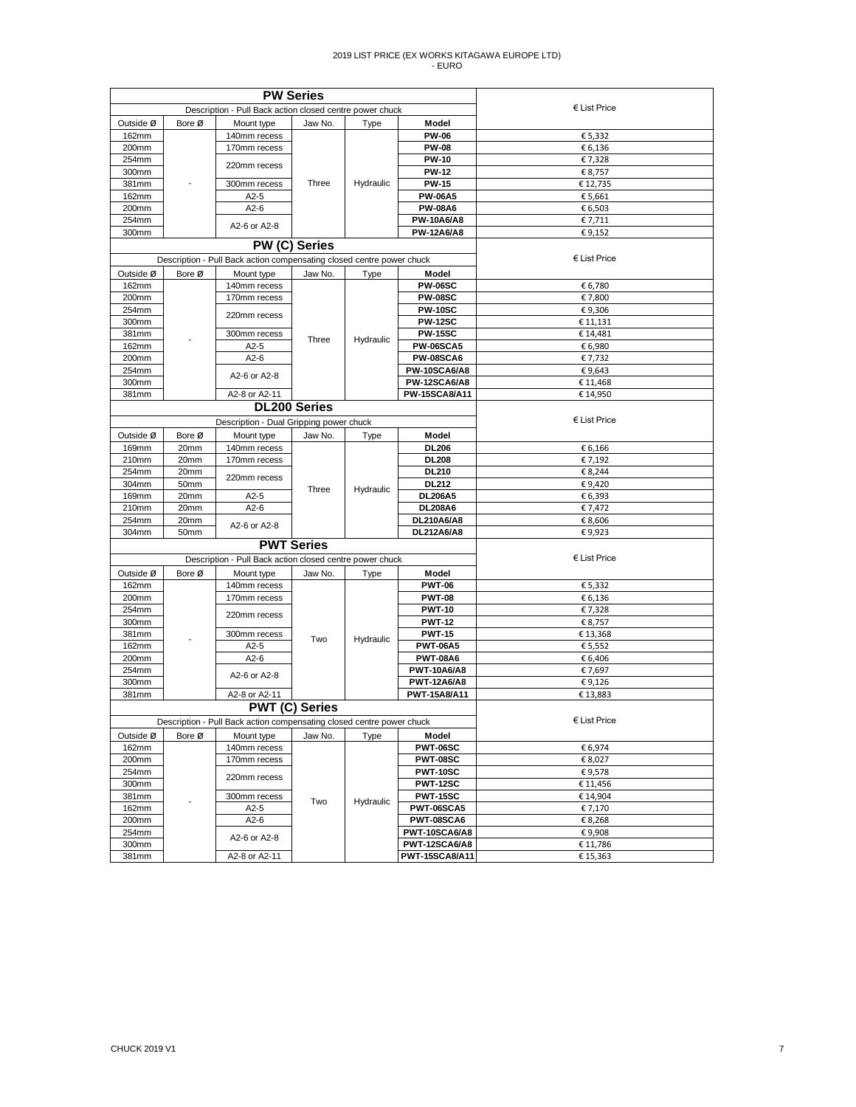|                |        | <b>PW Series</b>                                                      |                       |           |                                     |                       |
|----------------|--------|-----------------------------------------------------------------------|-----------------------|-----------|-------------------------------------|-----------------------|
|                |        | Description - Pull Back action closed centre power chuck              |                       |           |                                     | $\epsilon$ List Price |
| Outside Ø      | Bore Ø | Mount type                                                            | Jaw No.               | Type      | Model                               |                       |
| 162mm          |        | 140mm recess                                                          |                       |           | <b>PW-06</b>                        | € 5,332               |
| 200mm          |        | 170mm recess                                                          |                       |           | <b>PW-08</b>                        | € 6,136               |
| 254mm          |        | 220mm recess                                                          |                       |           | <b>PW-10</b>                        | €7,328                |
| 300mm          |        |                                                                       |                       |           | <b>PW-12</b>                        | € 8,757               |
| 381mm          |        | 300mm recess                                                          | Three                 | Hydraulic | <b>PW-15</b>                        | €12,735               |
| 162mm          |        | $A2-5$<br>$A2-6$                                                      |                       |           | <b>PW-06A5</b>                      | € 5,661               |
| 200mm<br>254mm |        |                                                                       |                       |           | <b>PW-08A6</b><br><b>PW-10A6/A8</b> | € 6,503<br>€ 7,711    |
| 300mm          |        | A2-6 or A2-8                                                          |                       |           | <b>PW-12A6/A8</b>                   | €9,152                |
|                |        | <b>PW (C) Series</b>                                                  |                       |           |                                     |                       |
|                |        | Description - Pull Back action compensating closed centre power chuck |                       |           |                                     | $E$ List Price        |
| Outside Ø      | Bore Ø | Mount type                                                            | Jaw No.               | Type      | Model                               |                       |
| 162mm          |        | 140mm recess                                                          |                       |           | <b>PW-06SC</b>                      | € 6,780               |
| 200mm          |        | 170mm recess                                                          |                       |           | <b>PW-08SC</b>                      | €7,800                |
| 254mm          |        |                                                                       |                       |           | <b>PW-10SC</b>                      | €9,306                |
| 300mm          |        | 220mm recess                                                          |                       |           | <b>PW-12SC</b>                      | € 11,131              |
| 381mm          |        | 300mm recess                                                          |                       |           | <b>PW-15SC</b>                      | €14,481               |
| 162mm          |        | $A2-5$                                                                | Three                 | Hydraulic | <b>PW-06SCA5</b>                    | € 6,980               |
| 200mm          |        | $A2-6$                                                                |                       |           | <b>PW-08SCA6</b>                    | €7,732                |
| 254mm          |        | A2-6 or A2-8                                                          |                       |           | PW-10SCA6/A8                        | €9,643                |
| 300mm          |        |                                                                       |                       |           | <b>PW-12SCA6/A8</b>                 | € 11,468              |
| 381mm          |        | A2-8 or A2-11                                                         |                       |           | <b>PW-15SCA8/A11</b>                | € 14,950              |
|                |        |                                                                       | <b>DL200 Series</b>   |           |                                     |                       |
|                |        | Description - Dual Gripping power chuck                               |                       |           |                                     | $E$ List Price        |
| Outside Ø      | Bore Ø | Mount type                                                            | Jaw No.               | Type      | Model                               |                       |
| 169mm          | 20mm   | 140mm recess                                                          |                       |           | <b>DL206</b>                        | € 6,166               |
| 210mm          | 20mm   | 170mm recess                                                          |                       |           | <b>DL208</b>                        | € 7,192               |
| 254mm          | 20mm   |                                                                       |                       |           | <b>DL210</b>                        | € 8,244               |
| 304mm          | 50mm   | 220mm recess                                                          |                       |           | <b>DL212</b>                        | €9,420                |
| 169mm          | 20mm   | $A2-5$                                                                | Three                 | Hydraulic | <b>DL206A5</b>                      | € 6,393               |
| 210mm          | 20mm   | $A2-6$                                                                |                       |           | <b>DL208A6</b>                      | € 7,472               |
| 254mm          | 20mm   | A2-6 or A2-8                                                          |                       |           | DL210A6/A8                          | € 8,606               |
| 304mm          | 50mm   |                                                                       |                       |           | DL212A6/A8                          | €9,923                |
|                |        |                                                                       | <b>PWT Series</b>     |           |                                     |                       |
|                |        | Description - Pull Back action closed centre power chuck              |                       |           |                                     | $E$ List Price        |
| Outside Ø      | Bore Ø | Mount type                                                            | Jaw No.               | Type      | Model                               |                       |
| 162mm          |        | 140mm recess                                                          |                       |           | <b>PWT-06</b>                       | € 5,332               |
| 200mm          |        | 170mm recess                                                          |                       |           | <b>PWT-08</b>                       | € 6,136               |
| 254mm          |        | 220mm recess                                                          |                       |           | <b>PWT-10</b>                       | €7,328                |
| 300mm          |        |                                                                       |                       |           | <b>PWT-12</b>                       | € 8,757               |
| 381mm          |        | 300mm recess                                                          | Two                   | Hydraulic | <b>PWT-15</b>                       | €13,368               |
| 162mm          |        | $A2-5$                                                                |                       |           | <b>PWT-06A5</b>                     | € 5,552               |
| 200mm          |        | $A2-6$                                                                |                       |           | <b>PWT-08A6</b>                     | € 6,406               |
| 254mm          |        | A2-6 or A2-8                                                          |                       |           | <b>PWT-10A6/A8</b>                  | € 7,697               |
| 300mm          |        |                                                                       |                       |           | <b>PWT-12A6/A8</b>                  | €9,126                |
| 381mm          |        | A2-8 or A2-11                                                         |                       |           | <b>PWT-15A8/A11</b>                 | €13,883               |
|                |        |                                                                       | <b>PWT (C) Series</b> |           |                                     |                       |
|                |        | Description - Pull Back action compensating closed centre power chuck |                       |           |                                     | $E$ List Price        |
| Outside Ø      | Bore Ø | Mount type                                                            | Jaw No.               | Type      | Model                               |                       |
| 162mm          |        | 140mm recess                                                          |                       |           | <b>PWT-06SC</b>                     | € 6,974               |
| 200mm          |        | 170mm recess                                                          |                       |           | <b>PWT-08SC</b>                     | € 8,027               |
| 254mm          |        | 220mm recess                                                          |                       |           | <b>PWT-10SC</b>                     | €9,578                |
| 300mm          |        |                                                                       |                       |           | <b>PWT-12SC</b>                     | € 11,456              |
| 381mm          |        | 300mm recess                                                          | Two                   | Hydraulic | <b>PWT-15SC</b>                     | € 14,904              |
| 162mm          |        | $A2-5$                                                                |                       |           | <b>PWT-06SCA5</b>                   | € 7,170               |
| 200mm          |        | $A2-6$                                                                |                       |           | PWT-08SCA6                          | € 8,268               |
| 254mm          |        | A2-6 or A2-8                                                          |                       |           | PWT-10SCA6/A8                       | €9,908                |
| 300mm          |        |                                                                       |                       |           | PWT-12SCA6/A8                       | € 11,786              |
| 381mm          |        | A2-8 or A2-11                                                         |                       |           | <b>PWT-15SCA8/A11</b>               | € 15,363              |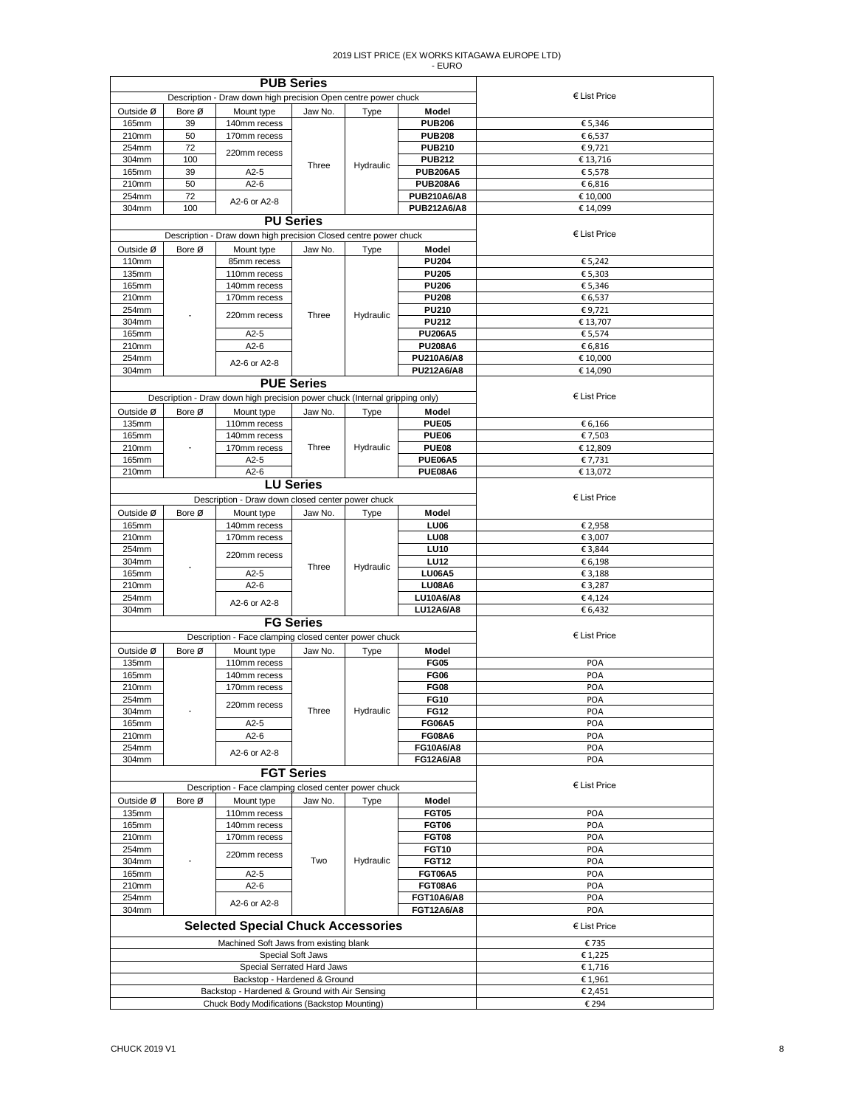|           |        | <b>PUB Series</b>                                                           |                   |           |                    |                       |
|-----------|--------|-----------------------------------------------------------------------------|-------------------|-----------|--------------------|-----------------------|
|           |        | Description - Draw down high precision Open centre power chuck              |                   |           |                    | $\epsilon$ List Price |
| Outside Ø | Bore Ø | Mount type                                                                  | Jaw No.           | Type      | Model              |                       |
| 165mm     | 39     | 140mm recess                                                                |                   |           | <b>PUB206</b>      | € 5,346               |
| 210mm     | 50     | 170mm recess                                                                |                   |           | <b>PUB208</b>      | € 6,537               |
| 254mm     | 72     |                                                                             |                   |           | <b>PUB210</b>      | €9,721                |
| 304mm     | 100    | 220mm recess                                                                |                   |           | <b>PUB212</b>      | € 13,716              |
| 165mm     | 39     | $A2-5$                                                                      | Three             | Hydraulic | <b>PUB206A5</b>    | € 5,578               |
| 210mm     | 50     | $A2-6$                                                                      |                   |           | <b>PUB208A6</b>    | € 6,816               |
| 254mm     | 72     |                                                                             |                   |           | PUB210A6/A8        | € 10,000              |
| 304mm     | 100    | A2-6 or A2-8                                                                |                   |           | <b>PUB212A6/A8</b> | € 14,099              |
|           |        | <b>PU Series</b>                                                            |                   |           |                    |                       |
|           |        |                                                                             |                   |           |                    |                       |
|           |        | Description - Draw down high precision Closed centre power chuck            |                   |           |                    | $\epsilon$ List Price |
| Outside Ø | Bore Ø | Mount type                                                                  | Jaw No.           | Type      | Model              |                       |
| 110mm     |        | 85mm recess                                                                 |                   |           | <b>PU204</b>       | € 5,242               |
| 135mm     |        | 110mm recess                                                                |                   |           | <b>PU205</b>       | € 5,303               |
| 165mm     |        | 140mm recess                                                                |                   |           | <b>PU206</b>       | € 5,346               |
| 210mm     |        | 170mm recess                                                                |                   |           | <b>PU208</b>       | € 6,537               |
| 254mm     |        |                                                                             |                   |           | <b>PU210</b>       | €9,721                |
| 304mm     |        | 220mm recess                                                                | Three             | Hydraulic | <b>PU212</b>       | € 13,707              |
| 165mm     |        | $A2-5$                                                                      |                   |           | <b>PU206A5</b>     | € 5,574               |
| 210mm     |        | $A2-6$                                                                      |                   |           | <b>PU208A6</b>     | € 6,816               |
| 254mm     |        |                                                                             |                   |           | PU210A6/A8         | € 10,000              |
| 304mm     |        | A2-6 or A2-8                                                                |                   |           | <b>PU212A6/A8</b>  | € 14,090              |
|           |        |                                                                             | <b>PUE Series</b> |           |                    |                       |
|           |        |                                                                             |                   |           |                    |                       |
|           |        | Description - Draw down high precision power chuck (Internal gripping only) |                   |           |                    | $E$ List Price        |
| Outside Ø | Bore Ø | Mount type                                                                  | Jaw No.           | Type      | Model              |                       |
| 135mm     |        | 110mm recess                                                                |                   |           | PUE05              | € 6,166               |
| 165mm     |        | 140mm recess                                                                |                   |           | PUE06              | €7,503                |
| 210mm     |        | 170mm recess                                                                | Three             | Hydraulic | PUE08              | €12,809               |
| 165mm     |        | $A2-5$                                                                      |                   |           | <b>PUE06A5</b>     | € 7,731               |
| 210mm     |        | $A2-6$                                                                      |                   |           | PUE08A6            | € 13,072              |
|           |        |                                                                             | <b>LU Series</b>  |           |                    |                       |
|           |        |                                                                             |                   |           |                    | $E$ List Price        |
|           |        | Description - Draw down closed center power chuck                           |                   |           |                    |                       |
| Outside Ø | Bore Ø | Mount type                                                                  | Jaw No.           | Type      | Model              |                       |
| 165mm     |        | 140mm recess                                                                |                   |           | <b>LU06</b>        | € 2,958               |
| 210mm     |        | 170mm recess                                                                |                   |           | LU08               | € 3,007               |
| 254mm     |        | 220mm recess                                                                |                   |           | <b>LU10</b>        | € 3,844               |
| 304mm     |        |                                                                             | Three             | Hydraulic | <b>LU12</b>        | € 6,198               |
| 165mm     |        | $A2-5$                                                                      |                   |           | <b>LU06A5</b>      | € 3,188               |
| 210mm     |        | $A2-6$                                                                      |                   |           | <b>LU08A6</b>      | € 3,287               |
| 254mm     |        | A2-6 or A2-8                                                                |                   |           | LU10A6/A8          | €4,124                |
| 304mm     |        |                                                                             |                   |           | LU12A6/A8          | € 6,432               |
|           |        |                                                                             | <b>FG Series</b>  |           |                    |                       |
|           |        | Description - Face clamping closed center power chuck                       |                   |           |                    | $E$ List Price        |
| Outside Ø | Bore Ø | Mount type                                                                  | Jaw No.           | Type      | Model              |                       |
| 135mm     |        | 110mm recess                                                                |                   |           | <b>FG05</b>        | POA                   |
| 165mm     |        | 140mm recess                                                                |                   |           | <b>FG06</b>        | POA                   |
|           |        | 170mm recess                                                                |                   |           | <b>FG08</b>        |                       |
| 210mm     |        |                                                                             |                   |           |                    | POA                   |
| 254mm     |        | 220mm recess                                                                |                   |           | <b>FG10</b>        | POA                   |
| 304mm     |        |                                                                             | Three             | Hydraulic | <b>FG12</b>        | POA                   |
| 165mm     |        | $A2-5$                                                                      |                   |           | <b>FG06A5</b>      | POA                   |
| 210mm     |        | $A2-6$                                                                      |                   |           | <b>FG08A6</b>      | POA                   |
| 254mm     |        | A2-6 or A2-8                                                                |                   |           | FG10A6/A8          | POA                   |
| 304mm     |        |                                                                             |                   |           | FG12A6/A8          | POA                   |
|           |        |                                                                             | <b>FGT Series</b> |           |                    |                       |
|           |        | Description - Face clamping closed center power chuck                       |                   |           |                    | $\epsilon$ List Price |
| Outside Ø | Bore Ø | Mount type                                                                  | Jaw No.           | Type      | Model              |                       |
| 135mm     |        | 110mm recess                                                                |                   |           | <b>FGT05</b>       | POA                   |
| 165mm     |        | 140mm recess                                                                |                   |           | <b>FGT06</b>       | POA                   |
| 210mm     |        | 170mm recess                                                                |                   |           | <b>FGT08</b>       | POA                   |
| 254mm     |        |                                                                             |                   |           | <b>FGT10</b>       | POA                   |
| 304mm     |        | 220mm recess                                                                | Two               | Hydraulic | <b>FGT12</b>       | POA                   |
| 165mm     |        | $A2-5$                                                                      |                   |           | <b>FGT06A5</b>     | POA                   |
|           |        |                                                                             |                   |           |                    |                       |
| 210mm     |        | $A2-6$                                                                      |                   |           | <b>FGT08A6</b>     | POA                   |
| 254mm     |        | A2-6 or A2-8                                                                |                   |           | <b>FGT10A6/A8</b>  | POA                   |
| 304mm     |        |                                                                             |                   |           | <b>FGT12A6/A8</b>  | POA                   |
|           |        | <b>Selected Special Chuck Accessories</b>                                   |                   |           |                    | $E$ List Price        |
|           |        | Machined Soft Jaws from existing blank                                      |                   |           |                    | €735                  |
|           |        |                                                                             | Special Soft Jaws |           |                    | €1,225                |
|           |        | Special Serrated Hard Jaws                                                  |                   |           |                    | € 1,716               |
|           |        | Backstop - Hardened & Ground                                                |                   |           |                    | € 1,961               |
|           |        | Backstop - Hardened & Ground with Air Sensing                               |                   |           |                    | € 2,451               |
|           |        | Chuck Body Modifications (Backstop Mounting)                                | € 294             |           |                    |                       |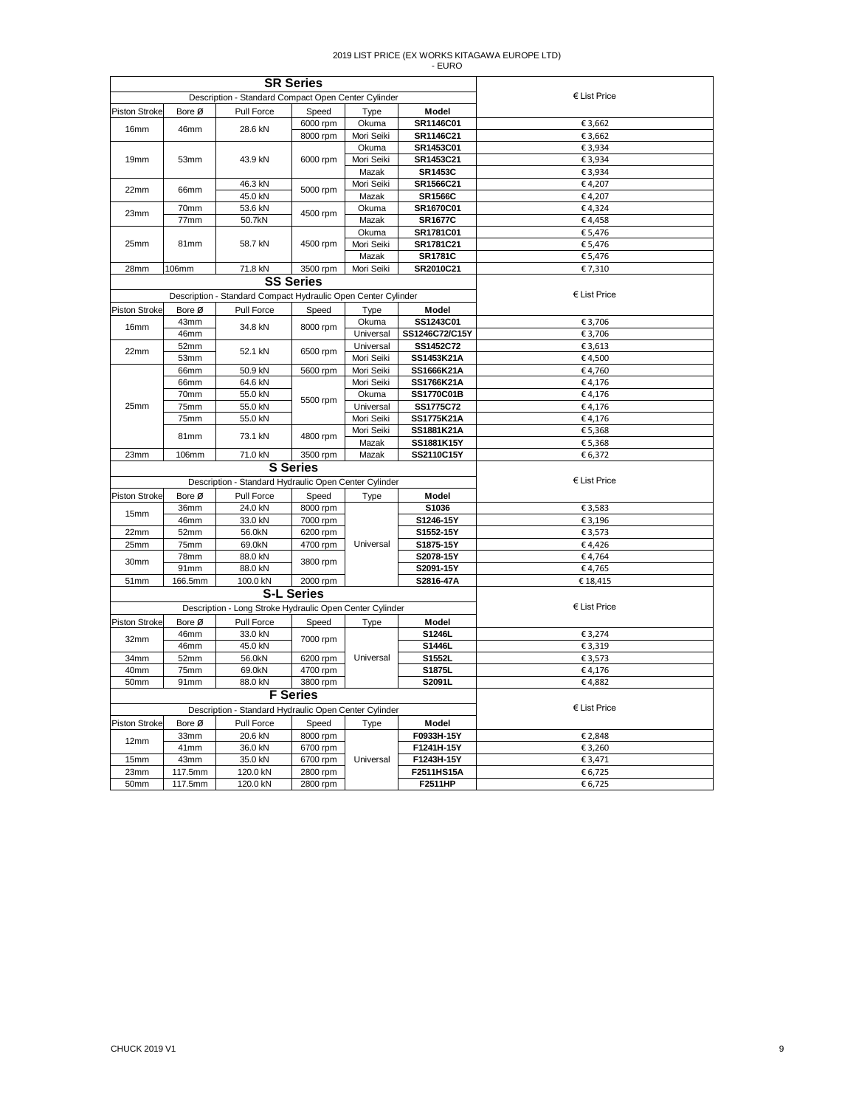|                      |              |                                                               | <b>SR Series</b>  |                |                |                       |
|----------------------|--------------|---------------------------------------------------------------|-------------------|----------------|----------------|-----------------------|
|                      |              | Description - Standard Compact Open Center Cylinder           |                   |                |                | $E$ List Price        |
| <b>Piston Stroke</b> | Bore Ø       | Pull Force                                                    | Speed             | Type           | Model          |                       |
|                      |              |                                                               | 6000 rpm          | Okuma          | SR1146C01      | € 3,662               |
| 16 <sub>mm</sub>     | 46mm         | 28.6 kN                                                       | 8000 rpm          | Mori Seiki     | SR1146C21      | € 3,662               |
|                      |              |                                                               |                   | Okuma          | SR1453C01      | € 3,934               |
| 19 <sub>mm</sub>     | 53mm         | 43.9 kN                                                       | 6000 rpm          | Mori Seiki     | SR1453C21      | € 3,934               |
|                      |              |                                                               |                   | Mazak          | <b>SR1453C</b> | € 3,934               |
|                      |              | 46.3 kN                                                       | 5000 rpm          | Mori Seiki     | SR1566C21      | €4,207                |
| 22mm                 | 66mm         | 45.0 kN                                                       |                   | Mazak          | <b>SR1566C</b> | €4,207                |
| 23mm                 | 70mm         | 53.6 kN                                                       |                   | Okuma          | SR1670C01      | €4,324                |
|                      | 77mm         | 50.7kN                                                        | 4500 rpm          | Mazak          | <b>SR1677C</b> | €4,458                |
|                      |              |                                                               |                   | Okuma          | SR1781C01      | € 5,476               |
| 25mm                 | 81mm         | 58.7 kN                                                       | 4500 rpm          | Mori Seiki     | SR1781C21      | € 5,476               |
|                      |              |                                                               | Mazak             | <b>SR1781C</b> | € 5,476        |                       |
| 28mm                 | <b>106mm</b> | 71.8 kN                                                       | 3500 rpm          | Mori Seiki     | SR2010C21      | € 7,310               |
|                      |              |                                                               | <b>SS Series</b>  |                |                |                       |
|                      |              | Description - Standard Compact Hydraulic Open Center Cylinder |                   |                |                | $\epsilon$ List Price |
| <b>Piston Stroke</b> | Bore Ø       | Pull Force                                                    | Speed             | Type           | Model          |                       |
|                      | 43mm         |                                                               |                   | Okuma          | SS1243C01      | € 3,706               |
| 16mm                 | 46mm         | 34.8 kN                                                       | 8000 rpm          | Universal      | SS1246C72/C15Y | € 3,706               |
|                      | 52mm         |                                                               |                   | Universal      | SS1452C72      | €3,613                |
| 22mm                 | 53mm         | 52.1 kN                                                       | 6500 rpm          | Mori Seiki     | SS1453K21A     | €4,500                |
|                      | 66mm         | 50.9 kN                                                       | 5600 rpm          | Mori Seiki     | SS1666K21A     | €4,760                |
|                      | 66mm         | 64.6 kN                                                       |                   | Mori Seiki     | SS1766K21A     | €4,176                |
|                      | 70mm         | 55.0 kN                                                       |                   | Okuma          | SS1770C01B     | €4,176                |
| 25mm                 | 75mm         | 55.0 kN                                                       | 5500 rpm          | Universal      | SS1775C72      | €4,176                |
|                      | 75mm         | 55.0 kN                                                       |                   | Mori Seiki     | SS1775K21A     | €4,176                |
|                      |              |                                                               |                   | Mori Seiki     | SS1881K21A     | € 5,368               |
|                      | 81mm         | 73.1 kN                                                       | 4800 rpm          | Mazak          | SS1881K15Y     | € 5,368               |
| 23mm                 | 106mm        | 71.0 kN                                                       | 3500 rpm          | Mazak          | SS2110C15Y     | € 6,372               |
|                      |              |                                                               | <b>S</b> Series   |                |                |                       |
|                      |              | Description - Standard Hydraulic Open Center Cylinder         |                   |                |                | $E$ List Price        |
|                      |              |                                                               |                   |                |                |                       |
| <b>Piston Stroke</b> | Bore Ø       | Pull Force                                                    | Speed             | Type           | Model          |                       |
| 15mm                 | 36mm         | 24.0 kN                                                       | 8000 rpm          |                | S1036          | €3,583                |
|                      | 46mm         | 33.0 kN                                                       | 7000 rpm          |                | S1246-15Y      | € 3,196               |
| 22mm                 | 52mm         | 56.0kN                                                        | 6200 rpm          |                | S1552-15Y      | €3,573                |
| 25mm                 | 75mm         | 69.0kN                                                        | 4700 rpm          | Universal      | S1875-15Y      | €4,426                |
| 30mm                 | 78mm         | 88.0 kN                                                       | 3800 rpm          |                | S2078-15Y      | €4,764                |
|                      | 91mm         | 88.0 kN                                                       |                   |                | S2091-15Y      | €4,765                |
| 51mm                 | 166.5mm      | 100.0 kN                                                      | 2000 rpm          |                | S2816-47A      | €18,415               |
|                      |              |                                                               | <b>S-L Series</b> |                |                |                       |
|                      |              | Description - Long Stroke Hydraulic Open Center Cylinder      |                   |                |                | € List Price          |
| <b>Piston Stroke</b> | Bore Ø       | Pull Force                                                    | Speed             | Type           | Model          |                       |
| 32mm                 | 46mm         | 33.0 kN                                                       | 7000 rpm          |                | S1246L         | € 3,274               |
|                      | 46mm         | 45.0 kN                                                       |                   |                | S1446L         | € 3,319               |
| 34mm                 | 52mm         | 56.0kN                                                        | 6200 rpm          | Universal      | S1552L         | € 3,573               |
| 40mm                 | 75mm         | 69.0kN                                                        | 4700 rpm          |                | S1875L         | €4,176                |
| 50mm                 | 91mm         | 88.0 kN                                                       | 3800 rpm          |                | S2091L         | €4.882                |
|                      |              |                                                               | <b>F</b> Series   |                |                |                       |
|                      |              | Description - Standard Hydraulic Open Center Cylinder         |                   |                |                | € List Price          |
| <b>Piston Stroke</b> | Bore Ø       | Pull Force                                                    | Speed             | Type           | Model          |                       |
|                      | 33mm         | 20.6 kN                                                       | 8000 rpm          |                | F0933H-15Y     | € 2,848               |
| 12mm                 | 41mm         | 36.0 kN                                                       | 6700 rpm          |                | F1241H-15Y     | € 3,260               |
| 15mm                 | 43mm         | 35.0 kN                                                       | 6700 rpm          | Universal      | F1243H-15Y     | € 3,471               |
| 23mm                 | 117.5mm      | 120.0 kN                                                      | 2800 rpm          |                | F2511HS15A     | € 6,725               |
| 50mm                 | 117.5mm      | 120.0 kN                                                      | 2800 rpm          |                | F2511HP        | € 6,725               |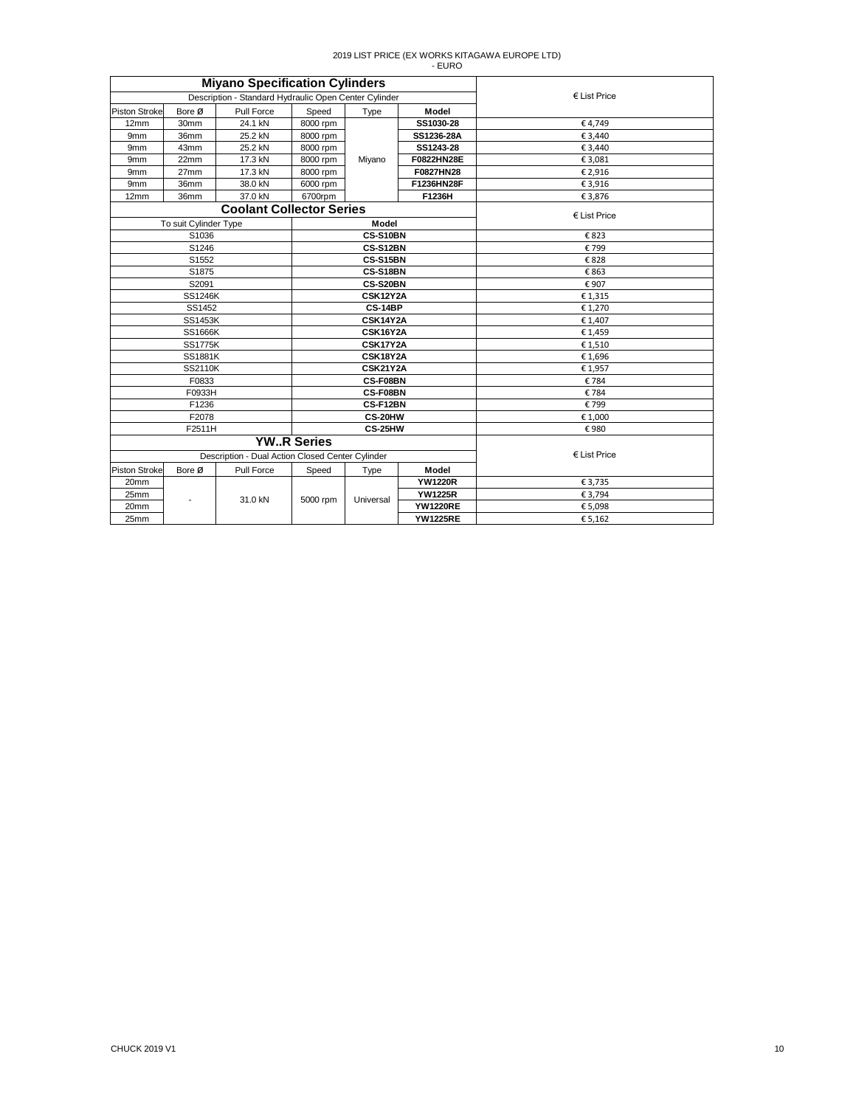|                      |                       | <b>Miyano Specification Cylinders</b>                 |                       |                 |                 |                       |
|----------------------|-----------------------|-------------------------------------------------------|-----------------------|-----------------|-----------------|-----------------------|
|                      |                       | Description - Standard Hydraulic Open Center Cylinder |                       |                 |                 | $\epsilon$ List Price |
| <b>Piston Stroke</b> | Bore Ø                | Pull Force                                            | Speed                 | Type            | Model           |                       |
| 12mm                 | 30mm                  | 24.1 kN                                               | 8000 rpm              |                 | SS1030-28       | €4.749                |
| 9 <sub>mm</sub>      | 36mm                  | 25.2 kN                                               | 8000 rpm              |                 | SS1236-28A      | € 3.440               |
| 9 <sub>mm</sub>      | 43mm                  | 25.2 kN                                               | 8000 rpm              |                 | SS1243-28       | € 3,440               |
| 9 <sub>mm</sub>      | 22mm                  | 17.3 kN                                               | 8000 rpm              | Miyano          | F0822HN28E      | € 3,081               |
| 9 <sub>mm</sub>      | 27mm                  | 17.3 kN                                               | 8000 rpm              |                 | F0827HN28       | € 2,916               |
| 9 <sub>mm</sub>      | 36mm                  | 38.0 kN                                               | 6000 rpm              |                 | F1236HN28F      | € 3,916               |
| 12mm                 | 36mm                  | 37.0 kN                                               | 6700rpm               |                 | F1236H          | € 3,876               |
|                      |                       | <b>Coolant Collector Series</b>                       | $\epsilon$ List Price |                 |                 |                       |
|                      | To suit Cylinder Type |                                                       |                       | <b>Model</b>    |                 |                       |
|                      | S1036                 |                                                       |                       | CS-S10BN        |                 | €823                  |
|                      | S1246                 |                                                       |                       | CS-S12BN        |                 | €799                  |
|                      | S1552                 |                                                       |                       | CS-S15BN        |                 | €828                  |
|                      | S1875                 |                                                       |                       | CS-S18BN        |                 | € 863                 |
|                      | S2091                 |                                                       |                       | CS-S20BN        |                 | €907                  |
| <b>SS1246K</b>       |                       |                                                       |                       | <b>CSK12Y2A</b> |                 | €1,315                |
| SS1452               |                       |                                                       |                       | <b>CS-14BP</b>  |                 | € 1,270               |
|                      | <b>SS1453K</b>        |                                                       | CSK14Y2A              |                 |                 | € 1,407               |
|                      | <b>SS1666K</b>        |                                                       | CSK16Y2A              |                 |                 | €1,459                |
|                      | <b>SS1775K</b>        |                                                       | CSK17Y2A              |                 |                 | € 1,510               |
|                      | <b>SS1881K</b>        |                                                       | <b>CSK18Y2A</b>       |                 |                 | € 1,696               |
|                      | SS2110K               |                                                       | <b>CSK21Y2A</b>       |                 |                 | € 1,957               |
|                      | F0833                 |                                                       |                       | CS-F08BN        |                 | €784                  |
|                      | F0933H                |                                                       |                       | CS-F08BN        |                 | €784                  |
|                      | F1236                 |                                                       |                       | CS-F12BN        |                 | €799                  |
|                      | F2078                 |                                                       |                       | CS-20HW         |                 | € 1,000               |
|                      | F2511H                |                                                       |                       | CS-25HW         |                 | €980                  |
|                      |                       |                                                       | <b>YWR Series</b>     |                 |                 |                       |
|                      |                       | Description - Dual Action Closed Center Cylinder      |                       |                 |                 | $\epsilon$ List Price |
| <b>Piston Stroke</b> | Bore Ø                | Pull Force                                            | Speed                 | Type            | Model           |                       |
| 20 <sub>mm</sub>     |                       |                                                       |                       |                 | <b>YW1220R</b>  | € 3,735               |
| 25mm                 |                       | 31.0 kN                                               | 5000 rpm              | Universal       | <b>YW1225R</b>  | € 3,794               |
| 20mm                 |                       |                                                       |                       |                 | <b>YW1220RE</b> | € 5,098               |
| 25mm                 |                       |                                                       |                       |                 | <b>YW1225RE</b> | € 5,162               |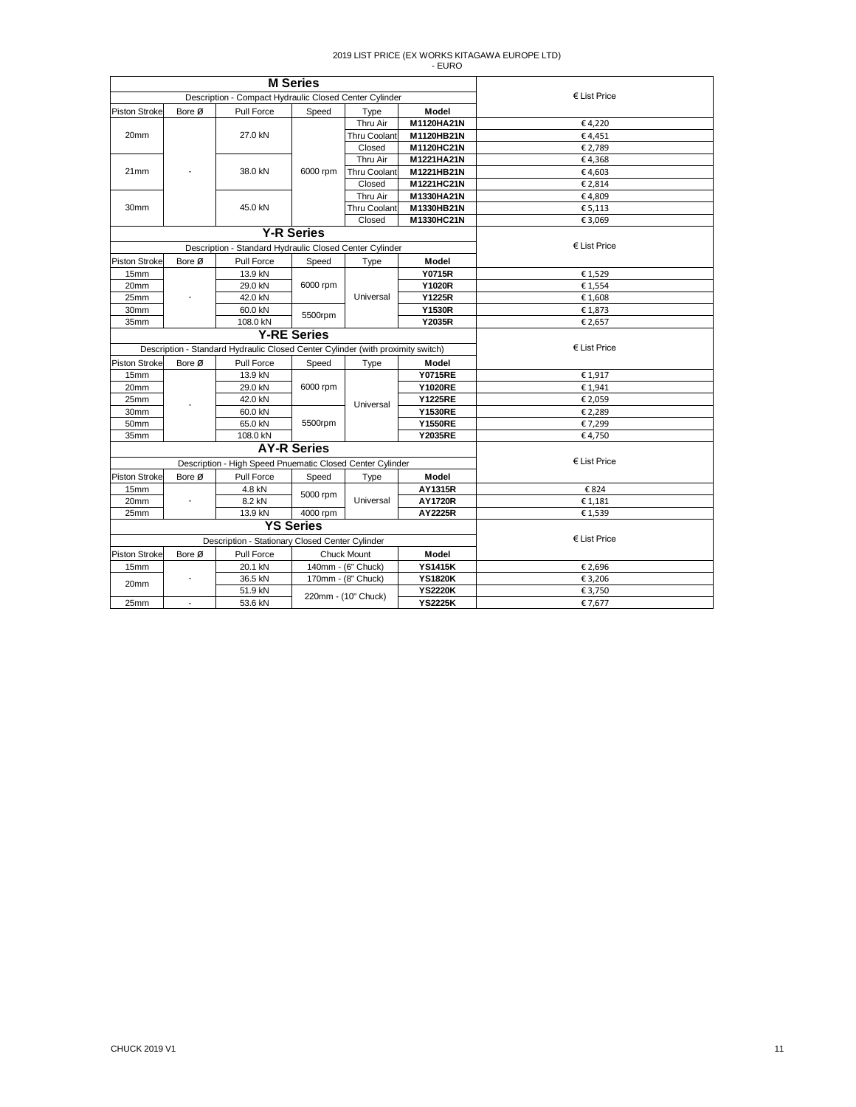|                      |        |                                                                                 | <b>M</b> Series    |                     |                |                       |
|----------------------|--------|---------------------------------------------------------------------------------|--------------------|---------------------|----------------|-----------------------|
|                      |        | Description - Compact Hydraulic Closed Center Cylinder                          |                    |                     |                | $\epsilon$ List Price |
| <b>Piston Stroke</b> | Bore Ø | Pull Force                                                                      | Speed              | Type                | Model          |                       |
|                      |        |                                                                                 |                    | Thru Air            | M1120HA21N     | €4,220                |
| 20mm                 |        | 27.0 kN                                                                         |                    | <b>Thru Coolant</b> | M1120HB21N     | €4,451                |
|                      |        |                                                                                 |                    | Closed              | M1120HC21N     | € 2,789               |
|                      |        |                                                                                 |                    | Thru Air            | M1221HA21N     | €4,368                |
| 21mm                 |        | 38.0 kN                                                                         | 6000 rpm           | Thru Coolant        | M1221HB21N     | €4,603                |
|                      |        |                                                                                 |                    | Closed              | M1221HC21N     | € 2,814               |
|                      |        |                                                                                 |                    | Thru Air            | M1330HA21N     | €4,809                |
| 30 <sub>mm</sub>     |        | 45.0 kN                                                                         |                    | <b>Thru Coolant</b> | M1330HB21N     | € 5,113               |
|                      |        |                                                                                 |                    | Closed              | M1330HC21N     | € 3,069               |
|                      |        |                                                                                 | <b>Y-R Series</b>  |                     |                |                       |
|                      |        | Description - Standard Hydraulic Closed Center Cylinder                         |                    |                     |                | $\epsilon$ List Price |
| <b>Piston Stroke</b> | Bore Ø | Pull Force                                                                      | Speed              | Type                | Model          |                       |
| 15mm                 |        | 13.9 kN                                                                         |                    |                     | <b>Y0715R</b>  | €1,529                |
| 20mm                 |        | 29.0 kN                                                                         | 6000 rpm           | Universal           | <b>Y1020R</b>  | €1,554                |
| 25mm                 |        | 42.0 kN                                                                         |                    |                     | Y1225R         | €1,608                |
| 30mm                 |        | 60.0 kN                                                                         |                    |                     | <b>Y1530R</b>  | €1,873                |
| 35mm                 |        | 108.0 kN                                                                        | 5500rpm            |                     | <b>Y2035R</b>  | € 2,657               |
|                      |        | <b>Y-RE Series</b>                                                              |                    |                     |                |                       |
|                      |        | Description - Standard Hydraulic Closed Center Cylinder (with proximity switch) | $E$ List Price     |                     |                |                       |
| <b>Piston Stroke</b> | Bore Ø | Pull Force                                                                      | Speed              | Type                | Model          |                       |
| 15 <sub>mm</sub>     |        | 13.9 kN                                                                         |                    |                     | <b>Y0715RE</b> | €1,917                |
| 20mm                 |        | 29.0 kN                                                                         | 6000 rpm           |                     | <b>Y1020RE</b> | € 1,941               |
| 25mm                 |        | 42.0 kN                                                                         |                    |                     | <b>Y1225RE</b> | € 2,059               |
| 30mm                 |        | 60.0 kN                                                                         |                    | Universal           | <b>Y1530RE</b> | € 2,289               |
| 50mm                 |        | 65.0 kN                                                                         | 5500rpm            |                     | <b>Y1550RE</b> | € 7,299               |
| 35mm                 |        | 108.0 kN                                                                        |                    |                     | <b>Y2035RE</b> | €4,750                |
|                      |        |                                                                                 | <b>AY-R Series</b> |                     |                |                       |
|                      |        | Description - High Speed Pnuematic Closed Center Cylinder                       |                    |                     |                | $E$ List Price        |
| Piston Stroke        | Bore Ø | Pull Force                                                                      | Speed              | Type                | Model          |                       |
| 15mm                 |        | 4.8 kN                                                                          |                    |                     | AY1315R        | €824                  |
| 20mm                 |        | 8.2 kN                                                                          | 5000 rpm           | Universal           | <b>AY1720R</b> | € 1,181               |
| 25mm                 |        | 13.9 kN                                                                         | 4000 rpm           |                     | AY2225R        | €1,539                |
|                      |        |                                                                                 | <b>YS Series</b>   |                     |                |                       |
|                      |        | Description - Stationary Closed Center Cylinder                                 |                    |                     |                | $E$ List Price        |
| <b>Piston Stroke</b> | Bore Ø | Pull Force                                                                      |                    | <b>Chuck Mount</b>  | Model          |                       |
| 15mm                 |        | 20.1 kN                                                                         |                    | 140mm - (6" Chuck)  | <b>YS1415K</b> | € 2,696               |
|                      |        | 36.5 kN                                                                         |                    | 170mm - (8" Chuck)  | <b>YS1820K</b> | € 3,206               |
| 20mm                 |        | 51.9 kN                                                                         |                    |                     | <b>YS2220K</b> | € 3,750               |
| 25mm                 |        | 53.6 kN                                                                         |                    | 220mm - (10" Chuck) | <b>YS2225K</b> | € 7,677               |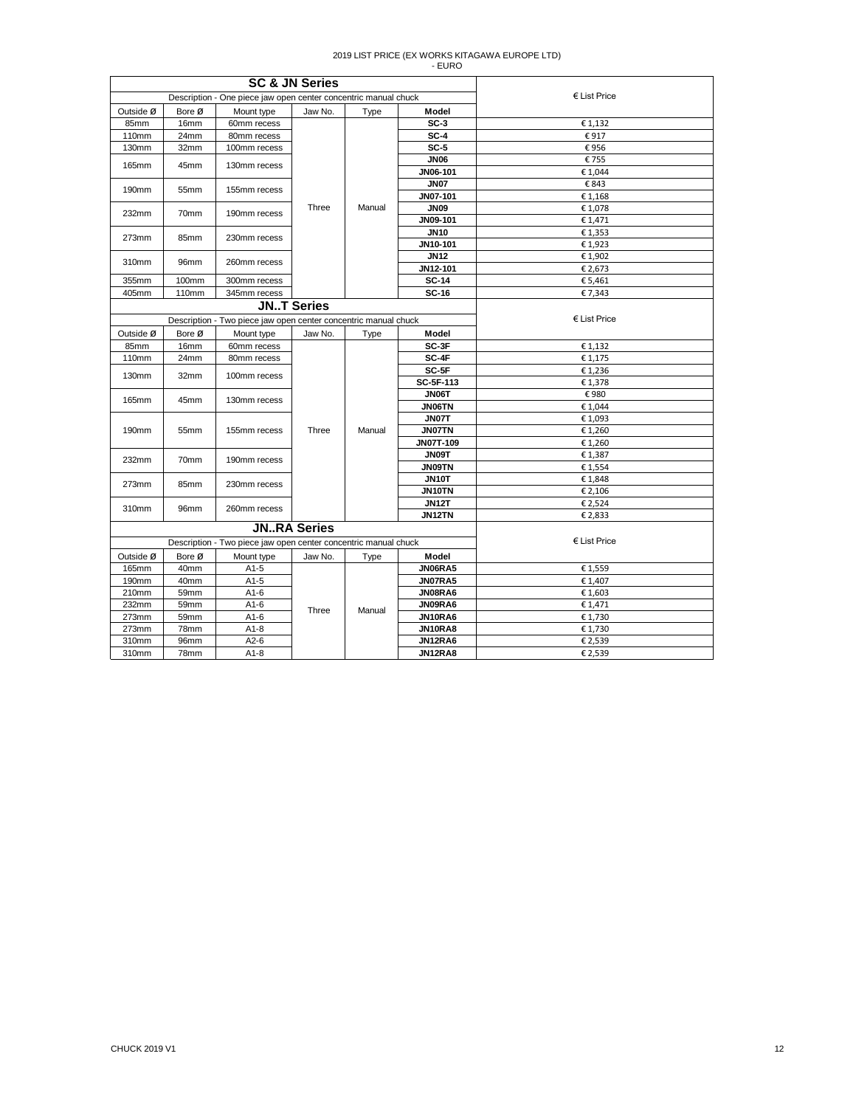|                |                  | <b>SC &amp; JN Series</b>                                       |                    |        |                               |                       |
|----------------|------------------|-----------------------------------------------------------------|--------------------|--------|-------------------------------|-----------------------|
|                |                  | Description - One piece jaw open center concentric manual chuck |                    |        |                               | $\epsilon$ List Price |
| Outside Ø      | Bore Ø           | Mount type                                                      | Jaw No.            | Type   | Model                         |                       |
| 85mm           | 16mm             | 60mm recess                                                     |                    |        | $SC-3$                        | €1,132                |
| 110mm          | 24mm             | 80mm recess                                                     |                    |        | $SC-4$                        | €917                  |
| 130mm          | 32mm             | 100mm recess                                                    |                    |        | $SC-5$                        | €956                  |
| 165mm          | 45mm             | 130mm recess                                                    |                    |        | <b>JN06</b>                   | €755                  |
|                |                  |                                                                 |                    |        | JN06-101                      | €1,044                |
| 190mm          | 55mm             | 155mm recess                                                    |                    |        | <b>JN07</b>                   | €843                  |
|                |                  |                                                                 |                    |        | JN07-101                      | €1,168                |
| 232mm          | 70mm             | 190mm recess                                                    | Three              | Manual | <b>JN09</b>                   | €1,078                |
|                |                  |                                                                 |                    |        | JN09-101                      | € 1,471               |
| 273mm          | 85mm             | 230mm recess                                                    |                    |        | <b>JN10</b>                   | € 1,353               |
|                |                  |                                                                 |                    |        | JN10-101                      | €1,923                |
| 310mm          | 96mm             | 260mm recess                                                    |                    |        | <b>JN12</b>                   | €1,902                |
|                |                  |                                                                 |                    |        | JN12-101                      | € 2,673               |
| 355mm          | 100mm            | 300mm recess                                                    |                    |        | <b>SC-14</b>                  | € 5,461               |
| 405mm          | 110mm            | 345mm recess                                                    |                    |        | <b>SC-16</b>                  | €7,343                |
|                |                  | <b>JNT Series</b>                                               |                    |        |                               |                       |
|                |                  | Description - Two piece jaw open center concentric manual chuck | $E$ List Price     |        |                               |                       |
| Outside Ø      | Bore Ø           | Mount type                                                      | Jaw No.            | Type   | Model                         |                       |
| 85mm           | 16 <sub>mm</sub> | 60mm recess                                                     |                    |        | SC-3F                         | €1,132                |
| 110mm          | 24mm             | 80mm recess                                                     |                    |        | SC-4F                         | € 1,175               |
| 130mm          | 32mm             | 100mm recess                                                    |                    |        | SC-5F                         | €1,236                |
|                |                  |                                                                 |                    |        | SC-5F-113                     | €1,378                |
| 165mm          | 45mm             | 130mm recess                                                    |                    |        | JN06T                         | €980                  |
|                |                  |                                                                 |                    |        | <b>JN06TN</b>                 | €1,044                |
|                |                  |                                                                 |                    |        | <b>JN07T</b>                  | €1,093                |
| 190mm          | 55mm             | 155mm recess                                                    | Three              | Manual | <b>JN07TN</b>                 | € 1,260               |
|                |                  |                                                                 |                    |        | JN07T-109                     | €1,260                |
| 232mm          | 70mm             | 190mm recess                                                    |                    |        | JN09T                         | €1,387                |
|                |                  |                                                                 |                    |        | <b>JN09TN</b><br><b>JN10T</b> | € 1,554               |
| 273mm          | 85mm             | 230mm recess                                                    |                    |        |                               | €1,848                |
|                |                  |                                                                 |                    |        | <b>JN10TN</b><br><b>JN12T</b> | € 2,106<br>€ 2,524    |
| 310mm          | 96mm             | 260mm recess                                                    |                    |        | JN12TN                        | € 2,833               |
|                |                  |                                                                 | <b>JNRA Series</b> |        |                               |                       |
|                |                  | Description - Two piece jaw open center concentric manual chuck |                    |        |                               | $E$ List Price        |
| Outside Ø      | Bore Ø           |                                                                 |                    |        | Model                         |                       |
| 165mm          | 40mm             | Mount type<br>A1-5                                              | Jaw No.            | Type   | JN06RA5                       | €1,559                |
| 190mm          | 40mm             | $A1-5$                                                          |                    |        | JN07RA5                       | € 1,407               |
| 210mm          |                  |                                                                 |                    |        | JN08RA6                       |                       |
| 232mm          | 59mm<br>59mm     | A1-6<br>$A1-6$                                                  |                    |        | JN09RA6                       | €1,603<br>€ 1,471     |
|                |                  |                                                                 | Three              | Manual | JN10RA6                       |                       |
| 273mm<br>273mm | 59mm<br>78mm     | A1-6<br>$A1-8$                                                  |                    |        | JN10RA8                       | € 1,730<br>€ 1,730    |
| 310mm          | 96mm             | A <sub>2</sub> -6                                               |                    |        | JN12RA6                       | € 2,539               |
| 310mm          | 78mm             | $A1-8$                                                          |                    |        | JN12RA8                       | € 2,539               |
|                |                  |                                                                 |                    |        |                               |                       |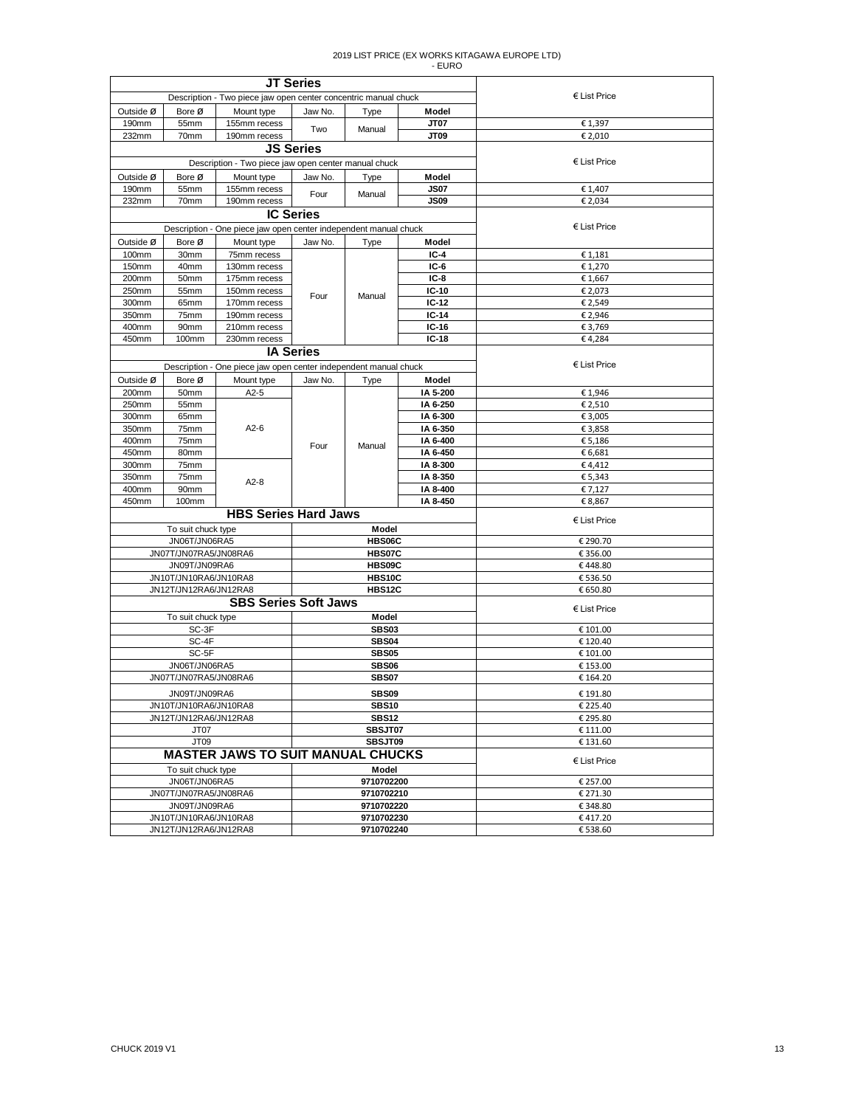| <b>JT Series</b>                                                |                                                |                                                                  |                             |                          |                      |                       |
|-----------------------------------------------------------------|------------------------------------------------|------------------------------------------------------------------|-----------------------------|--------------------------|----------------------|-----------------------|
| Description - Two piece jaw open center concentric manual chuck |                                                |                                                                  |                             | $\epsilon$ List Price    |                      |                       |
| Outside Ø                                                       | Bore Ø                                         | Mount type                                                       | Jaw No.                     | Type                     | Model                |                       |
| 190mm                                                           | 55mm                                           | 155mm recess                                                     | Two                         | Manual                   | <b>JT07</b>          | € 1,397               |
| 70mm<br>190mm recess<br>232mm                                   |                                                |                                                                  |                             |                          | JT09                 | € 2,010               |
|                                                                 |                                                |                                                                  | <b>JS Series</b>            |                          |                      |                       |
|                                                                 |                                                | Description - Two piece jaw open center manual chuck             |                             |                          |                      | € List Price          |
| Outside Ø                                                       | Bore Ø                                         | Mount type                                                       | Jaw No.                     | Type                     | Model                |                       |
| 190mm<br>232mm                                                  | 55mm<br>70mm                                   | 155mm recess<br>190mm recess                                     | Four                        | Manual                   | JS07<br>JS09         | € 1,407<br>€ 2,034    |
|                                                                 |                                                |                                                                  | <b>IC Series</b>            |                          |                      |                       |
|                                                                 |                                                | Description - One piece jaw open center independent manual chuck |                             |                          |                      | $E$ List Price        |
| Outside Ø                                                       | Bore Ø                                         | Mount type                                                       | Jaw No.                     | Type                     | Model                |                       |
| 100mm                                                           | 30mm                                           | 75mm recess                                                      |                             |                          | $IC-4$               | € 1,181               |
| 150mm                                                           | 40mm                                           | 130mm recess                                                     |                             |                          | $IC-6$               | € 1,270               |
| 200mm                                                           | 50mm                                           | 175mm recess                                                     |                             |                          | $IC-8$               | € 1,667               |
| 250mm                                                           | 55mm                                           | 150mm recess                                                     | Four                        | Manual                   | $IC-10$              | € 2,073               |
| 300mm                                                           | 65mm                                           | 170mm recess                                                     |                             |                          | $IC-12$              | € 2,549               |
| 350mm                                                           | 75mm                                           | 190mm recess                                                     |                             |                          | $IC-14$              | € 2,946               |
| 400mm                                                           | 90mm                                           | 210mm recess                                                     |                             |                          | $IC-16$              | € 3,769               |
| 450mm                                                           | 100mm                                          | 230mm recess                                                     |                             |                          | IC-18                | €4,284                |
|                                                                 |                                                |                                                                  | <b>IA Series</b>            |                          |                      | $\epsilon$ List Price |
|                                                                 |                                                | Description - One piece jaw open center independent manual chuck |                             |                          |                      |                       |
| Outside Ø                                                       | Bore Ø                                         | Mount type                                                       | Jaw No.                     | Type                     | Model                |                       |
| 200mm<br>250mm                                                  | 50mm<br>55mm                                   | $A2-5$                                                           |                             |                          | IA 5-200<br>IA 6-250 | €1,946<br>€ 2,510     |
| 300mm                                                           | 65mm                                           |                                                                  |                             |                          | IA 6-300             | € 3,005               |
| 350mm                                                           | 75mm                                           | $A2-6$                                                           |                             |                          | IA 6-350             | € 3,858               |
| 400mm                                                           | 75mm                                           |                                                                  |                             |                          | IA 6-400             | € 5,186               |
| 450mm                                                           | 80mm                                           |                                                                  | Four                        | Manual                   | IA 6-450             | € 6,681               |
| 300mm                                                           | 75mm                                           |                                                                  |                             |                          | IA 8-300             | €4,412                |
| 350mm                                                           | 75mm                                           | $A2-8$                                                           |                             |                          | IA 8-350             | € 5,343               |
| 400mm                                                           | 90mm                                           |                                                                  |                             |                          | IA 8-400             | € 7,127               |
| 450mm                                                           | 100mm                                          |                                                                  |                             |                          | IA 8-450             | € 8,867               |
|                                                                 |                                                | <b>HBS Series Hard Jaws</b>                                      |                             |                          |                      | $E$ List Price        |
|                                                                 | To suit chuck type                             |                                                                  |                             | Model                    |                      |                       |
|                                                                 | JN06T/JN06RA5                                  |                                                                  |                             | HBS06C                   |                      | € 290.70              |
|                                                                 | JN07T/JN07RA5/JN08RA6                          |                                                                  | HBS07C                      |                          |                      | € 356.00              |
|                                                                 | JN09T/JN09RA6                                  |                                                                  | HBS09C                      |                          |                      | €448.80               |
|                                                                 | JN10T/JN10RA6/JN10RA8<br>JN12T/JN12RA6/JN12RA8 |                                                                  | HBS10C<br><b>HBS12C</b>     |                          |                      | € 536.50<br>€ 650.80  |
|                                                                 |                                                |                                                                  | <b>SBS Series Soft Jaws</b> |                          |                      |                       |
|                                                                 | To suit chuck type                             |                                                                  |                             | Model                    |                      | $\epsilon$ List Price |
|                                                                 | SC-3F                                          |                                                                  | <b>SBS03</b>                |                          |                      | € 101.00              |
|                                                                 | SC-4F                                          |                                                                  | <b>SBS04</b>                |                          |                      | € 120.40              |
|                                                                 | SC-5F                                          |                                                                  | <b>SBS05</b>                |                          |                      | € 101.00              |
|                                                                 | JN06T/JN06RA5                                  |                                                                  | <b>SBS06</b>                |                          |                      | € 153.00              |
|                                                                 | JN07T/JN07RA5/JN08RA6                          |                                                                  | <b>SBS07</b>                |                          |                      | € 164.20              |
|                                                                 | JN09T/JN09RA6                                  |                                                                  | <b>SBS09</b>                |                          |                      | € 191.80              |
| JN10T/JN10RA6/JN10RA8                                           |                                                | <b>SBS10</b>                                                     |                             |                          | € 225.40             |                       |
| JN12T/JN12RA6/JN12RA8                                           |                                                | <b>SBS12</b>                                                     |                             |                          | € 295.80             |                       |
| JT07                                                            |                                                | SBSJT07                                                          |                             |                          | € 111.00             |                       |
|                                                                 | JT09                                           |                                                                  |                             | SBSJT09                  |                      | € 131.60              |
|                                                                 |                                                | <b>MASTER JAWS TO SUIT MANUAL CHUCKS</b>                         |                             |                          |                      | $E$ List Price        |
|                                                                 | To suit chuck type                             |                                                                  |                             | Model                    |                      |                       |
|                                                                 | JN06T/JN06RA5<br>JN07T/JN07RA5/JN08RA6         |                                                                  |                             | 9710702200<br>9710702210 |                      | € 257.00<br>€ 271.30  |
|                                                                 | JN09T/JN09RA6                                  |                                                                  |                             | 9710702220               |                      | €348.80               |
|                                                                 |                                                |                                                                  |                             |                          |                      | €417.20               |
| JN10T/JN10RA6/JN10RA8<br>JN12T/JN12RA6/JN12RA8                  |                                                | 9710702230<br>9710702240                                         |                             |                          | € 538.60             |                       |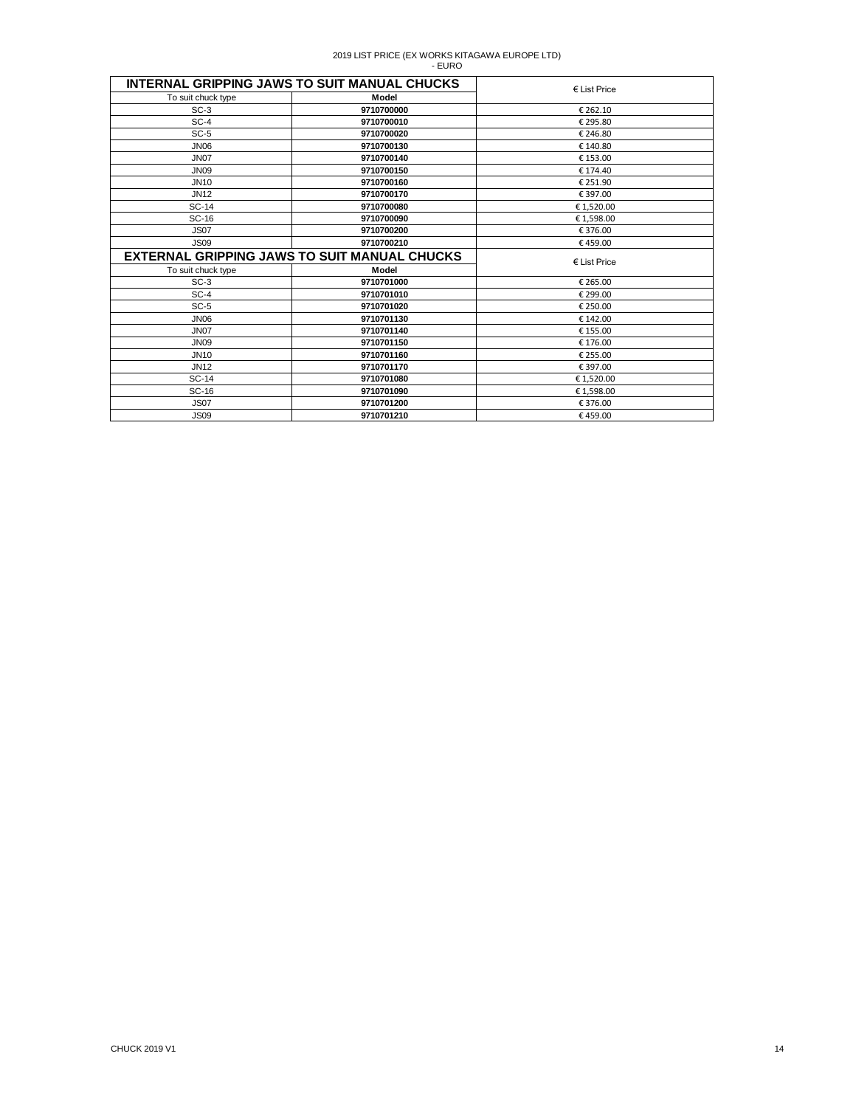| <b>INTERNAL GRIPPING JAWS TO SUIT MANUAL CHUCKS</b> | $\epsilon$ List Price                               |                       |
|-----------------------------------------------------|-----------------------------------------------------|-----------------------|
| To suit chuck type                                  | Model                                               |                       |
| $SC-3$                                              | 9710700000                                          | € 262.10              |
| $SC-4$                                              | 9710700010                                          | € 295.80              |
| $SC-5$                                              | 9710700020                                          | € 246.80              |
| <b>JN06</b>                                         | 9710700130                                          | € 140.80              |
| <b>JN07</b>                                         | 9710700140                                          | € 153.00              |
| <b>JN09</b>                                         | 9710700150                                          | € 174.40              |
| <b>JN10</b>                                         | 9710700160                                          | € 251.90              |
| <b>JN12</b>                                         | 9710700170                                          | € 397.00              |
| <b>SC-14</b>                                        | 9710700080                                          | €1,520.00             |
| SC-16                                               | 9710700090                                          | €1,598.00             |
| <b>JS07</b>                                         | 9710700200                                          | €376.00               |
| <b>JS09</b>                                         | 9710700210                                          | €459.00               |
|                                                     | <b>EXTERNAL GRIPPING JAWS TO SUIT MANUAL CHUCKS</b> | $\epsilon$ List Price |
| To suit chuck type                                  | Model                                               |                       |
| $SC-3$                                              | 9710701000                                          | € 265.00              |
| $SC-4$                                              | 9710701010                                          | € 299.00              |
| $SC-5$                                              |                                                     |                       |
|                                                     | 9710701020                                          | € 250.00              |
| <b>JN06</b>                                         | 9710701130                                          | € 142.00              |
| <b>JN07</b>                                         | 9710701140                                          | € 155.00              |
| <b>JN09</b>                                         | 9710701150                                          | € 176.00              |
| <b>JN10</b>                                         | 9710701160                                          | € 255.00              |
| <b>JN12</b>                                         | 9710701170                                          | € 397.00              |
| <b>SC-14</b>                                        | 9710701080                                          | € 1,520.00            |
| SC-16                                               | 9710701090                                          | €1,598.00             |
| <b>JS07</b>                                         | 9710701200                                          | €376.00               |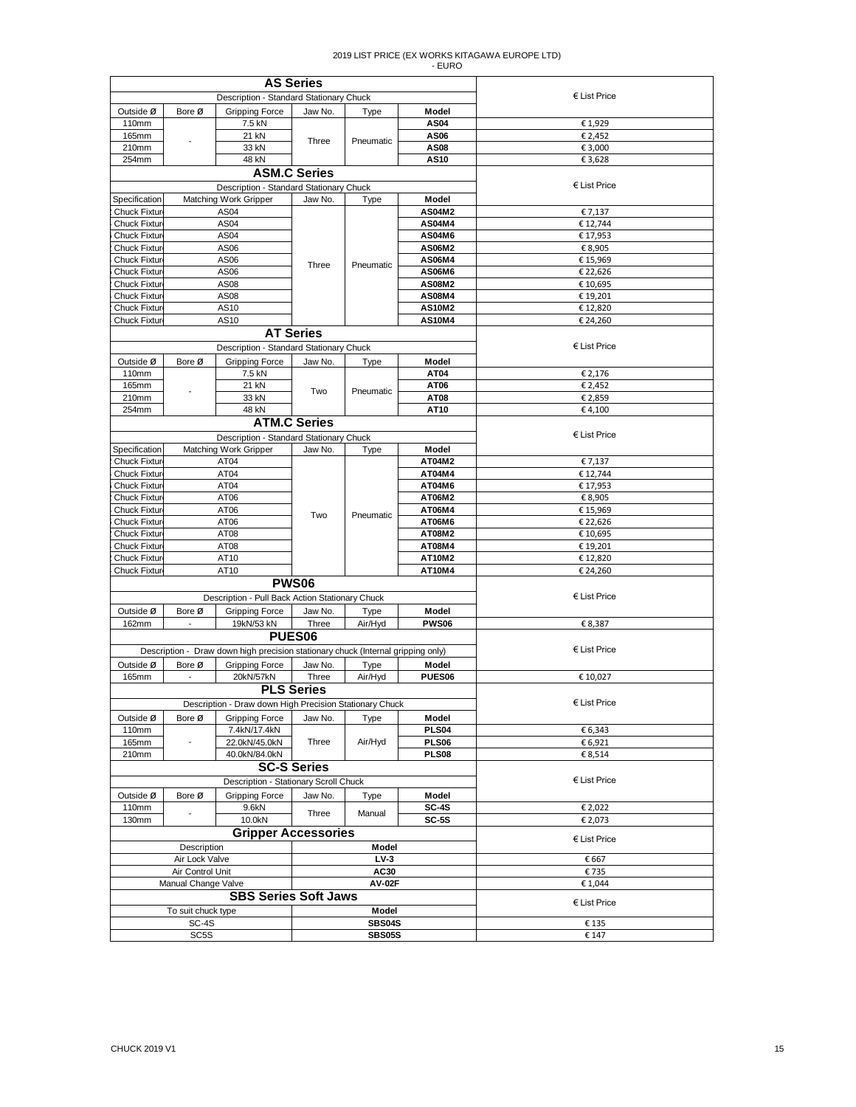| <b>AS Series</b>                           |                          |                                                                                  |                     |                |                                |                       |
|--------------------------------------------|--------------------------|----------------------------------------------------------------------------------|---------------------|----------------|--------------------------------|-----------------------|
| Description - Standard Stationary Chuck    |                          |                                                                                  |                     | $E$ List Price |                                |                       |
| Outside Ø                                  | Bore Ø                   | Gripping Force                                                                   | Jaw No.             | Type           | Model                          |                       |
| 110mm                                      |                          | 7.5 kN                                                                           |                     |                | <b>AS04</b>                    | €1,929                |
| 165mm                                      |                          | 21 kN                                                                            | Three               | Pneumatic      | AS06                           | € 2,452               |
| 210mm                                      |                          | 33 kN                                                                            |                     |                | <b>AS08</b>                    | € 3,000               |
| 254mm                                      |                          | 48 kN                                                                            |                     |                | <b>AS10</b>                    | €3,628                |
|                                            |                          |                                                                                  | <b>ASM.C Series</b> |                |                                |                       |
|                                            |                          | Description - Standard Stationary Chuck                                          |                     |                |                                | $E$ List Price        |
| Specification                              |                          | <b>Matching Work Gripper</b>                                                     | Jaw No.             | Type           | Model                          |                       |
| <b>Chuck Fixtur</b>                        |                          | AS <sub>04</sub>                                                                 |                     |                | AS04M2                         | € 7,137               |
| <b>Chuck Fixtur</b>                        |                          | AS04                                                                             |                     |                | AS04M4                         | € 12,744              |
| <b>Chuck Fixtur</b>                        |                          | AS04                                                                             |                     |                | AS04M6                         | € 17,953              |
| <b>Chuck Fixtur</b>                        |                          | AS06                                                                             |                     |                | AS06M2                         | € 8,905               |
| <b>Chuck Fixtur</b>                        |                          | AS06                                                                             | Three               | Pneumatic      | <b>AS06M4</b>                  | € 15,969              |
| <b>Chuck Fixtur</b>                        |                          | AS06                                                                             |                     |                | AS06M6<br><b>AS08M2</b>        | € 22,626              |
| <b>Chuck Fixtur</b><br><b>Chuck Fixtur</b> |                          | AS08<br>AS08                                                                     |                     |                | <b>AS08M4</b>                  | € 10,695<br>€ 19,201  |
| Chuck Fixtur                               |                          | AS10                                                                             |                     |                | <b>AS10M2</b>                  | € 12,820              |
| <b>Chuck Fixtur</b>                        |                          | AS10                                                                             |                     |                | <b>AS10M4</b>                  | € 24,260              |
|                                            |                          |                                                                                  | <b>AT Series</b>    |                |                                |                       |
|                                            |                          |                                                                                  |                     |                |                                | € List Price          |
|                                            |                          | Description - Standard Stationary Chuck                                          |                     |                |                                |                       |
| Outside Ø                                  | Bore Ø                   | Gripping Force                                                                   | Jaw No.             | Type           | Model                          |                       |
| 110mm                                      |                          | 7.5 kN                                                                           |                     |                | AT04                           | € 2,176               |
| 165mm                                      |                          | 21 kN                                                                            | Two                 | Pneumatic      | AT06                           | € 2,452               |
| 210mm                                      |                          | 33 kN                                                                            |                     |                | AT08                           | € 2,859               |
| 254mm                                      |                          | 48 kN                                                                            |                     |                | AT10                           | €4,100                |
|                                            |                          |                                                                                  | <b>ATM.C Series</b> |                |                                |                       |
|                                            |                          | Description - Standard Stationary Chuck                                          |                     |                |                                | $\epsilon$ List Price |
| Specification                              |                          | <b>Matching Work Gripper</b>                                                     | Jaw No.             | Type           | Model                          |                       |
| <b>Chuck Fixtur</b>                        |                          | AT04                                                                             |                     |                | AT04M2                         | € 7,137               |
| <b>Chuck Fixtur</b>                        |                          | AT04                                                                             |                     |                | AT04M4                         | € 12,744              |
| <b>Chuck Fixtur</b>                        |                          | AT04                                                                             |                     |                | AT04M6                         | € 17,953              |
| <b>Chuck Fixtur</b>                        |                          | AT <sub>06</sub>                                                                 |                     |                | AT06M2                         | € 8,905               |
| <b>Chuck Fixtur</b>                        |                          | AT06                                                                             | Two                 | Pneumatic      | AT06M4                         | € 15,969              |
| <b>Chuck Fixtur</b>                        |                          | AT06                                                                             |                     |                | AT06M6                         | € 22,626              |
| <b>Chuck Fixtur</b>                        |                          | AT08                                                                             |                     |                | AT08M2                         | € 10,695              |
| <b>Chuck Fixtur</b>                        |                          | AT08                                                                             |                     |                | AT08M4                         | € 19,201              |
| Chuck Fixtur<br><b>Chuck Fixtur</b>        |                          | AT10<br>AT10                                                                     |                     |                | <b>AT10M2</b><br><b>AT10M4</b> | € 12,820<br>€ 24,260  |
|                                            |                          |                                                                                  | <b>PWS06</b>        |                |                                |                       |
|                                            |                          |                                                                                  |                     |                |                                | € List Price          |
|                                            |                          | Description - Pull Back Action Stationary Chuck                                  |                     |                |                                |                       |
| Outside Ø                                  | Bore Ø                   | <b>Gripping Force</b>                                                            | Jaw No.             | Type           | Model                          |                       |
| 162mm                                      | $\sim$                   | 19kN/53 kN                                                                       | Three               | Air/Hyd        | <b>PWS06</b>                   | € 8,387               |
|                                            |                          |                                                                                  | PUES <sub>06</sub>  |                |                                |                       |
|                                            |                          | Description - Draw down high precision stationary chuck (Internal gripping only) |                     |                |                                | € List Price          |
| Outside Ø                                  | Bore Ø                   | Gripping Force                                                                   | Jaw No.             | Type           | Model                          |                       |
| 165mm                                      | $\overline{\phantom{a}}$ | 20kN/57kN                                                                        | Three               | Air/Hyd        | PUES <sub>06</sub>             | € 10,027              |
|                                            |                          |                                                                                  | <b>PLS Series</b>   |                |                                |                       |
|                                            |                          | Description - Draw down High Precision Stationary Chuck                          |                     |                |                                | $\epsilon$ List Price |
| Outside Ø                                  | Bore Ø                   | <b>Gripping Force</b>                                                            | Jaw No.             | Type           | Model                          |                       |
| 110mm                                      |                          | 7.4kN/17.4kN                                                                     |                     |                | <b>PLS04</b>                   | € 6,343               |
| 165mm                                      |                          | 22.0kN/45.0kN                                                                    | Three               | Air/Hyd        | <b>PLS06</b>                   | € 6,921               |
| 210mm                                      |                          | 40.0kN/84.0kN                                                                    |                     |                | <b>PLS08</b>                   | € 8,514               |
|                                            |                          |                                                                                  | <b>SC-S Series</b>  |                |                                |                       |
|                                            |                          | Description - Stationary Scroll Chuck                                            |                     |                |                                | $E$ List Price        |
| Outside Ø                                  | Bore Ø                   | <b>Gripping Force</b>                                                            | Jaw No.             | Type           | Model                          |                       |
| 110mm                                      |                          | 9.6kN                                                                            | Three               | Manual         | <b>SC-4S</b>                   | € 2,022               |
| 130mm                                      |                          | 10.0kN                                                                           |                     |                | $SC-5S$                        | € 2,073               |
|                                            |                          | <b>Gripper Accessories</b>                                                       |                     |                |                                | $E$ List Price        |
|                                            | Description              |                                                                                  |                     | <b>Model</b>   |                                |                       |
|                                            | Air Lock Valve           |                                                                                  |                     | $LV-3$         |                                | € 667                 |
|                                            | Air Control Unit         |                                                                                  |                     | AC30           |                                | €735                  |
|                                            | Manual Change Valve      |                                                                                  |                     | <b>AV-02F</b>  |                                | €1,044                |
|                                            |                          | <b>SBS Series Soft Jaws</b>                                                      |                     |                |                                | $E$ List Price        |
|                                            | To suit chuck type       |                                                                                  |                     | Model          |                                |                       |
|                                            | SC-4S                    |                                                                                  |                     | <b>SBS04S</b>  |                                | € 135                 |
| SC <sub>5</sub> S                          |                          | <b>SBS05S</b>                                                                    |                     |                | € 147                          |                       |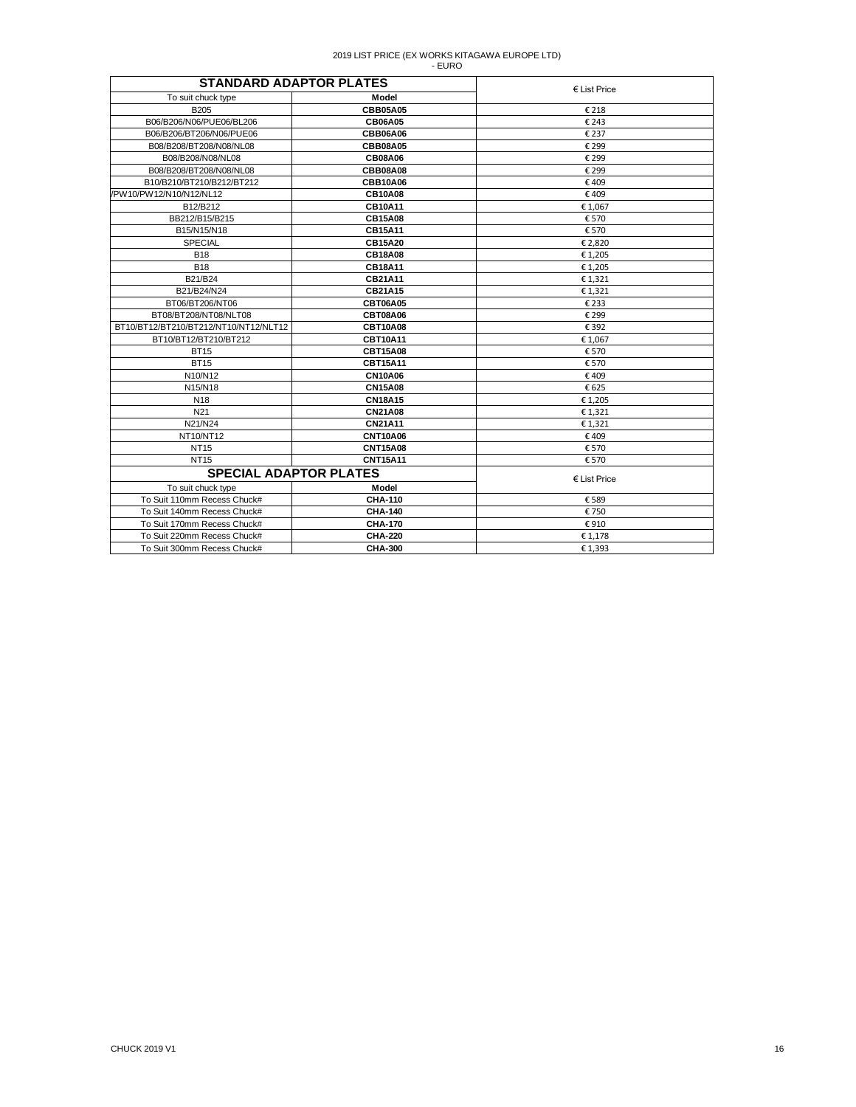| <b>STANDARD ADAPTOR PLATES</b>        |                 | $E$ List Price        |
|---------------------------------------|-----------------|-----------------------|
| To suit chuck type                    | Model           |                       |
| <b>B205</b>                           | <b>CBB05A05</b> | € 218                 |
| B06/B206/N06/PUE06/BL206              | <b>CB06A05</b>  | € 243                 |
| B06/B206/BT206/N06/PUE06              | <b>CBB06A06</b> | € 237                 |
| B08/B208/BT208/N08/NL08               | <b>CBB08A05</b> | € 299                 |
| B08/B208/N08/NL08                     | <b>CB08A06</b>  | € 299                 |
| B08/B208/BT208/N08/NL08               | <b>CBB08A08</b> | € 299                 |
| B10/B210/BT210/B212/BT212             | <b>CBB10A06</b> | €409                  |
| /PW10/PW12/N10/N12/NL12               | <b>CB10A08</b>  | €409                  |
| B12/B212                              | <b>CB10A11</b>  | €1,067                |
| BB212/B15/B215                        | <b>CB15A08</b>  | € 570                 |
| B15/N15/N18                           | <b>CB15A11</b>  | € 570                 |
| SPECIAL                               | <b>CB15A20</b>  | € 2,820               |
| <b>B18</b>                            | <b>CB18A08</b>  | € 1.205               |
| <b>B18</b>                            | <b>CB18A11</b>  | €1,205                |
| B21/B24                               | CB21A11         | € 1,321               |
| B21/B24/N24                           | CB21A15         | € 1,321               |
| BT06/BT206/NT06                       | <b>CBT06A05</b> | €233                  |
| BT08/BT208/NT08/NLT08                 | <b>CBT08A06</b> | € 299                 |
| BT10/BT12/BT210/BT212/NT10/NT12/NLT12 | <b>CBT10A08</b> | € 392                 |
| BT10/BT12/BT210/BT212                 | <b>CBT10A11</b> | €1,067                |
| <b>BT15</b>                           | <b>CBT15A08</b> | € 570                 |
| <b>BT15</b>                           | <b>CBT15A11</b> | € 570                 |
| N10/N12                               | <b>CN10A06</b>  | €409                  |
| N15/N18                               | <b>CN15A08</b>  | € 625                 |
| N <sub>18</sub>                       | <b>CN18A15</b>  | €1,205                |
| N <sub>21</sub>                       | <b>CN21A08</b>  | € 1.321               |
| N21/N24                               | <b>CN21A11</b>  | €1,321                |
| NT10/NT12                             | <b>CNT10A06</b> | €409                  |
| <b>NT15</b>                           | <b>CNT15A08</b> | € 570                 |
| <b>NT15</b>                           | <b>CNT15A11</b> | € 570                 |
| <b>SPECIAL ADAPTOR PLATES</b>         |                 | $\epsilon$ List Price |
| To suit chuck type                    | Model           |                       |
| To Suit 110mm Recess Chuck#           | <b>CHA-110</b>  | € 589                 |
| To Suit 140mm Recess Chuck#           | <b>CHA-140</b>  | €750                  |
| To Suit 170mm Recess Chuck#           | <b>CHA-170</b>  | €910                  |
| To Suit 220mm Recess Chuck#           | <b>CHA-220</b>  | € 1,178               |
| To Suit 300mm Recess Chuck#           | <b>CHA-300</b>  | € 1,393               |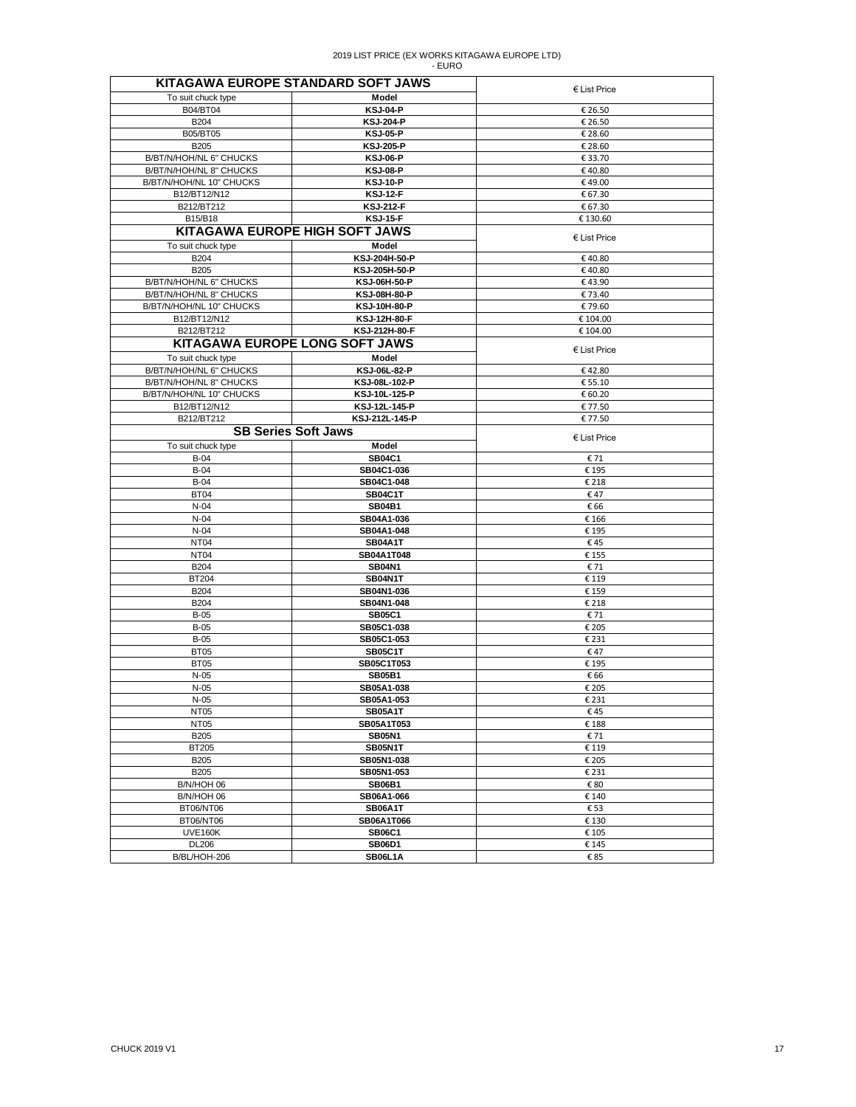|                          | KITAGAWA EUROPE STANDARD SOFT JAWS    | $\epsilon$ List Price |
|--------------------------|---------------------------------------|-----------------------|
| To suit chuck type       | Model                                 |                       |
| B04/BT04                 | <b>KSJ-04-P</b>                       | € 26.50               |
| <b>B204</b>              | <b>KSJ-204-P</b>                      | € 26.50               |
| B05/BT05                 | <b>KSJ-05-P</b>                       | € 28.60               |
| <b>B205</b>              | <b>KSJ-205-P</b>                      | € 28.60               |
| B/BT/N/HOH/NL 6" CHUCKS  | <b>KSJ-06-P</b>                       | € 33.70               |
| B/BT/N/HOH/NL 8" CHUCKS  | <b>KSJ-08-P</b>                       | €40.80                |
| B/BT/N/HOH/NL 10" CHUCKS | <b>KSJ-10-P</b>                       | €49.00                |
| B12/BT12/N12             | <b>KSJ-12-F</b>                       | € 67.30               |
| B212/BT212               | <b>KSJ-212-F</b>                      | € 67.30               |
| B15/B18                  | <b>KSJ-15-F</b>                       | €130.60               |
|                          | KITAGAWA EUROPE HIGH SOFT JAWS        | $E$ List Price        |
| To suit chuck type       | Model                                 |                       |
| <b>B204</b>              | KSJ-204H-50-P                         | €40.80                |
| <b>B205</b>              | KSJ-205H-50-P                         | €40.80                |
| B/BT/N/HOH/NL 6" CHUCKS  | KSJ-06H-50-P                          | €43.90                |
| B/BT/N/HOH/NL 8" CHUCKS  | KSJ-08H-80-P                          | € 73.40               |
| B/BT/N/HOH/NL 10" CHUCKS | KSJ-10H-80-P                          | €79.60                |
| B12/BT12/N12             | KSJ-12H-80-F                          | € 104.00              |
| B212/BT212               | KSJ-212H-80-F                         | € 104.00              |
|                          | <b>KITAGAWA EUROPE LONG SOFT JAWS</b> | $E$ List Price        |
| To suit chuck type       | Model                                 |                       |
| B/BT/N/HOH/NL 6" CHUCKS  | KSJ-06L-82-P                          | €42.80                |
| B/BT/N/HOH/NL 8" CHUCKS  | KSJ-08L-102-P                         | € 55.10               |
| B/BT/N/HOH/NL 10" CHUCKS | KSJ-10L-125-P                         | € 60.20               |
| B12/BT12/N12             | KSJ-12L-145-P                         | € 77.50               |
| B212/BT212               | KSJ-212L-145-P                        | € 77.50               |
|                          | <b>SB Series Soft Jaws</b>            | $E$ List Price        |
| To suit chuck type       | Model                                 |                       |
| $B-04$                   | <b>SB04C1</b>                         | € 71                  |
| $B-04$                   | SB04C1-036                            | € 195                 |
| $B-04$                   | SB04C1-048                            | € 218                 |
| <b>BT04</b>              | <b>SB04C1T</b>                        | €47                   |
| $N-04$                   | <b>SB04B1</b>                         | € 66                  |
| $N-04$                   | SB04A1-036                            | € 166                 |
| $N-04$                   | SB04A1-048                            | € 195                 |
| NT <sub>04</sub>         | <b>SB04A1T</b>                        | €45                   |
| NT <sub>04</sub>         | SB04A1T048                            | € 155                 |
| <b>B204</b>              | <b>SB04N1</b>                         | € 71                  |
| <b>BT204</b>             | SB04N1T                               | € 119                 |
| <b>B204</b>              | SB04N1-036                            | € 159                 |
| B204                     | SB04N1-048                            | € 218                 |
| $B-05$                   | <b>SB05C1</b>                         | € 71                  |
| $B-05$                   | SB05C1-038                            | € 205                 |
| $B-05$                   | SB05C1-053                            | € 231                 |
| BT05                     | <b>SB05C1T</b>                        | €47                   |
| <b>BT05</b><br>$N-05$    | SB05C1T053<br><b>SB05B1</b>           | € 195<br>€ 66         |
| $N-05$                   | SB05A1-038                            | € 205                 |
| $N-05$                   | SB05A1-053                            | € 231                 |
| NT05                     | SB05A1T                               | €45                   |
| NT <sub>05</sub>         | SB05A1T053                            | € 188                 |
| <b>B205</b>              | <b>SB05N1</b>                         | € 71                  |
| <b>BT205</b>             | SB05N1T                               | € 119                 |
| <b>B205</b>              | SB05N1-038                            | € 205                 |
| B205                     | SB05N1-053                            | € 231                 |
| B/N/HOH 06               | <b>SB06B1</b>                         | € 80                  |
| B/N/HOH 06               | SB06A1-066                            | € 140                 |
| BT06/NT06                | <b>SB06A1T</b>                        | € 53                  |
| BT06/NT06                | SB06A1T066                            | € 130                 |
| <b>UVE160K</b>           | <b>SB06C1</b>                         | € 105                 |
| <b>DL206</b>             | <b>SB06D1</b>                         | € 145                 |
| B/BL/HOH-206             | SB06L1A                               | €85                   |
|                          |                                       |                       |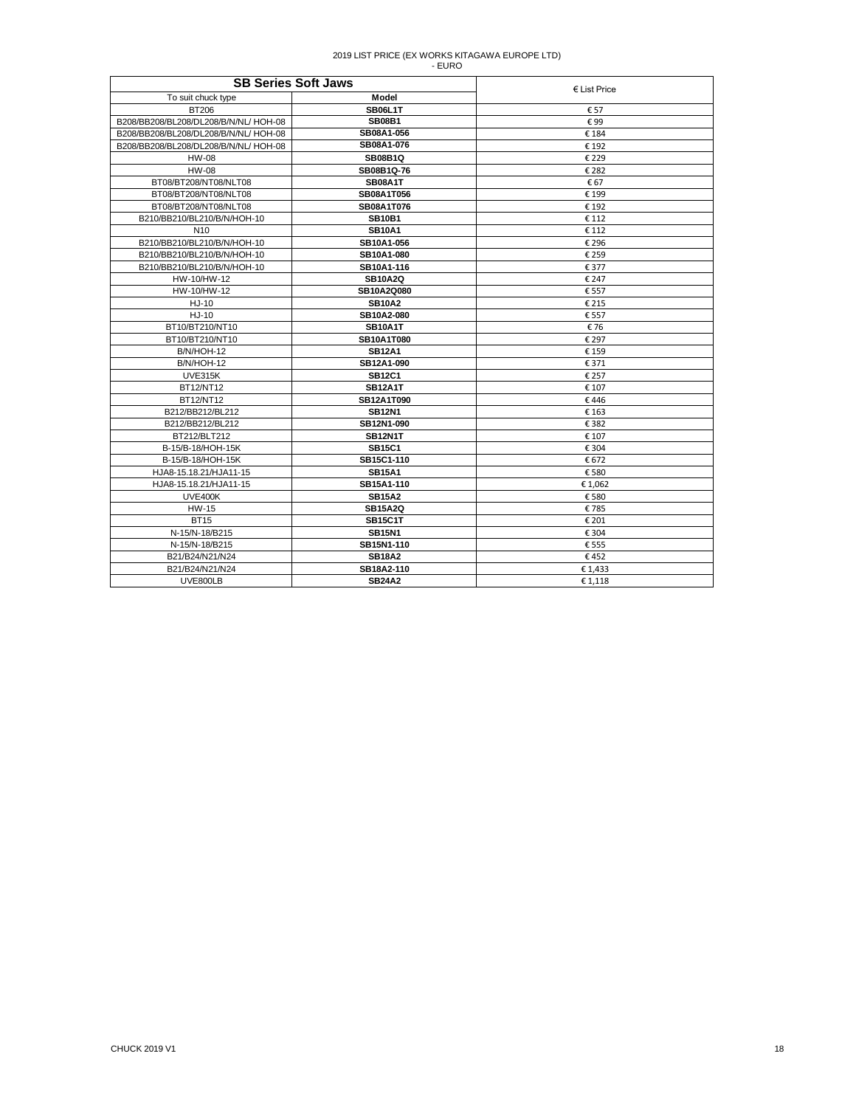| <b>SB Series Soft Jaws</b>           | $\epsilon$ List Price             |         |
|--------------------------------------|-----------------------------------|---------|
| To suit chuck type                   | Model                             |         |
| BT206                                | <b>SB06L1T</b>                    | € 57    |
| B208/BB208/BL208/DL208/B/N/NL/HOH-08 | <b>SB08B1</b>                     | €99     |
| B208/BB208/BL208/DL208/B/N/NL/HOH-08 | SB08A1-056                        | €184    |
| B208/BB208/BL208/DL208/B/N/NL/HOH-08 | SB08A1-076                        | € 192   |
| HW-08                                | <b>SB08B1Q</b>                    | € 229   |
| <b>HW-08</b>                         | SB08B1Q-76                        | € 282   |
| BT08/BT208/NT08/NLT08                | <b>SB08A1T</b>                    | €67     |
| BT08/BT208/NT08/NLT08                | SB08A1T056                        | € 199   |
| BT08/BT208/NT08/NLT08                | SB08A1T076                        | € 192   |
| B210/BB210/BL210/B/N/HOH-10          | <b>SB10B1</b>                     | € 112   |
| N <sub>10</sub>                      | <b>SB10A1</b>                     | € 112   |
| B210/BB210/BL210/B/N/HOH-10          | SB10A1-056                        | € 296   |
| B210/BB210/BL210/B/N/HOH-10          | SB10A1-080                        | € 259   |
| B210/BB210/BL210/B/N/HOH-10          | SB10A1-116                        | € 377   |
| HW-10/HW-12                          | <b>SB10A2Q</b>                    | € 247   |
| HW-10/HW-12                          | SB10A2Q080                        | € 557   |
| HJ-10                                | <b>SB10A2</b>                     | € 215   |
| HJ-10                                | SB10A2-080                        | € 557   |
| BT10/BT210/NT10                      | SB <sub>10</sub> A <sub>1</sub> T | €76     |
| BT10/BT210/NT10                      | <b>SB10A1T080</b>                 | € 297   |
| B/N/HOH-12                           | <b>SB12A1</b>                     | € 159   |
| B/N/HOH-12                           | SB12A1-090                        | € 371   |
| UVE315K                              | <b>SB12C1</b>                     | € 257   |
| <b>BT12/NT12</b>                     | <b>SB12A1T</b>                    | € 107   |
| BT12/NT12                            | SB12A1T090                        | €446    |
| B212/BB212/BL212                     | <b>SB12N1</b>                     | € 163   |
| B212/BB212/BL212                     | SB12N1-090                        | € 382   |
| BT212/BLT212                         | <b>SB12N1T</b>                    | € 107   |
| B-15/B-18/HOH-15K                    | <b>SB15C1</b>                     | € 304   |
| B-15/B-18/HOH-15K                    | SB15C1-110                        | € 672   |
| HJA8-15.18.21/HJA11-15               | <b>SB15A1</b>                     | € 580   |
| HJA8-15.18.21/HJA11-15               | SB15A1-110                        | € 1,062 |
| UVE400K                              | <b>SB15A2</b>                     | € 580   |
| <b>HW-15</b>                         | <b>SB15A2Q</b>                    | €785    |
| <b>BT15</b>                          | <b>SB15C1T</b>                    | € 201   |
| N-15/N-18/B215                       | <b>SB15N1</b>                     | € 304   |
| N-15/N-18/B215                       | SB15N1-110                        | € 555   |
| B21/B24/N21/N24                      | <b>SB18A2</b>                     | €452    |
| B21/B24/N21/N24                      | SB18A2-110                        | € 1,433 |
| UVE800LB                             | <b>SB24A2</b>                     | €1.118  |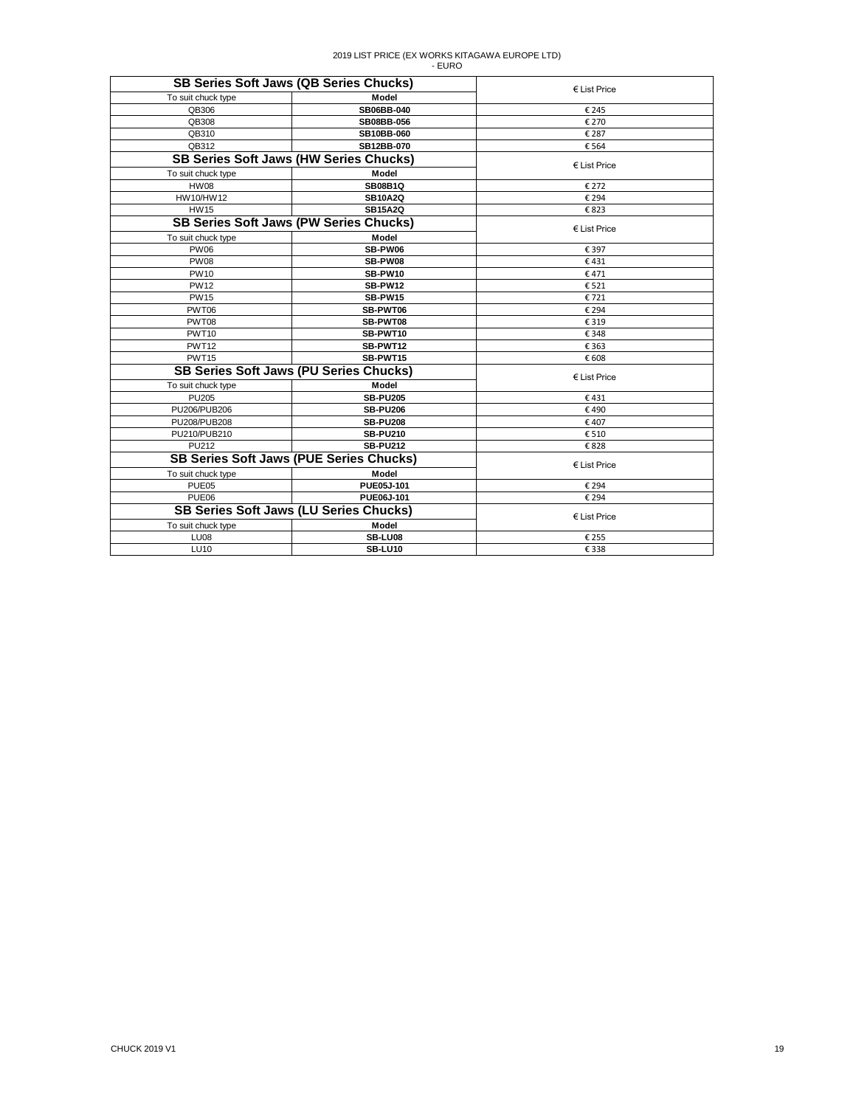|                    | <b>SB Series Soft Jaws (QB Series Chucks)</b>  | $E$ List Price |  |
|--------------------|------------------------------------------------|----------------|--|
| To suit chuck type | Model                                          |                |  |
| QB306              | SB06BB-040                                     | € 245          |  |
| QB308              | SB08BB-056                                     | € 270          |  |
| QB310              | SB10BB-060                                     | € 287          |  |
| QB312              | SB12BB-070                                     | € 564          |  |
|                    | <b>SB Series Soft Jaws (HW Series Chucks)</b>  | $E$ List Price |  |
| To suit chuck type | Model                                          |                |  |
| <b>HW08</b>        | <b>SB08B1Q</b>                                 | € 272          |  |
| HW10/HW12          | <b>SB10A2Q</b>                                 | € 294          |  |
| <b>HW15</b>        | <b>SB15A2Q</b>                                 | €823           |  |
|                    | <b>SB Series Soft Jaws (PW Series Chucks)</b>  | € List Price   |  |
| To suit chuck type | <b>Model</b>                                   |                |  |
| <b>PW06</b>        | SB-PW06                                        | € 397          |  |
| <b>PW08</b>        | SB-PW08                                        | €431           |  |
| <b>PW10</b>        | SB-PW10                                        | €471           |  |
| <b>PW12</b>        | <b>SB-PW12</b>                                 | € 521          |  |
| <b>PW15</b>        | SB-PW15                                        | €721           |  |
| PWT06              | SB-PWT06                                       | € 294          |  |
| PWT08              | SB-PWT08                                       | € 319          |  |
| PWT <sub>10</sub>  | SB-PWT10                                       | € 348          |  |
| PWT12              | SB-PWT12                                       | € 363          |  |
| PWT <sub>15</sub>  | SB-PWT15                                       | € 608          |  |
|                    | <b>SB Series Soft Jaws (PU Series Chucks)</b>  | $E$ List Price |  |
| To suit chuck type | Model                                          |                |  |
| <b>PU205</b>       | <b>SB-PU205</b>                                | €431           |  |
| PU206/PUB206       | <b>SB-PU206</b>                                | €490           |  |
| PU208/PUB208       | <b>SB-PU208</b>                                | €407           |  |
| PU210/PUB210       | <b>SB-PU210</b>                                | € 510          |  |
| PU212              | <b>SB-PU212</b>                                | €828           |  |
|                    | <b>SB Series Soft Jaws (PUE Series Chucks)</b> | $E$ List Price |  |
| To suit chuck type | Model                                          |                |  |
| PUE05              | PUE05J-101                                     | € 294          |  |
| PUE06              | PUE06J-101                                     | € 294          |  |
|                    | <b>SB Series Soft Jaws (LU Series Chucks)</b>  | € List Price   |  |
| To suit chuck type | Model                                          |                |  |
| LU <sub>08</sub>   | SB-LU08                                        | € 255          |  |
| <b>LU10</b>        | SB-LU10                                        | € 338          |  |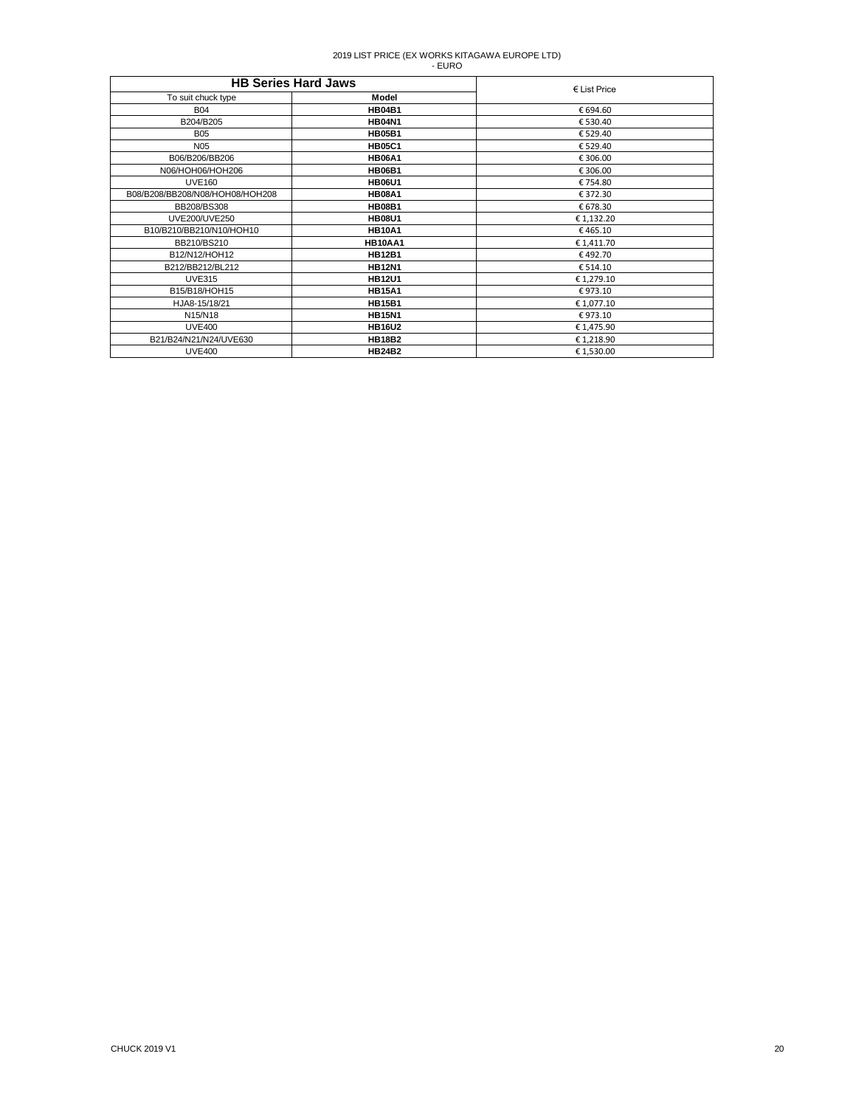| <b>HB Series Hard Jaws</b>      | $E$ List Price |            |
|---------------------------------|----------------|------------|
| To suit chuck type              | Model          |            |
| <b>B04</b>                      | <b>HB04B1</b>  | € 694.60   |
| B204/B205                       | <b>HB04N1</b>  | € 530.40   |
| <b>B05</b>                      | <b>HB05B1</b>  | €529.40    |
| N <sub>05</sub>                 | <b>HB05C1</b>  | € 529.40   |
| B06/B206/BB206                  | <b>HB06A1</b>  | € 306.00   |
| N06/HOH06/HOH206                | <b>HB06B1</b>  | € 306.00   |
| <b>UVE160</b>                   | <b>HB06U1</b>  | €754.80    |
| B08/B208/BB208/N08/HOH08/HOH208 | <b>HB08A1</b>  | €372.30    |
| BB208/BS308                     | <b>HB08B1</b>  | € 678.30   |
| <b>UVE200/UVE250</b>            | <b>HB08U1</b>  | € 1,132.20 |
| B10/B210/BB210/N10/HOH10        | <b>HB10A1</b>  | €465.10    |
| BB210/BS210                     | <b>HB10AA1</b> | € 1,411.70 |
| B12/N12/HOH12                   | <b>HB12B1</b>  | €492.70    |
| B212/BB212/BL212                | <b>HB12N1</b>  | € 514.10   |
| <b>UVE315</b>                   | <b>HB12U1</b>  | € 1,279.10 |
| B15/B18/HOH15                   | <b>HB15A1</b>  | €973.10    |
| HJA8-15/18/21                   | <b>HB15B1</b>  | € 1,077.10 |
| N15/N18                         | <b>HB15N1</b>  | €973.10    |
| <b>UVE400</b>                   | <b>HB16U2</b>  | € 1,475.90 |
| B21/B24/N21/N24/UVE630          | <b>HB18B2</b>  | €1,218.90  |
| <b>UVE400</b>                   | <b>HB24B2</b>  | € 1,530.00 |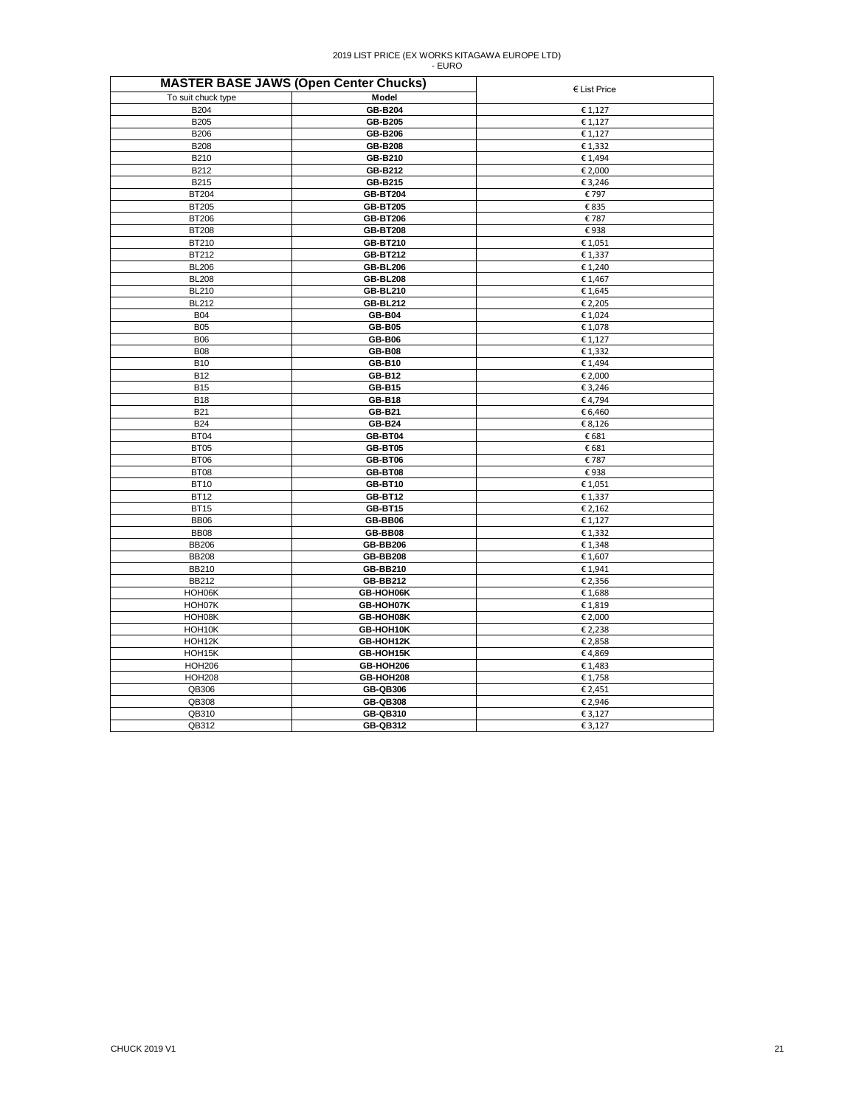| <b>MASTER BASE JAWS (Open Center Chucks)</b> | € List Price    |         |
|----------------------------------------------|-----------------|---------|
| To suit chuck type                           | Model           |         |
| B204                                         | <b>GB-B204</b>  | € 1,127 |
| B205                                         | <b>GB-B205</b>  | € 1,127 |
| B206                                         | GB-B206         | € 1,127 |
| <b>B208</b>                                  | <b>GB-B208</b>  | € 1,332 |
| B210                                         | GB-B210         | € 1,494 |
| B212                                         | GB-B212         | € 2,000 |
| B215                                         | GB-B215         | € 3,246 |
| <b>BT204</b>                                 | <b>GB-BT204</b> | €797    |
| BT205                                        | <b>GB-BT205</b> | € 835   |
| <b>BT206</b>                                 | <b>GB-BT206</b> | €787    |
| <b>BT208</b>                                 | <b>GB-BT208</b> | €938    |
| BT210                                        | GB-BT210        | € 1,051 |
| BT212                                        | <b>GB-BT212</b> | € 1,337 |
| <b>BL206</b>                                 | <b>GB-BL206</b> | € 1,240 |
| <b>BL208</b>                                 | <b>GB-BL208</b> | € 1,467 |
| <b>BL210</b>                                 | <b>GB-BL210</b> | € 1,645 |
| <b>BL212</b>                                 | <b>GB-BL212</b> | € 2,205 |
| <b>B04</b>                                   | <b>GB-B04</b>   | €1,024  |
| <b>B05</b>                                   | <b>GB-B05</b>   | €1,078  |
| <b>B06</b>                                   | <b>GB-B06</b>   | € 1,127 |
| <b>B08</b>                                   | <b>GB-B08</b>   | € 1,332 |
| <b>B10</b>                                   | GB-B10          | € 1,494 |
| <b>B12</b>                                   | GB-B12          | € 2,000 |
| <b>B15</b>                                   | <b>GB-B15</b>   | € 3,246 |
| <b>B18</b>                                   | <b>GB-B18</b>   | €4,794  |
| <b>B21</b>                                   | GB-B21          | € 6,460 |
| <b>B24</b>                                   | <b>GB-B24</b>   | € 8,126 |
| <b>BT04</b>                                  | GB-BT04         | € 681   |
| <b>BT05</b>                                  | GB-BT05         | € 681   |
| BT06                                         | GB-BT06         | €787    |
| <b>BT08</b>                                  | GB-BT08         | €938    |
| <b>BT10</b>                                  | GB-BT10         | € 1,051 |
| <b>BT12</b>                                  | GB-BT12         | € 1,337 |
| <b>BT15</b>                                  | GB-BT15         | € 2,162 |
| <b>BB06</b>                                  | GB-BB06         | € 1,127 |
| <b>BB08</b>                                  | GB-BB08         | €1,332  |
| <b>BB206</b>                                 | <b>GB-BB206</b> | €1,348  |
| <b>BB208</b>                                 | <b>GB-BB208</b> | € 1,607 |
| <b>BB210</b>                                 | GB-BB210        | € 1,941 |
| BB212                                        | GB-BB212        | € 2,356 |
| HOH06K                                       | GB-HOH06K       | €1,688  |
| HOH07K                                       | GB-HOH07K       | €1,819  |
| HOH08K                                       | GB-HOH08K       | € 2,000 |
| HOH10K                                       | GB-HOH10K       | € 2,238 |
| HOH12K                                       | GB-HOH12K       | € 2,858 |
| HOH15K                                       | GB-HOH15K       | €4,869  |
| <b>HOH206</b>                                | GB-HOH206       | €1,483  |
| <b>HOH208</b>                                | GB-HOH208       | € 1,758 |
| QB306                                        | <b>GB-QB306</b> | € 2,451 |
| QB308                                        | <b>GB-QB308</b> | € 2,946 |
| QB310                                        | GB-QB310        | € 3,127 |
| QB312                                        | <b>GB-QB312</b> | € 3,127 |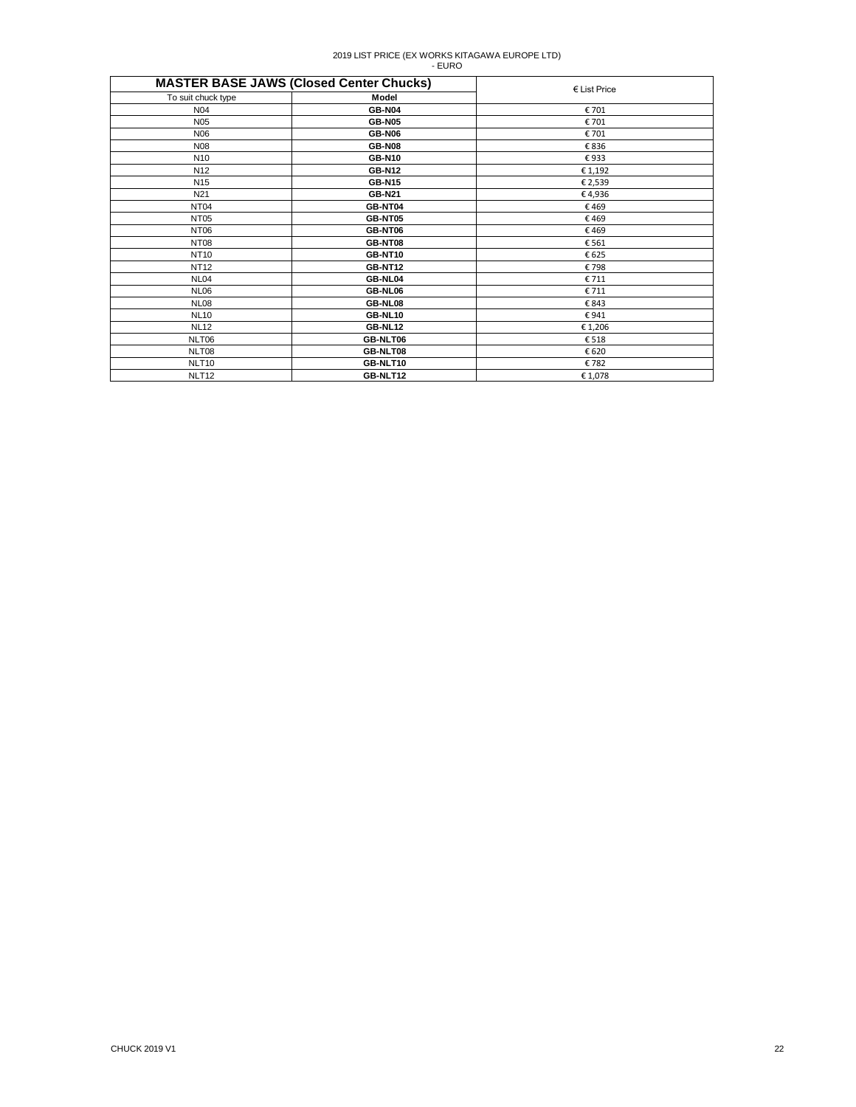|                    | <b>MASTER BASE JAWS (Closed Center Chucks)</b> | $E$ List Price |
|--------------------|------------------------------------------------|----------------|
| To suit chuck type | Model                                          |                |
| N04                | <b>GB-N04</b>                                  | € 701          |
| N <sub>05</sub>    | <b>GB-N05</b>                                  | € 701          |
| N <sub>06</sub>    | <b>GB-N06</b>                                  | € 701          |
| <b>N08</b>         | <b>GB-N08</b>                                  | €836           |
| N <sub>10</sub>    | <b>GB-N10</b>                                  | €933           |
| N <sub>12</sub>    | <b>GB-N12</b>                                  | € 1,192        |
| N <sub>15</sub>    | <b>GB-N15</b>                                  | € 2,539        |
| N <sub>21</sub>    | <b>GB-N21</b>                                  | €4,936         |
| NT <sub>04</sub>   | GB-NT04                                        | €469           |
| <b>NT05</b>        | GB-NT05                                        | €469           |
| NT06               | GB-NT06                                        | €469           |
| NT <sub>08</sub>   | GB-NT08                                        | € 561          |
| <b>NT10</b>        | GB-NT10                                        | € 625          |
| <b>NT12</b>        | <b>GB-NT12</b>                                 | €798           |
| <b>NL04</b>        | GB-NL04                                        | € 711          |
| <b>NL06</b>        | GB-NL06                                        | € 711          |
| <b>NL08</b>        | GB-NL08                                        | €843           |
| <b>NL10</b>        | GB-NL10                                        | €941           |
| <b>NL12</b>        | GB-NL12                                        | € 1,206        |
| NLT06              | GB-NLT06                                       | €518           |
| NLT08              | GB-NLT08                                       | € 620          |
| NLT <sub>10</sub>  | GB-NLT10                                       | €782           |
| NLT <sub>12</sub>  | GB-NLT12                                       | €1,078         |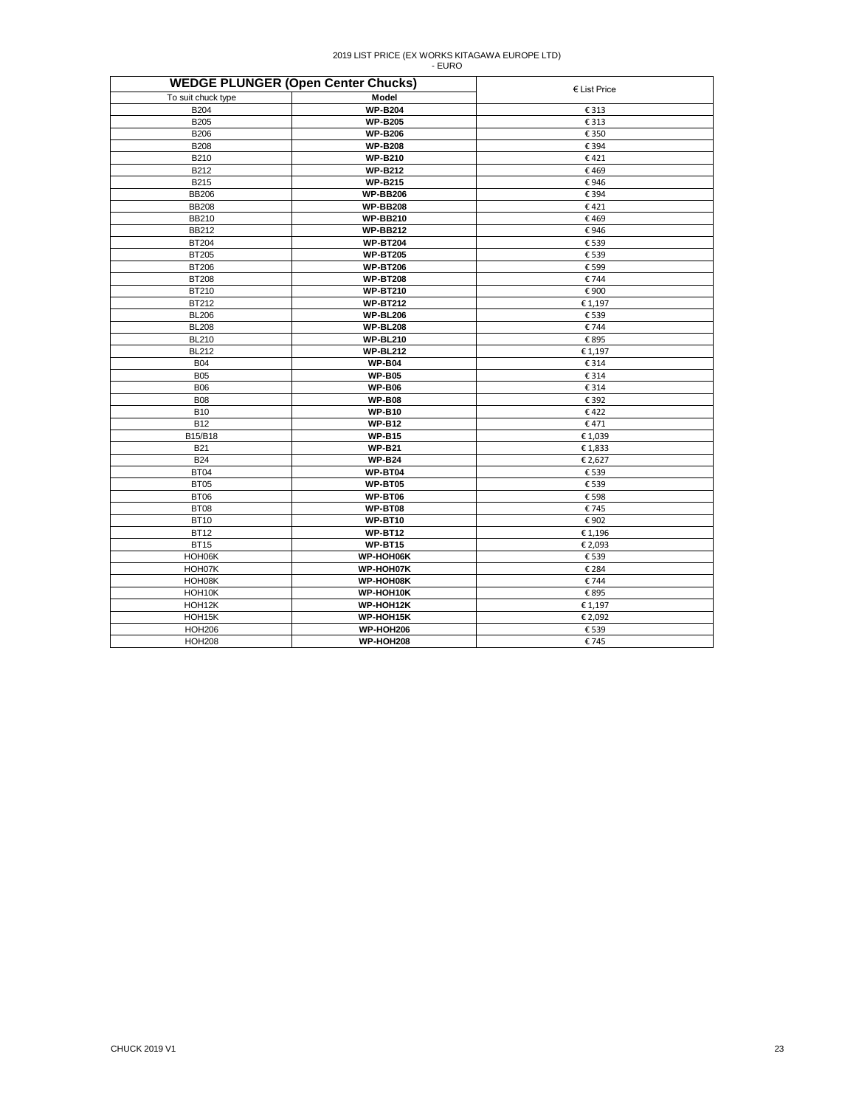|                    | <b>WEDGE PLUNGER (Open Center Chucks)</b> | $E$ List Price |
|--------------------|-------------------------------------------|----------------|
| To suit chuck type | Model                                     |                |
| <b>B204</b>        | <b>WP-B204</b>                            | € 313          |
| <b>B205</b>        | <b>WP-B205</b>                            | € 313          |
| <b>B206</b>        | <b>WP-B206</b>                            | € 350          |
| <b>B208</b>        | <b>WP-B208</b>                            | € 394          |
| B210               | <b>WP-B210</b>                            | €421           |
| B212               | <b>WP-B212</b>                            | €469           |
| B215               | <b>WP-B215</b>                            | €946           |
| <b>BB206</b>       | <b>WP-BB206</b>                           | € 394          |
| <b>BB208</b>       | <b>WP-BB208</b>                           | €421           |
| <b>BB210</b>       | <b>WP-BB210</b>                           | €469           |
| <b>BB212</b>       | <b>WP-BB212</b>                           | €946           |
| <b>BT204</b>       | <b>WP-BT204</b>                           | € 539          |
| <b>BT205</b>       | <b>WP-BT205</b>                           | € 539          |
| <b>BT206</b>       | <b>WP-BT206</b>                           | € 599          |
| <b>BT208</b>       | <b>WP-BT208</b>                           | €744           |
| BT210              | <b>WP-BT210</b>                           | €900           |
| BT212              | <b>WP-BT212</b>                           | € 1,197        |
| <b>BL206</b>       | <b>WP-BL206</b>                           | € 539          |
| <b>BL208</b>       | <b>WP-BL208</b>                           | €744           |
| <b>BL210</b>       | <b>WP-BL210</b>                           | €895           |
| <b>BL212</b>       | <b>WP-BL212</b>                           | € 1,197        |
| <b>B04</b>         | <b>WP-B04</b>                             | € 314          |
| <b>B05</b>         | <b>WP-B05</b>                             | € 314          |
| <b>B06</b>         | <b>WP-B06</b>                             | € 314          |
| <b>B08</b>         | <b>WP-B08</b>                             | € 392          |
| <b>B10</b>         | <b>WP-B10</b>                             | €422           |
| <b>B12</b>         | <b>WP-B12</b>                             | €471           |
| B15/B18            | <b>WP-B15</b>                             | €1,039         |
| <b>B21</b>         | <b>WP-B21</b>                             | €1,833         |
| <b>B24</b>         | <b>WP-B24</b>                             | € 2,627        |
| <b>BT04</b>        | WP-BT04                                   | € 539          |
| <b>BT05</b>        | WP-BT05                                   | € 539          |
| <b>BT06</b>        | WP-BT06                                   | € 598          |
| <b>BT08</b>        | WP-BT08                                   | €745           |
| <b>BT10</b>        | <b>WP-BT10</b>                            | €902           |
| <b>BT12</b>        | <b>WP-BT12</b>                            | € 1,196        |
| <b>BT15</b>        | WP-BT15                                   | € 2,093        |
| HOH06K             | WP-HOH06K                                 | € 539          |
| HOH07K             | WP-HOH07K                                 | € 284          |
| HOH08K             | WP-HOH08K                                 | €744           |
| HOH10K             | WP-HOH10K                                 | € 895          |
| HOH12K             | WP-HOH12K                                 | € 1,197        |
| HOH15K             | WP-HOH15K                                 | € 2,092        |
| <b>HOH206</b>      | <b>WP-HOH206</b>                          | € 539          |
| <b>HOH208</b>      | <b>WP-HOH208</b>                          | €745           |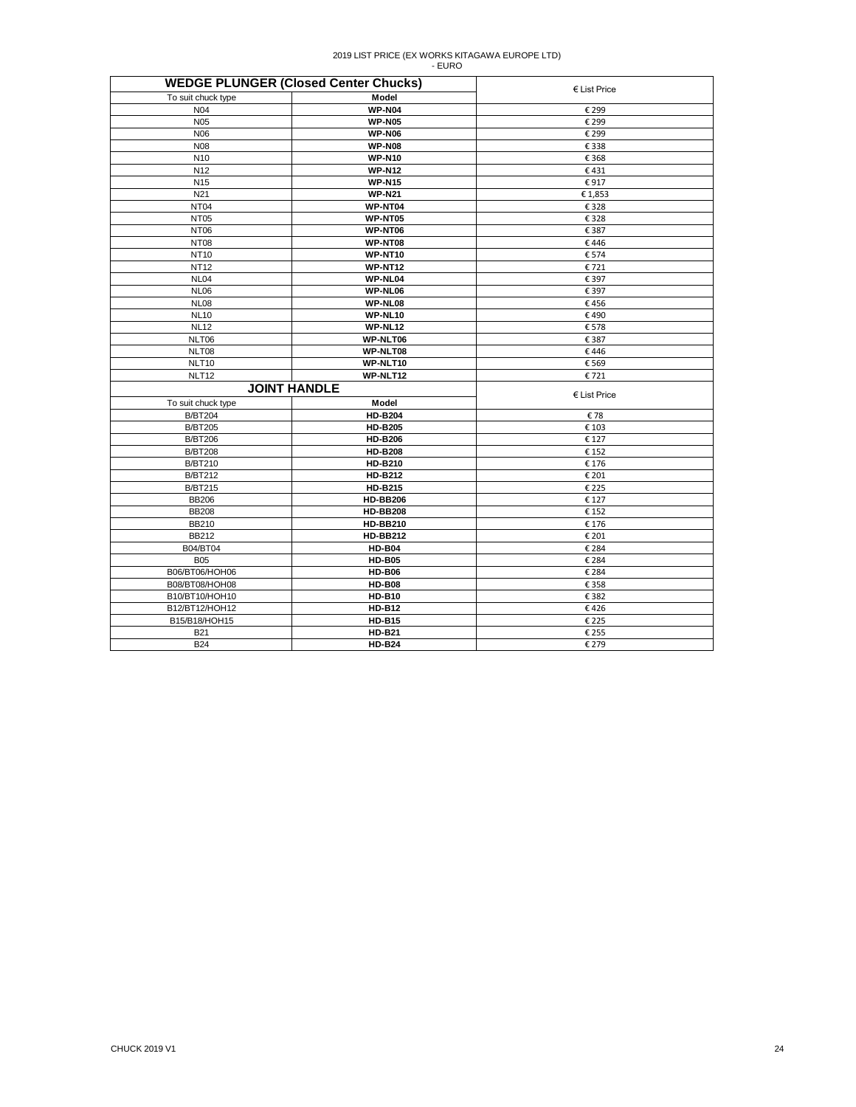| <b>WEDGE PLUNGER (Closed Center Chucks)</b> | $E$ List Price      |              |
|---------------------------------------------|---------------------|--------------|
| To suit chuck type                          | Model               |              |
| N04                                         | <b>WP-N04</b>       | € 299        |
| N <sub>05</sub>                             | <b>WP-N05</b>       | € 299        |
| <b>N06</b>                                  | <b>WP-N06</b>       | € 299        |
| <b>N08</b>                                  | <b>WP-N08</b>       | € 338        |
| N <sub>10</sub>                             | <b>WP-N10</b>       | € 368        |
| N <sub>12</sub>                             | <b>WP-N12</b>       | €431         |
| N <sub>15</sub>                             | <b>WP-N15</b>       | €917         |
| N21                                         | <b>WP-N21</b>       | €1,853       |
| NT <sub>04</sub>                            | WP-NT04             | € 328        |
| <b>NT05</b>                                 | WP-NT05             | € 328        |
| <b>NT06</b>                                 | WP-NT06             | € 387        |
| <b>NT08</b>                                 | WP-NT08             | €446         |
| <b>NT10</b>                                 | WP-NT10             | € 574        |
| <b>NT12</b>                                 | WP-NT12             | €721         |
| NL04                                        | WP-NL04             | € 397        |
| <b>NL06</b>                                 | WP-NL06             | € 397        |
| <b>NL08</b>                                 | WP-NL08             | €456         |
| <b>NL10</b>                                 | WP-NL10             | €490         |
| <b>NL12</b>                                 | WP-NL12             | €578         |
| NLT06                                       | WP-NLT06            | € 387        |
| NLT08                                       | WP-NLT08            | €446         |
| NLT10                                       | WP-NLT10            | € 569        |
| NLT <sub>12</sub>                           | WP-NLT12            | €721         |
|                                             | <b>JOINT HANDLE</b> | € List Price |
| To suit chuck type                          | Model               |              |
| <b>B/BT204</b>                              | <b>HD-B204</b>      | €78          |
| <b>B/BT205</b>                              | <b>HD-B205</b>      | € 103        |
| <b>B/BT206</b>                              | <b>HD-B206</b>      | € 127        |
| <b>B/BT208</b>                              | <b>HD-B208</b>      | € 152        |
| <b>B/BT210</b>                              | <b>HD-B210</b>      | € 176        |
| <b>B/BT212</b>                              | <b>HD-B212</b>      | € 201        |
| <b>B/BT215</b>                              | <b>HD-B215</b>      | € 225        |
| <b>BB206</b>                                | <b>HD-BB206</b>     | € 127        |
| <b>BB208</b>                                | <b>HD-BB208</b>     | € 152        |
| BB210                                       | <b>HD-BB210</b>     | € 176        |
| <b>BB212</b>                                | <b>HD-BB212</b>     | € 201        |
| B04/BT04                                    | <b>HD-B04</b>       | € 284        |
| <b>B05</b>                                  | <b>HD-B05</b>       | € 284        |
| B06/BT06/HOH06                              | <b>HD-B06</b>       | € 284        |
| B08/BT08/HOH08                              | <b>HD-B08</b>       | € 358        |
| B10/BT10/HOH10                              | <b>HD-B10</b>       | € 382        |
| B12/BT12/HOH12                              | <b>HD-B12</b>       | €426         |
| B15/B18/HOH15                               | <b>HD-B15</b>       | € 225        |
| <b>B21</b>                                  | <b>HD-B21</b>       | € 255        |
| <b>B24</b>                                  | <b>HD-B24</b>       | € 279        |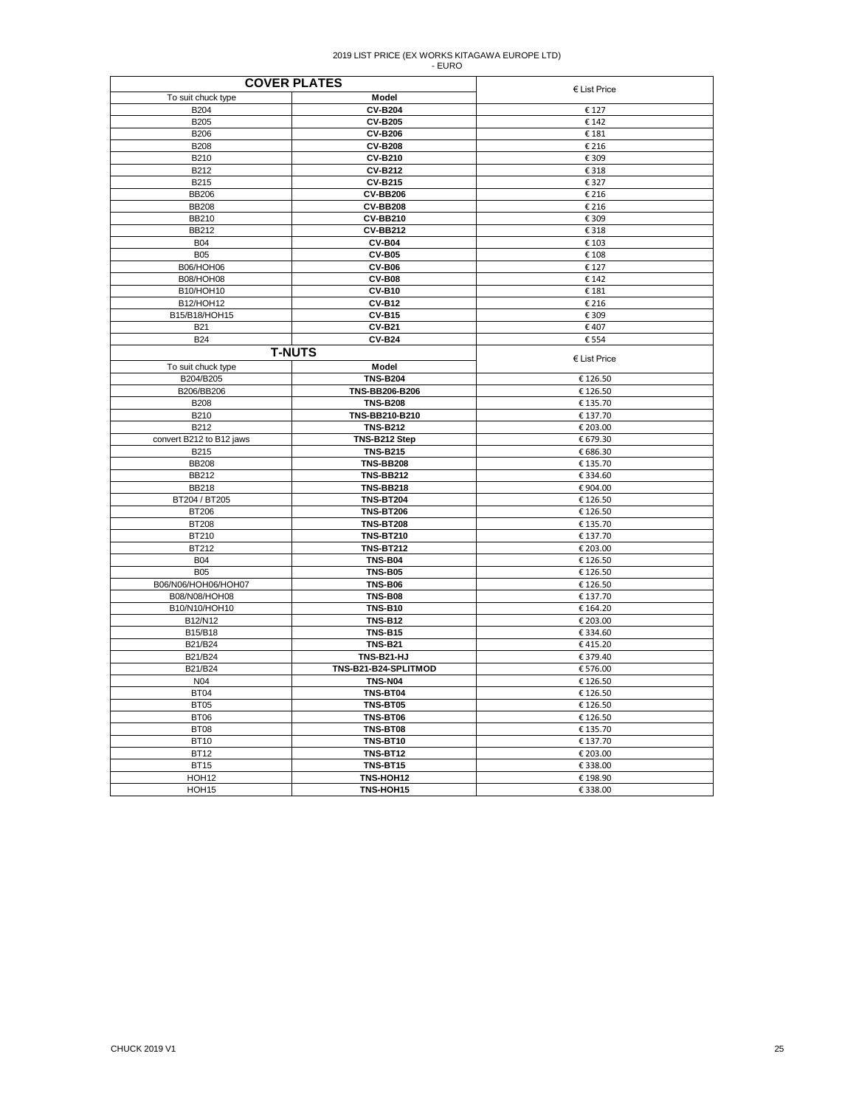| <b>COVER PLATES</b>            |                                  |                |
|--------------------------------|----------------------------------|----------------|
| To suit chuck type             | Model                            | $E$ List Price |
| <b>B204</b>                    | <b>CV-B204</b>                   | € 127          |
| B205                           | <b>CV-B205</b>                   | € 142          |
| <b>B206</b>                    | <b>CV-B206</b>                   | € 181          |
| <b>B208</b>                    | <b>CV-B208</b>                   | € 216          |
| B210                           | <b>CV-B210</b>                   | € 309          |
|                                |                                  |                |
| B212                           | <b>CV-B212</b>                   | € 318          |
| B215                           | <b>CV-B215</b>                   | € 327          |
| <b>BB206</b>                   | <b>CV-BB206</b>                  | € 216          |
| <b>BB208</b>                   | <b>CV-BB208</b>                  | € 216          |
| <b>BB210</b>                   | <b>CV-BB210</b>                  | € 309          |
| <b>BB212</b>                   | <b>CV-BB212</b>                  | € 318          |
| <b>B04</b>                     | <b>CV-B04</b>                    | € 103          |
| <b>B05</b>                     | <b>CV-B05</b>                    | € 108          |
| <b>B06/HOH06</b>               | <b>CV-B06</b>                    | € 127          |
| <b>B08/HOH08</b>               | <b>CV-B08</b>                    | € 142          |
| B10/HOH10                      | <b>CV-B10</b>                    | € 181          |
| B12/HOH12                      | <b>CV-B12</b>                    | € 216          |
| B15/B18/HOH15                  | <b>CV-B15</b>                    | € 309          |
| <b>B21</b>                     | <b>CV-B21</b>                    | €407           |
| <b>B24</b>                     | <b>CV-B24</b>                    | € 554          |
|                                | <b>T-NUTS</b>                    |                |
|                                |                                  | € List Price   |
| To suit chuck type             | Model                            |                |
| B204/B205                      | <b>TNS-B204</b>                  | € 126.50       |
| B206/BB206                     | TNS-BB206-B206                   | € 126.50       |
| <b>B208</b>                    | <b>TNS-B208</b>                  | € 135.70       |
| B210                           | TNS-BB210-B210                   | € 137.70       |
| B212                           | <b>TNS-B212</b>                  | € 203.00       |
| convert B212 to B12 jaws       | TNS-B212 Step                    | € 679.30       |
| B215                           | <b>TNS-B215</b>                  | € 686.30       |
| <b>BB208</b>                   | <b>TNS-BB208</b>                 | € 135.70       |
| <b>BB212</b>                   | <b>TNS-BB212</b>                 | €334.60        |
| <b>BB218</b>                   | <b>TNS-BB218</b>                 | €904.00        |
| BT204 / BT205                  | <b>TNS-BT204</b>                 | € 126.50       |
| <b>BT206</b>                   | <b>TNS-BT206</b>                 | € 126.50       |
| <b>BT208</b>                   | <b>TNS-BT208</b>                 | € 135.70       |
| BT210                          | <b>TNS-BT210</b>                 | € 137.70       |
| BT212                          | <b>TNS-BT212</b>                 | € 203.00       |
| <b>B04</b>                     | <b>TNS-B04</b>                   | € 126.50       |
| <b>B05</b>                     | <b>TNS-B05</b>                   | € 126.50       |
| B06/N06/HOH06/HOH07            | <b>TNS-B06</b>                   | € 126.50       |
|                                |                                  |                |
| B08/N08/HOH08<br>B10/N10/HOH10 | <b>TNS-B08</b><br><b>TNS-B10</b> | € 137.70       |
|                                |                                  | € 164.20       |
| B12/N12                        | <b>TNS-B12</b>                   | € 203.00       |
| B15/B18                        | <b>TNS-B15</b>                   | € 334.60       |
| B21/B24                        | <b>TNS-B21</b>                   | €415.20        |
| B21/B24                        | TNS-B21-HJ                       | € 379.40       |
| B21/B24                        | TNS-B21-B24-SPLITMOD             | € 576.00       |
| N04                            | <b>TNS-N04</b>                   | € 126.50       |
| <b>BT04</b>                    | TNS-BT04                         | € 126.50       |
| <b>BT05</b>                    | <b>TNS-BT05</b>                  | € 126.50       |
| <b>BT06</b>                    | TNS-BT06                         | € 126.50       |
| BT08                           | <b>TNS-BT08</b>                  | € 135.70       |
| <b>BT10</b>                    | <b>TNS-BT10</b>                  | € 137.70       |
| <b>BT12</b>                    | <b>TNS-BT12</b>                  | € 203.00       |
| <b>BT15</b>                    | <b>TNS-BT15</b>                  | €338.00        |
| HOH <sub>12</sub>              | TNS-HOH12                        | € 198.90       |
| HOH <sub>15</sub>              | TNS-HOH15                        | €338.00        |
|                                |                                  |                |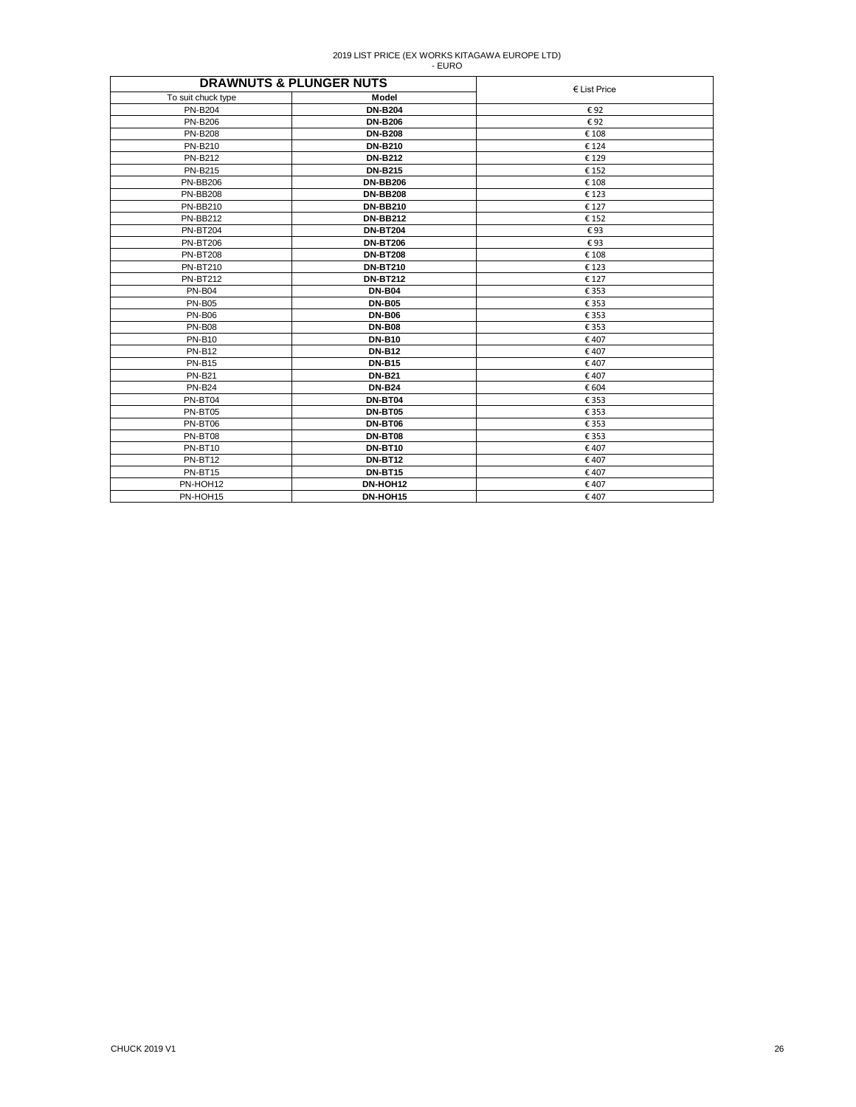| <b>DRAWNUTS &amp; PLUNGER NUTS</b> |                 |                       |
|------------------------------------|-----------------|-----------------------|
| To suit chuck type                 | Model           | $\epsilon$ List Price |
| <b>PN-B204</b>                     | <b>DN-B204</b>  | €92                   |
| <b>PN-B206</b>                     | <b>DN-B206</b>  | €92                   |
| <b>PN-B208</b>                     | <b>DN-B208</b>  | € 108                 |
| <b>PN-B210</b>                     | <b>DN-B210</b>  | € 124                 |
| <b>PN-B212</b>                     | <b>DN-B212</b>  | €129                  |
| <b>PN-B215</b>                     | <b>DN-B215</b>  | € 152                 |
| <b>PN-BB206</b>                    | <b>DN-BB206</b> | € 108                 |
| <b>PN-BB208</b>                    | <b>DN-BB208</b> | €123                  |
| <b>PN-BB210</b>                    | <b>DN-BB210</b> | € 127                 |
| <b>PN-BB212</b>                    | <b>DN-BB212</b> | € 152                 |
| <b>PN-BT204</b>                    | <b>DN-BT204</b> | €93                   |
| <b>PN-BT206</b>                    | <b>DN-BT206</b> | €93                   |
| <b>PN-BT208</b>                    | <b>DN-BT208</b> | € 108                 |
| <b>PN-BT210</b>                    | <b>DN-BT210</b> | €123                  |
| <b>PN-BT212</b>                    | <b>DN-BT212</b> | € 127                 |
| <b>PN-B04</b>                      | <b>DN-B04</b>   | € 353                 |
| <b>PN-B05</b>                      | <b>DN-B05</b>   | € 353                 |
| <b>PN-B06</b>                      | <b>DN-B06</b>   | € 353                 |
| <b>PN-B08</b>                      | <b>DN-B08</b>   | € 353                 |
| <b>PN-B10</b>                      | <b>DN-B10</b>   | €407                  |
| <b>PN-B12</b>                      | <b>DN-B12</b>   | €407                  |
| <b>PN-B15</b>                      | <b>DN-B15</b>   | €407                  |
| <b>PN-B21</b>                      | <b>DN-B21</b>   | €407                  |
| <b>PN-B24</b>                      | <b>DN-B24</b>   | € 604                 |
| PN-BT04                            | <b>DN-BT04</b>  | € 353                 |
| PN-BT05                            | <b>DN-BT05</b>  | € 353                 |
| PN-BT06                            | <b>DN-BT06</b>  | € 353                 |
| PN-BT08                            | <b>DN-BT08</b>  | € 353                 |
| PN-BT10                            | <b>DN-BT10</b>  | €407                  |
| PN-BT12                            | <b>DN-BT12</b>  | €407                  |
| PN-BT15                            | <b>DN-BT15</b>  | €407                  |
| PN-HOH12                           | DN-HOH12        | €407                  |
| PN-HOH15                           | DN-HOH15        | €407                  |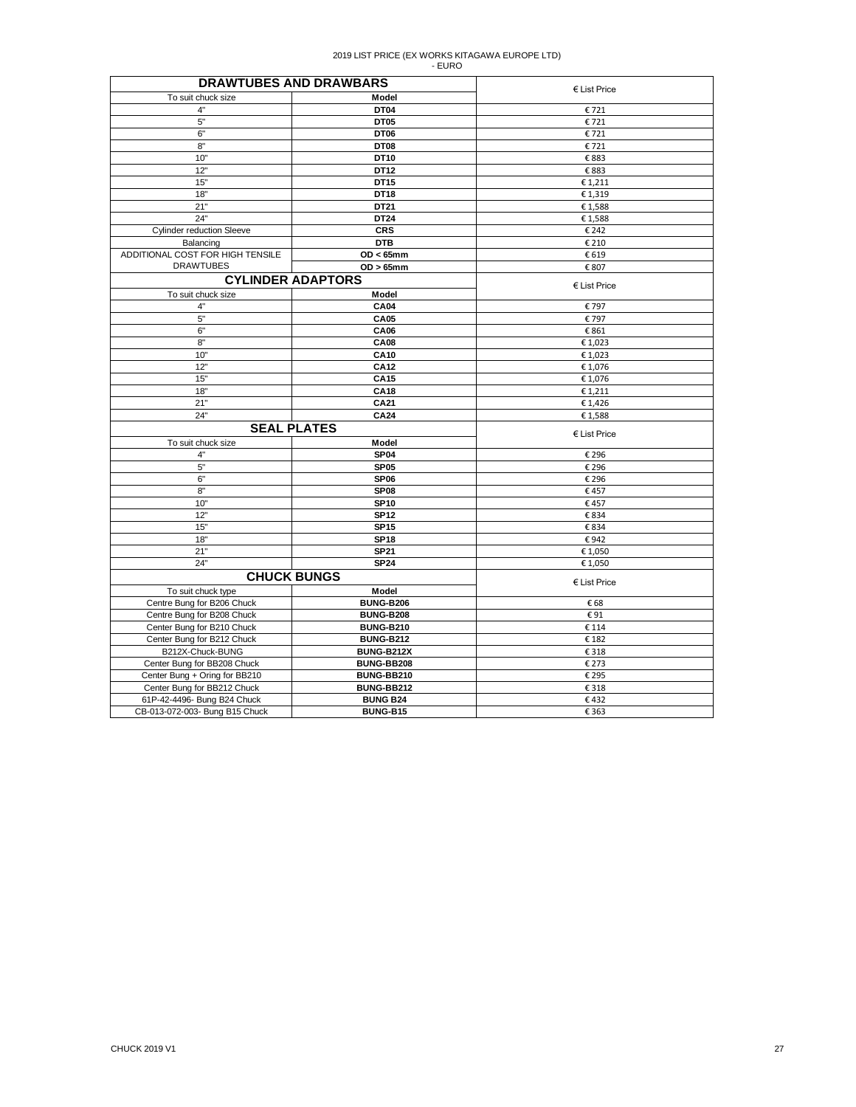| <b>DRAWTUBES AND DRAWBARS</b>    |                          |                 |
|----------------------------------|--------------------------|-----------------|
| To suit chuck size               | Model                    | $E$ List Price  |
| 4"                               | DT04                     | €721            |
| 5"                               | DT05                     | €721            |
| 6"                               | DT06                     | €721            |
| 8"                               | DT08                     | €721            |
| 10"                              | DT10                     | €883            |
| 12"                              | DT12                     | €883            |
| 15"                              | DT15                     | € 1,211         |
| 18"                              | <b>DT18</b>              | €1,319          |
| 21"                              | DT21                     | €1,588          |
| 24"                              | DT24                     | €1,588          |
| <b>Cylinder reduction Sleeve</b> | <b>CRS</b>               | € 242           |
| Balancing                        | <b>DTB</b>               | € 210           |
| ADDITIONAL COST FOR HIGH TENSILE | $OD < 65$ mm             | € 619           |
| <b>DRAWTUBES</b>                 | $OD > 65$ mm             | € 807           |
|                                  | <b>CYLINDER ADAPTORS</b> |                 |
| To suit chuck size               | Model                    | € List Price    |
| 4"                               | <b>CA04</b>              | € 797           |
| 5"                               | <b>CA05</b>              | € 797           |
| 6"                               | <b>CA06</b>              |                 |
| 8"                               | <b>CA08</b>              | € 861<br>€1,023 |
| 10"                              | <b>CA10</b>              |                 |
| 12"                              | CA12                     | €1,023          |
|                                  |                          | € 1,076         |
| 15"                              | CA15                     | € 1,076         |
| 18"                              | <b>CA18</b>              | € 1,211         |
| 21"<br>24"                       | CA21                     | €1,426          |
|                                  | <b>CA24</b>              | €1,588          |
|                                  | <b>SEAL PLATES</b>       | € List Price    |
| To suit chuck size               | Model                    |                 |
| 4"                               | SP <sub>04</sub>         | € 296           |
| 5"                               | <b>SP05</b>              | € 296           |
| 6"                               | SP <sub>06</sub>         | € 296           |
| 8"                               | SP <sub>08</sub>         | €457            |
| 10"                              | <b>SP10</b>              | €457            |
| 12"                              | <b>SP12</b>              | € 834           |
| 15"                              | <b>SP15</b>              | € 834           |
| 18"                              | <b>SP18</b>              | €942            |
| 21"                              | <b>SP21</b>              | € 1,050         |
| 24"                              | <b>SP24</b>              | € 1,050         |
| <b>CHUCK BUNGS</b>               |                          | $E$ List Price  |
| To suit chuck type               | Model                    |                 |
| Centre Bung for B206 Chuck       | <b>BUNG-B206</b>         | €68             |
| Centre Bung for B208 Chuck       | <b>BUNG-B208</b>         | €91             |
| Center Bung for B210 Chuck       | <b>BUNG-B210</b>         | € 114           |
| Center Bung for B212 Chuck       | <b>BUNG-B212</b>         | € 182           |
| B212X-Chuck-BUNG                 | <b>BUNG-B212X</b>        | € 318           |
| Center Bung for BB208 Chuck      | BUNG-BB208               | € 273           |
| Center Bung + Oring for BB210    | BUNG-BB210               | € 295           |
| Center Bung for BB212 Chuck      | BUNG-BB212               | € 318           |
| 61P-42-4496- Bung B24 Chuck      | <b>BUNG B24</b>          | €432            |
| CB-013-072-003- Bung B15 Chuck   | BUNG-B15                 | € 363           |
|                                  |                          |                 |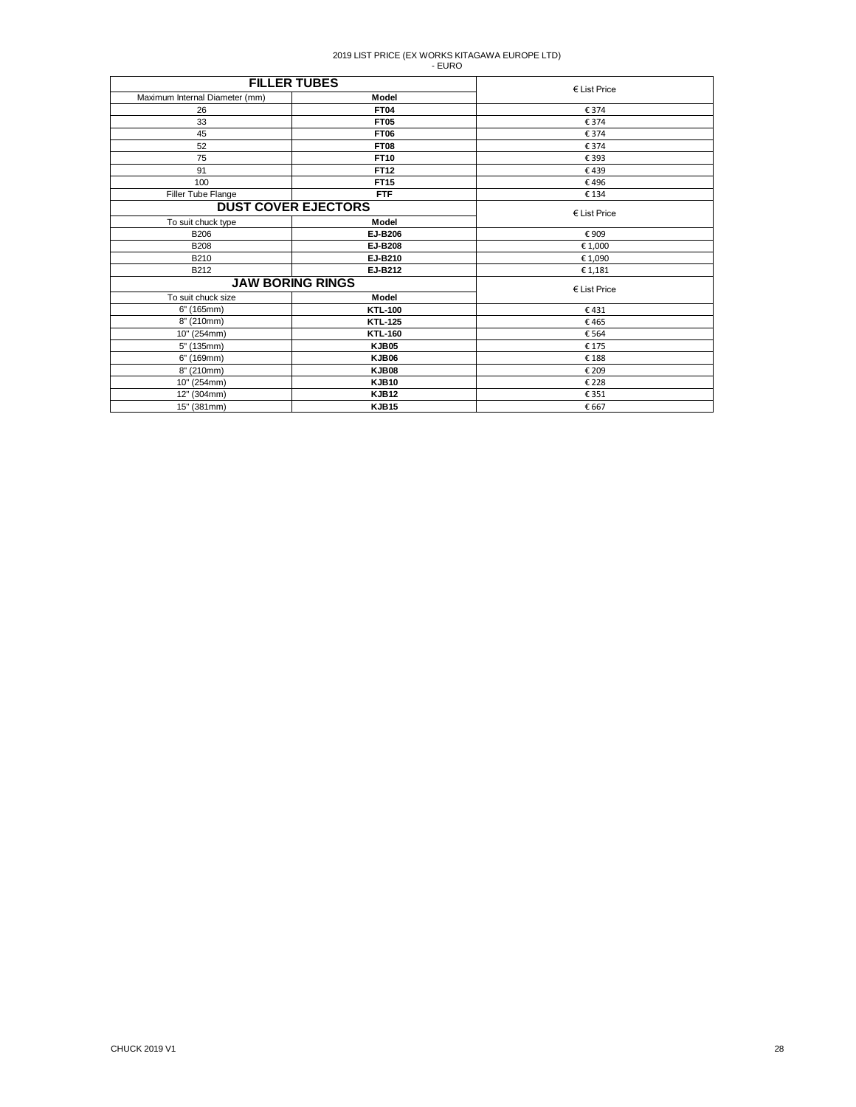| <b>FILLER TUBES</b>            |                            | $E$ List Price        |
|--------------------------------|----------------------------|-----------------------|
| Maximum Internal Diameter (mm) | Model                      |                       |
| 26                             | <b>FT04</b>                | € 374                 |
| 33                             | <b>FT05</b>                | € 374                 |
| 45                             | <b>FT06</b>                | € 374                 |
| 52                             | <b>FT08</b>                | € 374                 |
| 75                             | <b>FT10</b>                | € 393                 |
| 91                             | FT12                       | €439                  |
| 100                            | <b>FT15</b>                | €496                  |
| Filler Tube Flange             | <b>FTF</b>                 | € 134                 |
|                                | <b>DUST COVER EJECTORS</b> |                       |
| To suit chuck type             | Model                      | $\epsilon$ List Price |
| <b>B206</b>                    | EJ-B206                    | €909                  |
| <b>B208</b>                    | <b>EJ-B208</b>             | € 1,000               |
| B210                           | EJ-B210                    | € 1,090               |
| B212                           | EJ-B212                    | € 1,181               |
| <b>JAW BORING RINGS</b>        |                            | $E$ List Price        |
| To suit chuck size             | Model                      |                       |
| 6" (165mm)                     | <b>KTL-100</b>             | €431                  |
| 8" (210mm)                     | <b>KTL-125</b>             | €465                  |
| 10" (254mm)                    | <b>KTL-160</b>             | € 564                 |
| 5" (135mm)                     | KJB05                      | € 175                 |
| 6" (169mm)                     | KJB06                      | €188                  |
| 8" (210mm)                     | KJB08                      | € 209                 |
| 10" (254mm)                    | <b>KJB10</b>               | € 228                 |
| 12" (304mm)                    | <b>KJB12</b>               | € 351                 |
| 15" (381mm)                    | <b>KJB15</b>               | € 667                 |